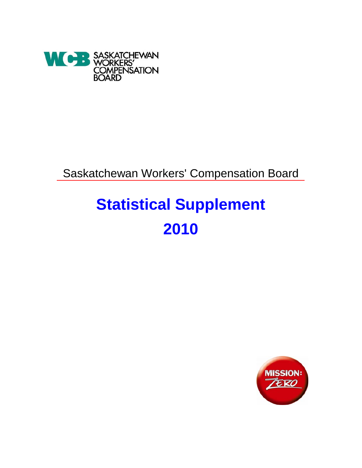

Saskatchewan Workers' Compensation Board

# **Statistical Supplement 2010**

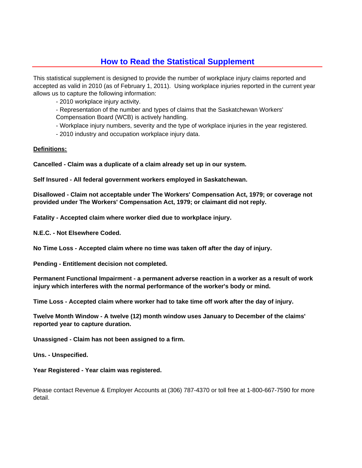### **How to Read the Statistical Supplement**

This statistical supplement is designed to provide the number of workplace injury claims reported and accepted as valid in 2010 (as of February 1, 2011). Using workplace injuries reported in the current year allows us to capture the following information:

- 2010 workplace injury activity.

- Representation of the number and types of claims that the Saskatchewan Workers'

Compensation Board (WCB) is actively handling.

- Workplace injury numbers, severity and the type of workplace injuries in the year registered.

- 2010 industry and occupation workplace injury data.

### **Definitions:**

**Cancelled - Claim was a duplicate of a claim already set up in our system.**

**Self Insured - All federal government workers employed in Saskatchewan.**

**Disallowed - Claim not acceptable under The Workers' Compensation Act, 1979; or coverage not provided under The Workers' Compensation Act, 1979; or claimant did not reply.**

**Fatality - Accepted claim where worker died due to workplace injury.**

**N.E.C. - Not Elsewhere Coded.**

**No Time Loss - Accepted claim where no time was taken off after the day of injury.**

**Pending - Entitlement decision not completed.**

**Permanent Functional Impairment - a permanent adverse reaction in a worker as a result of work injury which interferes with the normal performance of the worker's body or mind.**

**Time Loss - Accepted claim where worker had to take time off work after the day of injury.**

**Twelve Month Window - A twelve (12) month window uses January to December of the claims' reported year to capture duration.**

**Unassigned - Claim has not been assigned to a firm.**

**Uns. - Unspecified.**

**Year Registered - Year claim was registered.**

Please contact Revenue & Employer Accounts at (306) 787-4370 or toll free at 1-800-667-7590 for more detail.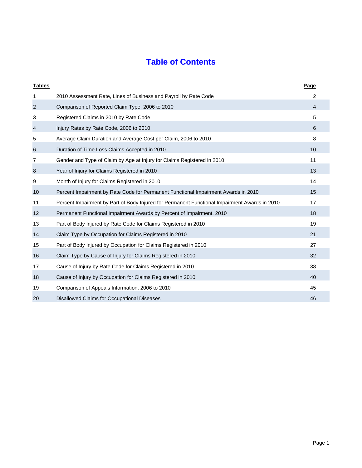# **Table of Contents**

| <b>Tables</b>    |                                                                                               | Page |
|------------------|-----------------------------------------------------------------------------------------------|------|
| 1                | 2010 Assessment Rate, Lines of Business and Payroll by Rate Code                              | 2    |
| 2                | Comparison of Reported Claim Type, 2006 to 2010                                               | 4    |
| 3                | Registered Claims in 2010 by Rate Code                                                        | 5    |
| $\overline{4}$   | Injury Rates by Rate Code, 2006 to 2010                                                       | 6    |
| 5                | Average Claim Duration and Average Cost per Claim, 2006 to 2010                               | 8    |
| $\,6$            | Duration of Time Loss Claims Accepted in 2010                                                 | 10   |
| 7                | Gender and Type of Claim by Age at Injury for Claims Registered in 2010                       | 11   |
| $\boldsymbol{8}$ | Year of Injury for Claims Registered in 2010                                                  | 13   |
| 9                | Month of Injury for Claims Registered in 2010                                                 | 14   |
| 10               | Percent Impairment by Rate Code for Permanent Functional Impairment Awards in 2010            | 15   |
| 11               | Percent Impairment by Part of Body Injured for Permanent Functional Impairment Awards in 2010 | 17   |
| 12               | Permanent Functional Impairment Awards by Percent of Impairment, 2010                         | 18   |
| 13               | Part of Body Injured by Rate Code for Claims Registered in 2010                               | 19   |
| 14               | Claim Type by Occupation for Claims Registered in 2010                                        | 21   |
| 15               | Part of Body Injured by Occupation for Claims Registered in 2010                              | 27   |
| 16               | Claim Type by Cause of Injury for Claims Registered in 2010                                   | 32   |
| 17               | Cause of Injury by Rate Code for Claims Registered in 2010                                    | 38   |
| 18               | Cause of Injury by Occupation for Claims Registered in 2010                                   | 40   |
| 19               | Comparison of Appeals Information, 2006 to 2010                                               | 45   |
| 20               | Disallowed Claims for Occupational Diseases                                                   | 46   |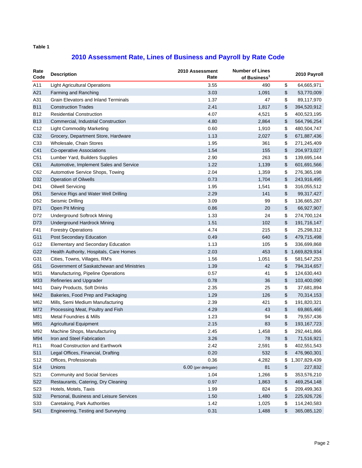# **2010 Assessment Rate, Lines of Business and Payroll by Rate Code**

| Rate<br>Code    | <b>Description</b>                          | 2010 Assessment<br>Rate | <b>Number of Lines</b><br>of Business <sup>1</sup> | 2010 Payroll        |
|-----------------|---------------------------------------------|-------------------------|----------------------------------------------------|---------------------|
| A11             | <b>Light Agricultural Operations</b>        | 3.55                    | 490                                                | \$<br>64,665,971    |
| A21             | Farming and Ranching                        | 3.03                    | 1,091                                              | \$<br>53,770,009    |
| A31             | <b>Grain Elevators and Inland Terminals</b> | 1.37                    | 47                                                 | \$<br>89,117,970    |
| <b>B11</b>      | <b>Construction Trades</b>                  | 2.41                    | 1,817                                              | \$<br>394,520,912   |
| <b>B12</b>      | <b>Residential Construction</b>             | 4.07                    | 4,521                                              | \$<br>400,523,195   |
| <b>B13</b>      | Commercial, Industrial Construction         | 4.80                    | 2,864                                              | \$<br>564,796,254   |
| C <sub>12</sub> | <b>Light Commodity Marketing</b>            | 0.60                    | 1,910                                              | \$<br>480,504,747   |
| C32             | Grocery, Department Store, Hardware         | 1.13                    | 2,027                                              | \$<br>671,887,436   |
| C <sub>33</sub> | Wholesale, Chain Stores                     | 1.95                    | 361                                                | \$<br>271,245,409   |
| C41             | Co-operative Associations                   | 1.54                    | 155                                                | \$<br>204,973,027   |
| C51             | Lumber Yard, Builders Supplies              | 2.90                    | 263                                                | \$<br>139,695,144   |
| C61             | Automotive, Implement Sales and Service     | 1.22                    | 1,139                                              | \$<br>601,691,566   |
| C62             | Automotive Service Shops, Towing            | 2.04                    | 1,359                                              | \$<br>276,365,198   |
| D32             | <b>Operation of Oilwells</b>                | 0.73                    | 1,704                                              | \$<br>243,916,495   |
| D41             | <b>Oilwell Servicing</b>                    | 1.95                    | 1,541                                              | \$<br>316,055,512   |
| D <sub>51</sub> | Service Rigs and Water Well Drilling        | 2.29                    | 141                                                | \$<br>99,317,427    |
| D <sub>52</sub> | Seismic Drilling                            | 3.09                    | 99                                                 | \$<br>136,665,287   |
| D71             | Open Pit Mining                             | 0.86                    | 20                                                 | \$<br>66,927,907    |
| D72             | <b>Underground Softrock Mining</b>          | 1.33                    | 24                                                 | \$<br>274,700,124   |
| D73             | <b>Underground Hardrock Mining</b>          | 1.51                    | 102                                                | \$<br>191,716,147   |
| F41             | <b>Forestry Operations</b>                  | 4.74                    | 215                                                | \$<br>25,298,312    |
| G11             | Post Secondary Education                    | 0.49                    | 640                                                | \$<br>479,715,498   |
| G12             | Elementary and Secondary Education          | 1.13                    | 105                                                | \$<br>336,699,868   |
| G22             | Health Authority, Hospitals, Care Homes     | 2.03                    | 453                                                | \$<br>1,669,829,934 |
| G31             | Cities, Towns, Villages, RM's               | 1.56                    | 1,051                                              | \$<br>581, 547, 253 |
| G51             | Government of Saskatchewan and Ministries   | 1.39                    | 42                                                 | \$<br>794,314,657   |
| M31             | Manufacturing, Pipeline Operations          | 0.57                    | 41                                                 | \$<br>124,630,443   |
| M33             | Refineries and Upgrader                     | 0.78                    | 36                                                 | \$<br>103,400,090   |
| M41             | Dairy Products, Soft Drinks                 | 2.35                    | 25                                                 | \$<br>37,681,894    |
| M42             | Bakeries, Food Prep and Packaging           | 1.29                    | 126                                                | \$<br>70,314,153    |
| M62             | Mills, Semi Medium Manufacturing            | 2.39                    | 421                                                | \$<br>191,820,321   |
| M72             | Processing Meat, Poultry and Fish           | 4.29                    | 43                                                 | \$<br>69,865,466    |
| M81             | Metal Foundries & Mills                     | 1.23                    | 94                                                 | \$<br>79,557,436    |
| M91             | Agricultural Equipment                      | 2.15                    | 83                                                 | \$<br>193, 167, 723 |
| M92             | Machine Shops, Manufacturing                | 2.45                    | 1,458                                              | \$<br>292,441,866   |
| M94             | Iron and Steel Fabrication                  | 3.26                    | 78                                                 | \$<br>71,516,921    |
| R <sub>11</sub> | Road Construction and Earthwork             | 2.42                    | 2,591                                              | \$<br>402,551,543   |
| S <sub>11</sub> | Legal Offices, Financial, Drafting          | 0.20                    | 532                                                | \$<br>476,960,301   |
| S <sub>12</sub> | Offices, Professionals                      | 0.36                    | 4,282                                              | \$<br>1,307,829,439 |
| S14             | Unions                                      | 6.00 (per delegate)     | 81                                                 | \$<br>227,832       |
| S21             | <b>Community and Social Services</b>        | 1.04                    | 1,266                                              | \$<br>353,576,210   |
| S22             | Restaurants, Catering, Dry Cleaning         | 0.97                    | 1,863                                              | \$<br>469,254,148   |
| S <sub>23</sub> | Hotels, Motels, Taxis                       | 1.99                    | 824                                                | \$<br>209,499,363   |
| S32             | Personal, Business and Leisure Services     | 1.50                    | 1,480                                              | \$<br>225,926,726   |
| S33             | Caretaking, Park Authorities                | 1.42                    | 1,025                                              | \$<br>114,240,583   |
| S41             | Engineering, Testing and Surveying          | 0.31                    | 1,488                                              | \$<br>365,085,120   |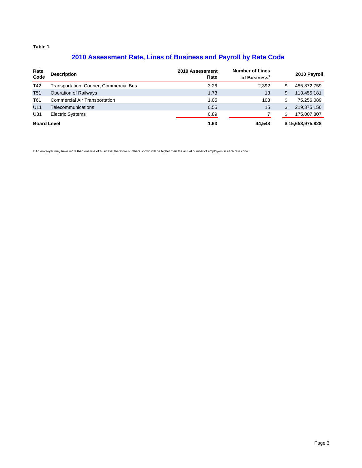### **2010 Assessment Rate, Lines of Business and Payroll by Rate Code**

| Rate<br>Code       | <b>Description</b>                      | 2010 Assessment<br>Rate | <b>Number of Lines</b><br>of Business <sup>1</sup> |     | 2010 Payroll     |
|--------------------|-----------------------------------------|-------------------------|----------------------------------------------------|-----|------------------|
| T42                | Transportation, Courier, Commercial Bus | 3.26                    | 2,392                                              | S   | 485,872,759      |
| T <sub>51</sub>    | <b>Operation of Railways</b>            | 1.73                    | 13                                                 | S   | 113,455,181      |
| T61                | <b>Commercial Air Transportation</b>    | 1.05                    | 103                                                | \$  | 75,256,089       |
| U11                | Telecommunications                      | 0.55                    | 15                                                 | \$. | 219,375,156      |
| U31                | <b>Electric Systems</b>                 | 0.89                    |                                                    | S   | 175,007,807      |
| <b>Board Level</b> |                                         | 1.63                    | 44.548                                             |     | \$15,658,975,828 |

1 An employer may have more than one line of business, therefore numbers shown will be higher than the actual number of employers in each rate code.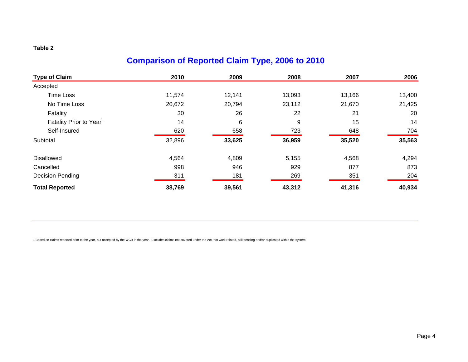# **Comparison of Reported Claim Type, 2006 to 2010**

| <b>Type of Claim</b>                | 2010   | 2009   | 2008   | 2007   | 2006   |
|-------------------------------------|--------|--------|--------|--------|--------|
| Accepted                            |        |        |        |        |        |
| <b>Time Loss</b>                    | 11,574 | 12,141 | 13,093 | 13,166 | 13,400 |
| No Time Loss                        | 20,672 | 20,794 | 23,112 | 21,670 | 21,425 |
| Fatality                            | 30     | 26     | 22     | 21     | 20     |
| Fatality Prior to Year <sup>1</sup> | 14     | 6      | 9      | 15     | 14     |
| Self-Insured                        | 620    | 658    | 723    | 648    | 704    |
| Subtotal                            | 32,896 | 33,625 | 36,959 | 35,520 | 35,563 |
| <b>Disallowed</b>                   | 4,564  | 4,809  | 5,155  | 4,568  | 4,294  |
| Cancelled                           | 998    | 946    | 929    | 877    | 873    |
| Decision Pending                    | 311    | 181    | 269    | 351    | 204    |
| <b>Total Reported</b>               | 38,769 | 39,561 | 43,312 | 41,316 | 40,934 |

1 Based on claims reported prior to the year, but accepted by the WCB in the year. Excludes claims not covered under the Act, not work related, still pending and/or duplicated within the system.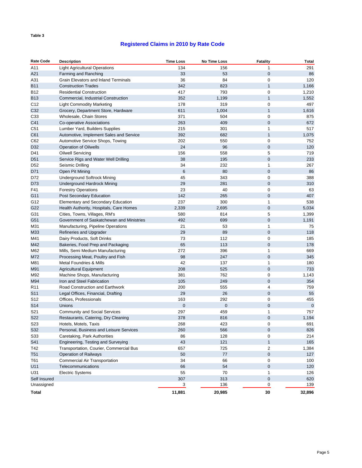### **Registered Claims in 2010 by Rate Code**

| <b>Rate Code</b>           | <b>Description</b>                          | <b>Time Loss</b> | No Time Loss | <b>Fatality</b> | <b>Total</b> |
|----------------------------|---------------------------------------------|------------------|--------------|-----------------|--------------|
| A11                        | <b>Light Agricultural Operations</b>        | 134              | 156          | $\mathbf{1}$    | 291          |
| A21                        | Farming and Ranching                        | 33               | 53           | $\mathbf 0$     | 86           |
| A31                        | <b>Grain Elevators and Inland Terminals</b> | 36               | 84           | 0               | 120          |
| <b>B11</b>                 | <b>Construction Trades</b>                  | 342              | 823          | $\mathbf{1}$    | 1,166        |
| <b>B12</b>                 | <b>Residential Construction</b>             | 417              | 793          | 0               | 1,210        |
| <b>B13</b>                 | Commercial, Industrial Construction         | 352              | 1,199        | 1               | 1,552        |
| C12                        | <b>Light Commodity Marketing</b>            | 178              | 319          | 0               | 497          |
| C32                        | Grocery, Department Store, Hardware         | 611              | 1,004        | $\mathbf{1}$    | 1,616        |
| C33                        | Wholesale, Chain Stores                     | 371              | 504          | 0               | 875          |
| C41                        | Co-operative Associations                   | 263              | 409          | $\mathbf 0$     | 672          |
| C51                        | Lumber Yard, Builders Supplies              | 215              | 301          | 1               | 517          |
| C61                        | Automotive, Implement Sales and Service     | 392              | 682          | $\mathbf{1}$    | 1,075        |
| C62                        | Automotive Service Shops, Towing            | 202              | 550          | 0               | 752          |
| D32                        | <b>Operation of Oilwells</b>                | 24               | 96           | $\pmb{0}$       | 120          |
| D41                        | Oilwell Servicing                           | 156              | 558          | 5               | 719          |
| D <sub>51</sub>            | Service Rigs and Water Well Drilling        | 38               | 195          | $\mathbf 0$     | 233          |
| D52                        | Seismic Drilling                            | 34               | 232          | 1               | 267          |
| D71                        | Open Pit Mining                             | 6                | 80           | $\mathbf 0$     | 86           |
| D72                        | <b>Underground Softrock Mining</b>          | 45               | 343          | 0               | 388          |
| D73                        | <b>Underground Hardrock Mining</b>          | 29               | 281          | $\mathbf 0$     | 310          |
| F41                        | <b>Forestry Operations</b>                  | 23               | 40           | 0               | 63           |
| G11                        | <b>Post Secondary Education</b>             | 142              | 265          | $\mathbf 0$     | 407          |
| G12                        | <b>Elementary and Secondary Education</b>   | 237              | 300          | 1               | 538          |
| G22                        | Health Authority, Hospitals, Care Homes     | 2,339            | 2,695        | 0               | 5,034        |
| G31                        | Cities, Towns, Villages, RM's               | 580              | 814          | 5               | 1,399        |
| G51                        | Government of Saskatchewan and Ministries   | 492              | 699          | $\mathbf 0$     | 1,191        |
| M31                        | Manufacturing, Pipeline Operations          | 21               | 53           | 1               | 75           |
| M33                        | Refineries and Upgrader                     | 29               | 89           | 0               | 118          |
| M41                        | Dairy Products, Soft Drinks                 | 73               | 112          | 0               | 185          |
| M42                        | Bakeries, Food Prep and Packaging           | 65               | 113          | $\mathbf 0$     | 178          |
| M62                        | Mills, Semi Medium Manufacturing            | 272              | 396          | 1               | 669          |
| M72                        | Processing Meat, Poultry and Fish           | 98               | 247          | $\mathbf 0$     | 345          |
| M81                        | Metal Foundries & Mills                     | 42               | 137          | 1               | 180          |
| M91                        | <b>Agricultural Equipment</b>               | 208              | 525          | $\mathbf 0$     | 733          |
| M92                        | Machine Shops, Manufacturing                | 381              | 762          | 0               | 1,143        |
| M94                        | Iron and Steel Fabrication                  | 105              | 249          | $\mathbf 0$     | 354          |
| R <sub>11</sub>            | Road Construction and Earthwork             | 200              | 555          | 4               | 759          |
| S <sub>11</sub>            | Legal Offices, Financial, Drafting          | 29               | 26           | $\mathbf 0$     | 55           |
| S12                        | Offices, Professionals                      | 163              | 292          | 0               | 455          |
| S14                        | Unions                                      | 0                | $\mathbf 0$  | $\mathbf 0$     | $\mathbf 0$  |
| S21                        | <b>Community and Social Services</b>        | 297              | 459          | 1               | 757          |
| S22                        | Restaurants, Catering, Dry Cleaning         | 378              | 816          | $\mathbf 0$     | 1,194        |
| S23                        | Hotels, Motels, Taxis                       | 268              | 423          | 0               | 691          |
| S32                        | Personal, Business and Leisure Services     | 260              | 566          | $\pmb{0}$       | 826          |
| S33                        | Caretaking, Park Authorities                | 86               | 128          | 0               | 214          |
| S41                        | Engineering, Testing and Surveying          | 43               | 121          | $\mathbf{1}$    | 165          |
|                            | Transportation, Courier, Commercial Bus     |                  |              |                 |              |
| T42                        | Operation of Railways                       | 657              | 725          | 2<br>$\pmb{0}$  | 1,384<br>127 |
| T <sub>51</sub>            |                                             | 50               | 77           |                 |              |
| T61                        | Commercial Air Transportation               | 34               | 66<br>54     | 0               | 100          |
| U11<br>U31                 | Telecommunications                          | 66               | 70           | 0               | 120          |
|                            | <b>Electric Systems</b>                     | 55               |              | 1               | 126          |
| Self Insured<br>Unassigned |                                             | 307              | 313<br>136   | 0               | 620<br>139   |
|                            |                                             | 3                |              | 0               |              |
| Total                      |                                             | 11,881           | 20,985       | 30              | 32,896       |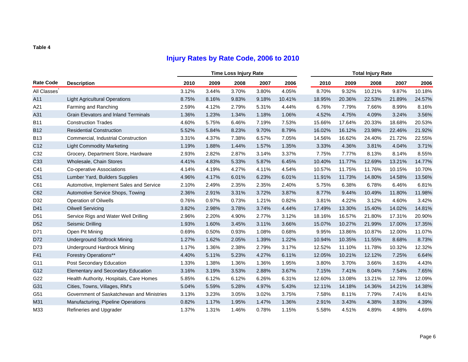# **Injury Rates by Rate Code, 2006 to 2010**

|                  |                                             |       | <b>Time Loss Injury Rate</b> |       |       |        |        | <b>Total Injury Rate</b> |        |        |        |  |  |
|------------------|---------------------------------------------|-------|------------------------------|-------|-------|--------|--------|--------------------------|--------|--------|--------|--|--|
| <b>Rate Code</b> | <b>Description</b>                          | 2010  | 2009                         | 2008  | 2007  | 2006   | 2010   | 2009                     | 2008   | 2007   | 2006   |  |  |
| All Classes      |                                             | 3.12% | 3.44%                        | 3.70% | 3.80% | 4.05%  | 8.70%  | 9.32%                    | 10.21% | 9.87%  | 10.18% |  |  |
| A11              | <b>Light Agricultural Operations</b>        | 8.75% | 8.16%                        | 9.83% | 9.18% | 10.41% | 18.95% | 20.36%                   | 22.53% | 21.89% | 24.57% |  |  |
| A21              | Farming and Ranching                        | 2.59% | 4.12%                        | 2.79% | 5.31% | 4.44%  | 6.76%  | 7.79%                    | 7.66%  | 8.99%  | 8.16%  |  |  |
| A31              | <b>Grain Elevators and Inland Terminals</b> | 1.36% | 1.23%                        | 1.34% | 1.18% | 1.06%  | 4.52%  | 4.75%                    | 4.09%  | 3.24%  | 3.56%  |  |  |
| <b>B11</b>       | <b>Construction Trades</b>                  | 4.60% | 5.75%                        | 6.46% | 7.19% | 7.53%  | 15.66% | 17.64%                   | 20.33% | 18.68% | 20.53% |  |  |
| <b>B12</b>       | <b>Residential Construction</b>             | 5.52% | 5.84%                        | 8.23% | 9.70% | 8.79%  | 16.02% | 16.12%                   | 23.98% | 22.46% | 21.92% |  |  |
| <b>B13</b>       | Commercial, Industrial Construction         | 3.31% | 4.37%                        | 7.38% | 6.57% | 7.05%  | 14.56% | 16.62%                   | 24.40% | 21.72% | 22.55% |  |  |
| C <sub>12</sub>  | <b>Light Commodity Marketing</b>            | 1.19% | 1.88%                        | 1.44% | 1.57% | 1.35%  | 3.33%  | 4.36%                    | 3.81%  | 4.04%  | 3.71%  |  |  |
| C32              | Grocery, Department Store, Hardware         | 2.93% | 2.82%                        | 2.87% | 3.14% | 3.37%  | 7.75%  | 7.77%                    | 8.13%  | 8.14%  | 8.55%  |  |  |
| C33              | Wholesale, Chain Stores                     | 4.41% | 4.83%                        | 5.33% | 5.87% | 6.45%  | 10.40% | 11.77%                   | 12.69% | 13.21% | 14.77% |  |  |
| C41              | Co-operative Associations                   | 4.14% | 4.19%                        | 4.27% | 4.11% | 4.54%  | 10.57% | 11.75%                   | 11.76% | 10.15% | 10.70% |  |  |
| C <sub>51</sub>  | Lumber Yard, Builders Supplies              | 4.96% | 4.17%                        | 6.01% | 6.23% | 6.01%  | 11.91% | 11.73%                   | 14.80% | 14.58% | 13.56% |  |  |
| C61              | Automotive, Implement Sales and Service     | 2.10% | 2.49%                        | 2.35% | 2.35% | 2.40%  | 5.75%  | 6.38%                    | 6.78%  | 6.46%  | 6.81%  |  |  |
| C62              | Automotive Service Shops, Towing            | 2.36% | 2.91%                        | 3.31% | 3.72% | 3.87%  | 8.77%  | 9.44%                    | 10.49% | 11.80% | 11.98% |  |  |
| D32              | <b>Operation of Oilwells</b>                | 0.76% | 0.97%                        | 0.73% | 1.21% | 0.82%  | 3.81%  | 4.22%                    | 3.12%  | 4.60%  | 3.42%  |  |  |
| D41              | <b>Oilwell Servicing</b>                    | 3.82% | 2.98%                        | 3.78% | 3.74% | 4.44%  | 17.49% | 13.30%                   | 15.40% | 14.02% | 14.81% |  |  |
| D <sub>51</sub>  | Service Rigs and Water Well Drilling        | 2.96% | 2.20%                        | 4.90% | 2.77% | 3.12%  | 18.16% | 16.57%                   | 21.80% | 17.31% | 20.90% |  |  |
| D <sub>52</sub>  | Seismic Drilling                            | 1.93% | 1.60%                        | 3.45% | 3.11% | 3.66%  | 15.07% | 10.27%                   | 21.99% | 17.00% | 17.35% |  |  |
| D71              | Open Pit Mining                             | 0.69% | 0.50%                        | 0.93% | 1.08% | 0.68%  | 9.95%  | 13.86%                   | 10.87% | 12.00% | 11.07% |  |  |
| D72              | <b>Underground Softrock Mining</b>          | 1.27% | 1.62%                        | 2.05% | 1.39% | 1.22%  | 10.94% | 10.35%                   | 11.55% | 8.68%  | 8.73%  |  |  |
| D73              | <b>Underground Hardrock Mining</b>          | 1.17% | 1.36%                        | 2.38% | 2.79% | 3.17%  | 12.52% | 11.10%                   | 11.78% | 10.32% | 12.32% |  |  |
| F41              | <b>Forestry Operations**</b>                | 4.40% | 5.11%                        | 5.23% | 4.27% | 6.11%  | 12.05% | 10.21%                   | 12.12% | 7.25%  | 6.64%  |  |  |
| G11              | Post Secondary Education                    | 1.33% | 1.38%                        | 1.36% | 1.36% | 1.95%  | 3.80%  | 3.70%                    | 3.66%  | 3.63%  | 4.43%  |  |  |
| G12              | Elementary and Secondary Education          | 3.16% | 3.19%                        | 3.53% | 2.88% | 3.67%  | 7.15%  | 7.41%                    | 8.04%  | 7.54%  | 7.65%  |  |  |
| G22              | Health Authority, Hospitals, Care Homes     | 5.85% | 6.12%                        | 6.12% | 6.26% | 6.31%  | 12.60% | 13.08%                   | 13.21% | 12.78% | 12.09% |  |  |
| G31              | Cities, Towns, Villages, RM's               | 5.04% | 5.59%                        | 5.28% | 4.97% | 5.43%  | 12.11% | 14.18%                   | 14.36% | 14.21% | 14.38% |  |  |
| G51              | Government of Saskatchewan and Ministries   | 3.13% | 3.23%                        | 3.05% | 3.02% | 3.75%  | 7.58%  | 8.11%                    | 7.79%  | 7.41%  | 8.41%  |  |  |
| M31              | Manufacturing, Pipeline Operations          | 0.82% | 1.17%                        | 1.95% | 1.47% | 1.36%  | 2.91%  | 3.43%                    | 4.38%  | 3.83%  | 4.39%  |  |  |
| M33              | Refineries and Upgrader                     | 1.37% | 1.31%                        | 1.46% | 0.78% | 1.15%  | 5.58%  | 4.51%                    | 4.89%  | 4.98%  | 4.69%  |  |  |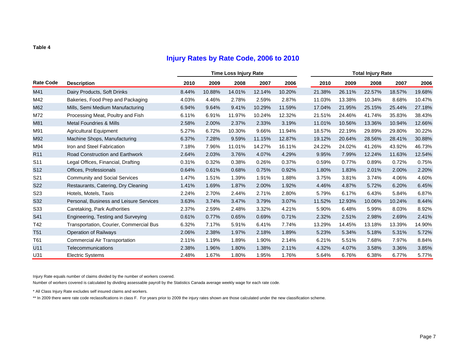### **Injury Rates by Rate Code, 2006 to 2010**

|                  |                                         |       |        | <b>Time Loss Injury Rate</b> |        |        | <b>Total Injury Rate</b> |        |        |        |        |  |  |  |
|------------------|-----------------------------------------|-------|--------|------------------------------|--------|--------|--------------------------|--------|--------|--------|--------|--|--|--|
| <b>Rate Code</b> | <b>Description</b>                      | 2010  | 2009   | 2008                         | 2007   | 2006   | 2010                     | 2009   | 2008   | 2007   | 2006   |  |  |  |
| M41              | Dairy Products, Soft Drinks             | 8.44% | 10.88% | 14.01%                       | 12.14% | 10.20% | 21.38%                   | 26.11% | 22.57% | 18.57% | 19.68% |  |  |  |
| M42              | Bakeries, Food Prep and Packaging       | 4.03% | 4.46%  | 2.78%                        | 2.59%  | 2.87%  | 11.03%                   | 13.38% | 10.34% | 8.68%  | 10.47% |  |  |  |
| M62              | Mills, Semi Medium Manufacturing        | 6.94% | 9.64%  | 9.41%                        | 10.29% | 11.59% | 17.04%                   | 21.95% | 25.15% | 25.44% | 27.18% |  |  |  |
| M72              | Processing Meat, Poultry and Fish       | 6.11% | 6.91%  | 11.97%                       | 10.24% | 12.32% | 21.51%                   | 24.46% | 41.74% | 35.83% | 38.43% |  |  |  |
| M81              | <b>Metal Foundries &amp; Mills</b>      | 2.58% | 2.00%  | 2.37%                        | 2.33%  | 3.19%  | 11.01%                   | 10.56% | 13.36% | 10.94% | 12.66% |  |  |  |
| M91              | <b>Agricultural Equipment</b>           | 5.27% | 6.72%  | 10.30%                       | 9.66%  | 11.94% | 18.57%                   | 22.19% | 29.89% | 29.80% | 30.22% |  |  |  |
| M92              | Machine Shops, Manufacturing            | 6.37% | 7.28%  | 9.59%                        | 11.15% | 12.87% | 19.12%                   | 20.64% | 28.56% | 28.41% | 30.88% |  |  |  |
| M94              | Iron and Steel Fabrication              | 7.18% | 7.96%  | 11.01%                       | 14.27% | 16.11% | 24.22%                   | 24.02% | 41.26% | 43.92% | 46.73% |  |  |  |
| R <sub>11</sub>  | Road Construction and Earthwork         | 2.64% | 2.03%  | 3.76%                        | 4.07%  | 4.29%  | 9.95%                    | 7.99%  | 12.24% | 11.63% | 12.54% |  |  |  |
| S <sub>11</sub>  | Legal Offices, Financial, Drafting      | 0.31% | 0.32%  | 0.38%                        | 0.26%  | 0.37%  | 0.59%                    | 0.77%  | 0.89%  | 0.72%  | 0.75%  |  |  |  |
| S <sub>12</sub>  | Offices, Professionals                  | 0.64% | 0.61%  | 0.68%                        | 0.75%  | 0.92%  | 1.80%                    | 1.83%  | 2.01%  | 2.00%  | 2.20%  |  |  |  |
| S <sub>21</sub>  | <b>Community and Social Services</b>    | 1.47% | 1.51%  | 1.39%                        | 1.91%  | 1.88%  | 3.75%                    | 3.81%  | 3.74%  | 4.06%  | 4.60%  |  |  |  |
| <b>S22</b>       | Restaurants, Catering, Dry Cleaning     | 1.41% | 1.69%  | 1.87%                        | 2.00%  | 1.92%  | 4.46%                    | 4.87%  | 5.72%  | 6.20%  | 6.45%  |  |  |  |
| S <sub>23</sub>  | Hotels, Motels, Taxis                   | 2.24% | 2.70%  | 2.44%                        | 2.71%  | 2.80%  | 5.79%                    | 6.17%  | 6.43%  | 5.84%  | 6.87%  |  |  |  |
| S32              | Personal, Business and Leisure Services | 3.63% | 3.74%  | 3.47%                        | 3.79%  | 3.07%  | 11.52%                   | 12.93% | 10.06% | 10.24% | 8.44%  |  |  |  |
| S33              | Caretaking, Park Authorities            | 2.37% | 2.59%  | 2.48%                        | 3.32%  | 4.21%  | 5.90%                    | 6.48%  | 5.99%  | 8.03%  | 8.92%  |  |  |  |
| S41              | Engineering, Testing and Surveying      | 0.61% | 0.77%  | 0.65%                        | 0.69%  | 0.71%  | 2.32%                    | 2.51%  | 2.98%  | 2.69%  | 2.41%  |  |  |  |
| T42              | Transportation, Courier, Commercial Bus | 6.32% | 7.17%  | 5.91%                        | 6.41%  | 7.74%  | 13.29%                   | 14.45% | 13.18% | 13.39% | 14.90% |  |  |  |
| <b>T51</b>       | <b>Operation of Railways</b>            | 2.06% | 2.38%  | 1.97%                        | 2.18%  | 1.89%  | 5.23%                    | 5.34%  | 5.18%  | 5.31%  | 5.72%  |  |  |  |
| T61              | <b>Commercial Air Transportation</b>    | 2.11% | 1.19%  | 1.89%                        | 1.90%  | 2.14%  | 6.21%                    | 5.51%  | 7.68%  | 7.97%  | 8.84%  |  |  |  |
| U11              | Telecommunications                      | 2.38% | 1.96%  | 1.80%                        | 1.38%  | 2.11%  | 4.32%                    | 4.07%  | 3.58%  | 3.36%  | 3.85%  |  |  |  |
| U31              | <b>Electric Systems</b>                 | 2.48% | 1.67%  | 1.80%                        | 1.95%  | 1.76%  | 5.64%                    | 6.76%  | 6.38%  | 6.77%  | 5.77%  |  |  |  |

Injury Rate equals number of claims divided by the number of workers covered.

Number of workers covered is calculated by dividing assessable payroll by the Statistics Canada average weekly wage for each rate code.

\* All Class Injury Rate excludes self insured claims and workers.

\*\* In 2009 there were rate code reclassifications in class F. For years prior to 2009 the injury rates shown are those calculated under the new classification scheme.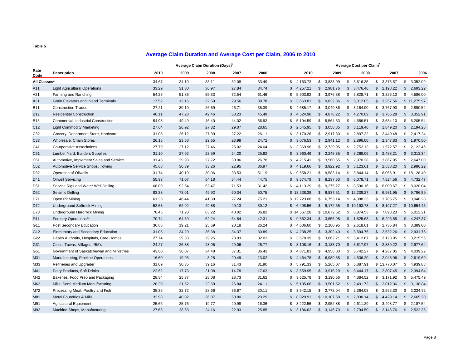### **Average Claim Duration and Average Cost per Claim, 2006 to 2010**

|                 |                                             | <b>Average Claim Duration (Days)</b> |       |       |       |       | Average Cost per Claim |                |      |             |               |          |                |
|-----------------|---------------------------------------------|--------------------------------------|-------|-------|-------|-------|------------------------|----------------|------|-------------|---------------|----------|----------------|
| Rate<br>Code    | <b>Description</b>                          | 2010                                 | 2009  | 2008  | 2007  | 2006  | 2010                   |                | 2009 | 2008        |               | 2007     | 2006           |
| All Classes*    |                                             | 34.67                                | 34.10 | 33.11 | 32.08 | 33.49 | \$4,163.73             | \$3,833.09     |      | \$3,616.35  | \$3,376.57    |          | \$3,352.09     |
| A11             | <b>Light Agricultural Operations</b>        | 33.29                                | 31.30 | 36.97 | 27.84 | 34.74 | \$<br>4,257.21         | \$2,981.76     |      | \$3,476.46  | \$2,198.22    |          | \$2,693.22     |
| A21             | Farming and Ranching                        | 54.28                                | 51.86 | 55.33 | 72.54 | 61.46 | 5,903.92<br>\$         | \$3,976.88     |      | \$5,828.71  | \$3,825.13    |          | \$4,586.00     |
| A31             | <b>Grain Elevators and Inland Terminals</b> | 17.52                                | 13.15 | 22.59 | 29.56 | 39.78 | \$3,663.81             | \$9,832.36     |      | \$5,012.05  | \$3,357.56    |          | \$11,275.97    |
| <b>B11</b>      | <b>Construction Trades</b>                  | 27.21                                | 30.19 | 26.69 | 26.71 | 35.39 | 4,685.17<br>\$         | \$3,049.86     |      | \$3,164.90  | \$3,767.90    |          | \$2,890.52     |
| <b>B12</b>      | <b>Residential Construction</b>             | 46.11                                | 47.28 | 42.46 | 38.23 | 45.49 | 4,524.98<br>\$         | \$4,878.22     |      | \$4,270.69  | \$3,785.28    |          | \$3,352.91     |
| <b>B13</b>      | Commercial, Industrial Construction         | 54.98                                | 49.49 | 46.40 | 44.02 | 56.93 | 5,194.59<br>\$         | \$5,564.33     |      | \$4,656.51  | \$3,584.10    |          | \$6,205.54     |
| C12             | <b>Light Commodity Marketing</b>            | 27.64                                | 26.92 | 27.32 | 29.07 | 28.65 | 2,545.95<br>\$         | 3,058.85<br>\$ |      | \$3,119.46  | $\mathfrak s$ | 1,849.20 | \$2,194.26     |
| C32             | Grocery, Department Store, Hardware         | 31.08                                | 26.12 | 27.39 | 27.22 | 26.11 | \$3,170.26             | \$2,917.30     |      | \$2,897.32  | \$            | 2,440.48 | \$2,417.24     |
| C33             | Wholesale, Chain Stores                     | 26.15                                | 23.50 | 29.65 | 23.98 | 24.72 | 3,076.53<br>\$         | \$2,941.12     |      | \$2,896.00  | $\mathbb{S}$  | 2,347.83 | \$1,970.50     |
| C41             | Co-operative Associations                   | 27.79                                | 27.12 | 27.46 | 25.02 | 24.04 | 3,369.96<br>\$         | \$2,739.95     |      | \$2,752.13  | \$            | 1,572.57 | \$2,123.46     |
| C <sub>51</sub> | Lumber Yard, Builders Supplies              | 31.10                                | 27.92 | 23.59 | 24.20 | 25.92 | \$<br>3,960.49         | \$2,248.35     |      | \$3,268.06  | \$2,488.21    |          | \$3,313.34     |
| C61             | Automotive, Implement Sales and Service     | 31.45                                | 29.93 | 27.72 | 30.06 | 26.78 | 4,215.41<br>\$         | \$3,560.65     |      | \$2,970.38  | \$ 3,867.95   |          | \$2,647.00     |
| C62             | Automotive Service Shops, Towing            | 45.68                                | 36.39 | 33.26 | 22.95 | 36.97 | \$<br>4,119.66         | 3,922.92<br>\$ |      | \$3,123.61  | \$2,538.20    |          | \$2,986.22     |
| D32             | Operation of Oilwells                       | 31.74                                | 40.10 | 30.06 | 33.53 | 51.19 | 9,658.21<br>\$         | \$9,583.14     | \$   | 3,844.14    | \$            | 6,066.91 | \$18,128.40    |
| D41             | <b>Oilwell Servicing</b>                    | 55.93                                | 71.07 | 54.18 | 54.44 | 44.75 | 9.574.79<br>\$         | 8,237.63<br>S. |      | \$6,078.71  | \$ 7.824.56   |          | \$4,732.47     |
| D <sub>51</sub> | Service Rigs and Water Well Drilling        | 66.09                                | 92.54 | 52.47 | 71.53 | 81.42 | 4,113.29<br>\$         | \$<br>9,275.27 | \$   | 8,590.16    | \$            | 6,009.67 | \$8,020.04     |
| D <sub>52</sub> | Seismic Drilling                            | 83.33                                | 73.01 | 49.92 | 60.34 | 50.75 | \$13,238.38            | 6,837.51<br>S. |      | \$12,238.27 | $\mathfrak s$ | 6,981.95 | \$9,796.59     |
| D71             | Open Pit Mining                             | 61.35                                | 46.44 | 41.39 | 27.24 | 75.21 | \$12,723.08            | \$<br>6,753.14 |      | \$4,388.23  | \$            | 3,785.75 | 3,048.28<br>\$ |
| D72             | <b>Underground Softrock Mining</b>          | 52.63                                | 62.92 | 49.88 | 40.13 | 39.12 | \$6,498.56             | \$9,172.55     |      | \$10,193.78 | $\mathbb{S}$  | 8,197.27 | \$10,654.45    |
| D73             | <b>Underground Hardrock Mining</b>          | 76.45                                | 71.20 | 63.22 | 40.02 | 36.82 | \$14,567.28            | \$10,872.62    |      | \$8,874.53  | \$7,093.23    |          | 5,013.21<br>\$ |
| F41             | <b>Forestry Operations**</b>                | 70.74                                | 64.59 | 62.24 | 64.84 | 42.31 | \$9,562.34             | \$3,656.98     |      | \$1,825.63  | \$6,296.55    |          | \$4,247.37     |
| G11             | Post Secondary Education                    | 36.85                                | 19.21 | 25.69 | 20.18 | 26.24 | 4,606.60<br>\$         | \$2,180.95     |      | \$2,618.61  | \$2,735.84    |          | \$3,389.00     |
| G12             | Elementary and Secondary Education          | 31.05                                | 34.29 | 36.38 | 34.37 | 30.89 | \$<br>4,238.25         | \$3,302.40     |      | \$3,594.76  | \$2,532.26    |          | \$2,931.75     |
| G22             | Health Authority, Hospitals, Care Homes     | 27.74                                | 29.38 | 29.25 | 28.03 | 32.01 | 3,678.39<br>\$         | \$3,662.21     |      | \$3,412.67  | \$3,128.95    |          | \$3,215.56     |
| G31             | Cities, Towns, Villages, RM's               | 24.27                                | 26.88 | 28.95 | 29.06 | 26.77 | \$3,108.16             | \$3,133.70     |      | \$3,617.97  | \$2,839.22    |          | \$2,977.64     |
| G51             | Government of Saskatchewan and Ministries   | 43.60                                | 36.07 | 34.48 | 37.31 | 36.43 | 4.871.83<br>\$         | \$<br>4,958.03 |      | \$3,742.27  | \$4,267.05    |          | \$4,039.22     |
| M31             | Manufacturing, Pipeline Operations          | 16.60                                | 19.95 | 8.28  | 20.49 | 13.02 | 4,464.78<br>\$         | 6,989.35<br>\$ |      | \$4,536.20  | \$2,043.96    |          | \$2,619.69     |
| M33             | Refineries and Upgrader                     | 31.69                                | 30.35 | 39.16 | 31.43 | 31.90 | 5,791.33<br>\$         | \$<br>5,265.07 |      | \$5,887.91  | \$13,770.07   |          | \$4,939.88     |
| M41             | Dairy Products, Soft Drinks                 | 22.62                                | 17.73 | 21.08 | 14.78 | 17.63 | \$3,559.95             | \$3,915.29     |      | \$3,444.17  | \$2,807.45    |          | \$2,394.64     |
| M42             | Bakeries, Food Prep and Packaging           | 28.54                                | 25.37 | 28.08 | 28.73 | 31.62 | 3,625.78<br>\$         | \$3,190.56     |      | \$4,384.52  | \$            | 3,171.92 | \$5,475.49     |
| M62             | Mills, Semi Medium Manufacturing            | 28.39                                | 31.52 | 23.58 | 26.84 | 24.11 | \$5,105.66             | \$3,501.52     |      | \$2,491.72  | $\mathbb{S}$  | 2,012.36 | \$3,138.84     |
| M72             | Processing Meat, Poultry and Fish           | 35.36                                | 32.72 | 28.66 | 36.67 | 30.11 | \$<br>3,642.15         | \$2,772.04     |      | \$2,364.08  | \$            | 2,592.30 | \$2,034.92     |
| M81             | Metal Foundries & Mills                     | 32.98                                | 40.02 | 36.07 | 50.80 | 23.29 | 8,829.91<br>\$         | \$10,107.58    |      | \$2,830.14  | $\mathfrak s$ | 4,429.14 | \$2,665.30     |
| M91             | <b>Agricultural Equipment</b>               | 25.66                                | 25.75 | 19.77 | 20.98 | 16.36 | 222.55<br>\$<br>3.     | \$<br>2,952.88 | \$   | 2,611.29    | \$            | 3,493.77 | \$<br>2,187.54 |
| M92             | Machine Shops, Manufacturing                | 27.63                                | 28.63 | 24.16 | 22.93 | 25.85 | \$3.186.62             | \$<br>3,146.70 |      | \$2,794.50  | $\mathbb{S}$  | 2,146.76 | \$2,522.35     |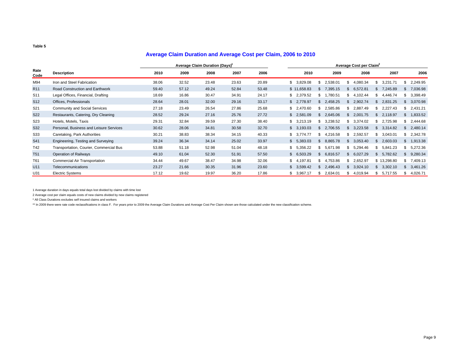#### **Average Claim Duration and Average Cost per Claim, 2006 to 2010**

|                 |                                         | Average Claim Duration (Days)' |       |       |       |       | Average Cost per Claim <sup>2</sup> |  |                 |               |          |     |              |                |            |
|-----------------|-----------------------------------------|--------------------------------|-------|-------|-------|-------|-------------------------------------|--|-----------------|---------------|----------|-----|--------------|----------------|------------|
| Rate<br>Code    | <b>Description</b>                      | 2010                           | 2009  | 2008  | 2007  | 2006  | 2010                                |  | 2009            |               | 2008     |     | 2007         |                | 2006       |
| M94             | Iron and Steel Fabrication              | 38.06                          | 32.52 | 23.48 | 23.63 | 20.89 | 3.829.08                            |  | 2.538.01<br>\$  |               | 4.080.34 | \$. | ,231.71<br>3 |                | 2,249.95   |
| R <sub>11</sub> | Road Construction and Earthwork         | 59.40                          | 57.12 | 49.24 | 52.84 | 53.48 | \$11,658.83                         |  | 7,395.15        |               | 6,572.81 | SS. | 7,245.89     |                | 7,036.98   |
| S <sub>11</sub> | Legal Offices, Financial, Drafting      | 18.69                          | 16.86 | 30.47 | 34.91 | 24.17 | \$2,379.52                          |  | 1,780.51<br>S.  | £.            | 4,102.44 | \$  | 4,446.74     |                | 3,398.49   |
| S <sub>12</sub> | Offices, Professionals                  | 28.64                          | 28.01 | 32.00 | 29.16 | 33.17 | \$2,778.97                          |  | \$2,458.25      | .S            | 2,902.74 | \$  | 2,831.25     | \$             | 3,070.98   |
| S21             | <b>Community and Social Services</b>    | 27.18                          | 23.49 | 26.54 | 27.86 | 25.68 | \$2,470.60                          |  | 2,585.86<br>s.  | Я.            | 2,887.49 | \$. | 2,227.43     | S.             | 2,431.21   |
| <b>S22</b>      | Restaurants, Catering, Dry Cleaning     | 28.52                          | 29.24 | 27.16 | 25.76 | 27.72 | \$2,581.09                          |  | \$2,645.06      | \$.           | 2,001.75 | \$  | 2,118.97     |                | \$1,833.52 |
| S <sub>23</sub> | Hotels, Motels, Taxis                   | 29.31                          | 32.84 | 39.59 | 27.30 | 38.40 | \$3.213.19                          |  | 3,238.52<br>\$. | .ፍ            | 3,374.02 | \$  | 2,725.98     | \$.            | 2,444.68   |
| S32             | Personal, Business and Leisure Services | 30.62                          | 28.06 | 34.81 | 30.58 | 32.70 | \$3.193.03                          |  | 2.706.55<br>\$. |               | 3,223.58 | S.  | 3,314.82     | $\mathfrak{L}$ | 2,480.14   |
| S33             | Caretaking, Park Authorities            | 30.21                          | 38.83 | 38.34 | 34.15 | 40.33 | \$3.774.77                          |  | 4,216.58<br>S.  | Я.            | 2,592.57 | \$  | 3,043.01     |                | \$2,342.78 |
| S41             | Engineering, Testing and Surveying      | 39.24                          | 36.34 | 34.14 | 25.02 | 33.97 | \$5.383.03                          |  | 8.865.78<br>S.  | \$.           | 3.053.40 | \$  | 2,603.03     |                | \$1,913.38 |
| T42             | Transportation, Courier, Commercial Bus | 53.88                          | 51.18 | 52.98 | 51.04 | 48.18 | \$5,356.22                          |  | 5,671.98<br>\$. | \$.           | 5,294.46 | \$. | 5,841.23     |                | \$5,272.36 |
| <b>T51</b>      | Operation of Railways                   | 49.10                          | 61.04 | 52.30 | 51.91 | 57.50 | \$6,503.29                          |  | 6,816.57<br>\$. |               | 6,027.29 | \$. | 5,782.62     |                | \$9,280.34 |
| T61             | <b>Commercial Air Transportation</b>    | 34.44                          | 49.67 | 38.47 | 34.98 | 32.06 | \$4,197.81                          |  | 4,753.86<br>\$. | .ፍ            | 2,652.97 |     | \$13,298.80  | \$.            | 7,409.13   |
| U11             | Telecommunications                      | 23.27                          | 21.66 | 30.35 | 31.96 | 23.60 | \$3,599.42                          |  | \$2.496.43      | $\mathcal{L}$ | 3,924.10 | \$  | 3,302.10     | \$             | 3,461.26   |
| U31             | <b>Electric Systems</b>                 | 17.12                          | 19.62 | 19.97 | 36.20 | 17.86 | \$3,967.17                          |  | 2,634.01<br>s.  | \$.           | 4,019.94 | s.  | 5,717.55     | s.             | 4,026.71   |

1 Average duration in days equals total days lost divided by claims with time lost

2 Average cost per claim equals costs of new claims divided by new claims registered

\* All Class Durations excludes self insured claims and workers

\*\* In 2009 there were rate code reclassifications in class F. For years prior to 2009 the Average Claim Durations and Average Cost Per Claim shown are those calculated under the new classification scheme.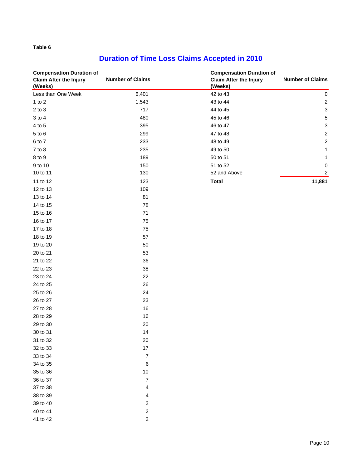# **Duration of Time Loss Claims Accepted in 2010**

| <b>Compensation Duration of</b><br><b>Claim After the Injury</b><br>(Weeks) | <b>Number of Claims</b> | <b>Compensation Duration of</b><br><b>Claim After the Injury</b><br>(Weeks) | <b>Number of Claims</b>   |
|-----------------------------------------------------------------------------|-------------------------|-----------------------------------------------------------------------------|---------------------------|
| Less than One Week                                                          | 6,401                   | 42 to 43                                                                    | $\pmb{0}$                 |
| 1 to $2$                                                                    | 1,543                   | 43 to 44                                                                    | $\overline{c}$            |
| $2$ to $3$                                                                  | 717                     | 44 to 45                                                                    | $\ensuremath{\mathsf{3}}$ |
| $3$ to $4$                                                                  | 480                     | 45 to 46                                                                    | $\mathbf 5$               |
| 4 to 5                                                                      | 395                     | 46 to 47                                                                    | $\ensuremath{\mathsf{3}}$ |
| 5 to 6                                                                      | 299                     | 47 to 48                                                                    | $\sqrt{2}$                |
| 6 to 7                                                                      | 233                     | 48 to 49                                                                    | $\boldsymbol{2}$          |
| $7$ to $8$                                                                  | 235                     | 49 to 50                                                                    | 1                         |
| 8 to 9                                                                      | 189                     | 50 to 51                                                                    | 1                         |
| 9 to 10                                                                     | 150                     | 51 to 52                                                                    | 0                         |
| 10 to 11                                                                    | 130                     | 52 and Above                                                                | $\overline{\mathbf{c}}$   |
| 11 to 12                                                                    | 123                     | <b>Total</b>                                                                | 11,881                    |
| 12 to 13                                                                    | 109                     |                                                                             |                           |
| 13 to 14                                                                    | 81                      |                                                                             |                           |
| 14 to 15                                                                    | 78                      |                                                                             |                           |
| 15 to 16                                                                    | 71                      |                                                                             |                           |
| 16 to 17                                                                    | 75                      |                                                                             |                           |
| 17 to 18                                                                    | 75                      |                                                                             |                           |
| 18 to 19                                                                    | 57                      |                                                                             |                           |
| 19 to 20                                                                    | 50                      |                                                                             |                           |
| 20 to 21                                                                    | 53                      |                                                                             |                           |
| 21 to 22                                                                    | 36                      |                                                                             |                           |
| 22 to 23                                                                    | 38                      |                                                                             |                           |
| 23 to 24                                                                    | 22                      |                                                                             |                           |
| 24 to 25                                                                    | 26                      |                                                                             |                           |
| 25 to 26                                                                    | 24                      |                                                                             |                           |
| 26 to 27                                                                    | 23                      |                                                                             |                           |
| 27 to 28                                                                    | 16                      |                                                                             |                           |
| 28 to 29                                                                    | 16                      |                                                                             |                           |
| 29 to 30                                                                    | $20\,$                  |                                                                             |                           |
| 30 to 31                                                                    | 14                      |                                                                             |                           |
| 31 to 32                                                                    | $20\,$                  |                                                                             |                           |
| 32 to 33                                                                    | 17                      |                                                                             |                           |
| 33 to 34                                                                    | $\overline{7}$          |                                                                             |                           |
| 34 to 35                                                                    | 6                       |                                                                             |                           |
| 35 to 36                                                                    | $10$                    |                                                                             |                           |
| 36 to 37                                                                    | $\boldsymbol{7}$        |                                                                             |                           |
| 37 to 38                                                                    | 4                       |                                                                             |                           |
| 38 to 39                                                                    | 4                       |                                                                             |                           |
| 39 to 40                                                                    | 2                       |                                                                             |                           |
| 40 to 41                                                                    | $\sqrt{2}$              |                                                                             |                           |
| 41 to 42                                                                    | $\boldsymbol{2}$        |                                                                             |                           |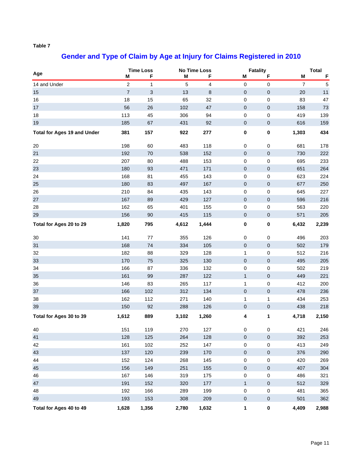# **Gender and Type of Claim by Age at Injury for Claims Registered in 2010**

| Age                                | M              | <b>Time Loss</b><br>F | M     | No Time Loss<br>F | M            | <b>Fatality</b><br>F | M              | <b>Total</b><br>F |
|------------------------------------|----------------|-----------------------|-------|-------------------|--------------|----------------------|----------------|-------------------|
| 14 and Under                       | $\overline{c}$ | $\mathbf{1}$          | 5     | 4                 | 0            | $\pmb{0}$            | $\overline{7}$ | $\mathbf 5$       |
| 15                                 | $\overline{7}$ | 3                     | 13    | 8                 | $\mathbf 0$  | $\pmb{0}$            | 20             | 11                |
| 16                                 | 18             | 15                    | 65    | 32                | 0            | 0                    | 83             | 47                |
| 17                                 | 56             | 26                    | 102   | 47                | $\mathbf 0$  | $\mathbf 0$          | 158            | 73                |
| 18                                 | 113            | 45                    | 306   | 94                | 0            | $\mathbf 0$          | 419            | 139               |
| 19                                 | 185            | 67                    | 431   | 92                | $\mathbf 0$  | $\pmb{0}$            | 616            | 159               |
| <b>Total for Ages 19 and Under</b> | 381            | 157                   | 922   | 277               | 0            | $\pmb{0}$            | 1,303          | 434               |
| 20                                 | 198            | 60                    | 483   | 118               | 0            | 0                    | 681            | 178               |
| 21                                 | 192            | 70                    | 538   | 152               | $\pmb{0}$    | $\pmb{0}$            | 730            | 222               |
| 22                                 | 207            | 80                    | 488   | 153               | 0            | $\pmb{0}$            | 695            | 233               |
| 23                                 | 180            | 93                    | 471   | 171               | $\mathbf 0$  | $\pmb{0}$            | 651            | 264               |
| 24                                 | 168            | 81                    | 455   | 143               | 0            | $\pmb{0}$            | 623            | 224               |
| 25                                 | 180            | 83                    | 497   | 167               | $\mathbf 0$  | $\pmb{0}$            | 677            | 250               |
| 26                                 | 210            | 84                    | 435   | 143               | 0            | $\mathbf 0$          | 645            | 227               |
| $27\,$                             | 167            | 89                    | 429   | 127               | $\mathbf 0$  | $\pmb{0}$            | 596            | 216               |
| 28                                 | 162            | 65                    | 401   | 155               | 0            | $\pmb{0}$            | 563            | 220               |
| 29                                 | 156            | $90\,$                | 415   | 115               | $\mathbf 0$  | $\pmb{0}$            | 571            | 205               |
| Total for Ages 20 to 29            | 1,820          | 795                   | 4,612 | 1,444             | 0            | $\pmb{0}$            | 6,432          | 2,239             |
| 30                                 | 141            | 77                    | 355   | 126               | 0            | 0                    | 496            | 203               |
| 31                                 | 168            | 74                    | 334   | 105               | $\mathbf 0$  | $\mathbf 0$          | 502            | 179               |
| 32                                 | 182            | 88                    | 329   | 128               | 1            | $\pmb{0}$            | 512            | 216               |
| 33                                 | 170            | 75                    | 325   | 130               | $\mathbf 0$  | $\mathbf 0$          | 495            | 205               |
| 34                                 | 166            | 87                    | 336   | 132               | 0            | $\mathbf 0$          | 502            | 219               |
| 35                                 | 161            | 99                    | 287   | 122               | $\mathbf{1}$ | $\pmb{0}$            | 449            | 221               |
| 36                                 | 146            | 83                    | 265   | 117               | 1            | 0                    | 412            | 200               |
| 37                                 | 166            | 102                   | 312   | 134               | $\pmb{0}$    | $\pmb{0}$            | 478            | 236               |
| 38                                 | 162            | 112                   | 271   | 140               | 1            | $\mathbf{1}$         | 434            | 253               |
| 39                                 | 150            | 92                    | 288   | 126               | $\mathbf 0$  | $\pmb{0}$            | 438            | 218               |
| Total for Ages 30 to 39            | 1,612          | 889                   | 3,102 | 1,260             | 4            | 1                    | 4,718          | 2,150             |
| 40                                 | 151            | 119                   | 270   | 127               | 0            | 0                    | 421            | 246               |
| 41                                 | 128            | 125                   | 264   | 128               | $\mathbf 0$  | $\pmb{0}$            | 392            | 253               |
| 42                                 | 161            | 102                   | 252   | 147               | 0            | $\pmb{0}$            | 413            | 249               |
| 43                                 | 137            | 120                   | 239   | 170               | $\pmb{0}$    | $\pmb{0}$            | 376            | 290               |
| 44                                 | 152            | 124                   | 268   | 145               | 0            | 0                    | 420            | 269               |
| 45                                 | 156            | 149                   | 251   | 155               | $\mathbf 0$  | $\pmb{0}$            | 407            | 304               |
| 46                                 | 167            | 146                   | 319   | 175               | 0            | $\pmb{0}$            | 486            | 321               |
| 47                                 | 191            | 152                   | 320   | 177               | $\mathbf{1}$ | $\pmb{0}$            | 512            | 329               |
| 48                                 | 192            | 166                   | 289   | 199               | 0            | 0                    | 481            | 365               |
| 49                                 | 193            | 153                   | 308   | 209               | $\pmb{0}$    | $\pmb{0}$            | 501            | 362               |
| Total for Ages 40 to 49            | 1,628          | 1,356                 | 2,780 | 1,632             | 1            | $\pmb{0}$            | 4,409          | 2,988             |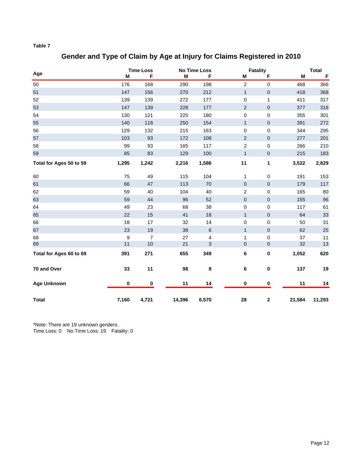### **Gender and Type of Claim by Age at Injury for Claims Registered in 2010**

|                         |                  | <b>Time Loss</b> |        | <b>No Time Loss</b> |                  | <b>Fatality</b> |        | <b>Total</b> |
|-------------------------|------------------|------------------|--------|---------------------|------------------|-----------------|--------|--------------|
| Age                     | M                | F                | M      | F                   | Μ                | F               | М      | $\mathsf F$  |
| 50                      | 176              | 168              | 290    | 198                 | $\boldsymbol{2}$ | $\pmb{0}$       | 468    | 366          |
| 51                      | 147              | 156              | 270    | 212                 | $\mathbf{1}$     | $\pmb{0}$       | 418    | 368          |
| 52                      | 139              | 139              | 272    | 177                 | $\mathsf 0$      | $\mathbf{1}$    | 411    | 317          |
| 53                      | 147              | 139              | 228    | 177                 | $\overline{2}$   | $\pmb{0}$       | 377    | 316          |
| 54                      | 130              | 121              | 225    | 180                 | $\pmb{0}$        | $\pmb{0}$       | 355    | 301          |
| 55                      | 140              | 118              | 250    | 154                 | $\mathbf{1}$     | $\pmb{0}$       | 391    | 272          |
| 56                      | 129              | 132              | 215    | 163                 | $\pmb{0}$        | $\pmb{0}$       | 344    | 295          |
| 57                      | 103              | 93               | 172    | 108                 | $\overline{2}$   | $\pmb{0}$       | 277    | 201          |
| 58                      | 99               | 93               | 165    | 117                 | $\overline{2}$   | $\pmb{0}$       | 266    | 210          |
| 59                      | 85               | 83               | 129    | 100                 | $\mathbf{1}$     | $\pmb{0}$       | 215    | 183          |
| Total for Ages 50 to 59 | 1,295            | 1,242            | 2,216  | 1,586               | 11               | $\mathbf{1}$    | 3,522  | 2,829        |
| 60                      | 75               | 49               | 115    | 104                 | $\mathbf{1}$     | $\pmb{0}$       | 191    | 153          |
| 61                      | 66               | 47               | 113    | 70                  | $\mathbf 0$      | $\pmb{0}$       | 179    | 117          |
| 62                      | 59               | 40               | 104    | 40                  | $\boldsymbol{2}$ | 0               | 165    | 80           |
| 63                      | 59               | 44               | 96     | 52                  | $\pmb{0}$        | $\pmb{0}$       | 155    | 96           |
| 64                      | 49               | 23               | 68     | 38                  | 0                | $\pmb{0}$       | 117    | 61           |
| 65                      | 22               | 15               | 41     | 18                  | $\mathbf{1}$     | $\pmb{0}$       | 64     | $33\,$       |
| 66                      | 18               | 17               | 32     | 14                  | $\pmb{0}$        | $\pmb{0}$       | 50     | 31           |
| 67                      | 23               | 19               | 38     | $\,6\,$             | $\mathbf{1}$     | $\pmb{0}$       | 62     | 25           |
| 68                      | $\boldsymbol{9}$ | $\overline{7}$   | 27     | 4                   | 1                | $\mathbf 0$     | 37     | 11           |
| 69                      | 11               | 10               | 21     | 3                   | $\mathbf 0$      | $\pmb{0}$       | 32     | 13           |
| Total for Ages 60 to 69 | 391              | 271              | 655    | 349                 | $\bf 6$          | $\bf{0}$        | 1,052  | 620          |
| 70 and Over             | 33               | 11               | 98     | 8                   | $\bf 6$          | $\pmb{0}$       | 137    | 19           |
| <b>Age Unknown</b>      | 0                | 0                | 11     | 14                  | $\pmb{0}$        | $\bf{0}$        | 11     | 14           |
| <b>Total</b>            | 7,160            | 4,721            | 14,396 | 6,570               | 28               | $\mathbf 2$     | 21,584 | 11,293       |

\*Note: There are 19 unknown genders.

Time Loss: 0 No Time Loss: 19 Fatality: 0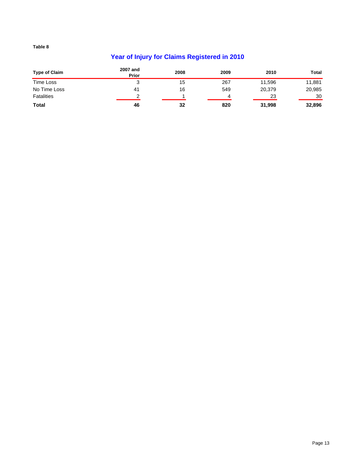# **Year of Injury for Claims Registered in 2010**

| <b>Type of Claim</b> | 2007 and<br>Prior | 2008 | 2009 | 2010   | Total  |
|----------------------|-------------------|------|------|--------|--------|
| Time Loss            |                   | 15   | 267  | 11,596 | 11,881 |
| No Time Loss         | 4 <sup>1</sup>    | 16   | 549  | 20,379 | 20,985 |
| <b>Fatalities</b>    | ⌒                 |      | 4    | 23     | 30     |
| <b>Total</b>         | 46                | 32   | 820  | 31,998 | 32,896 |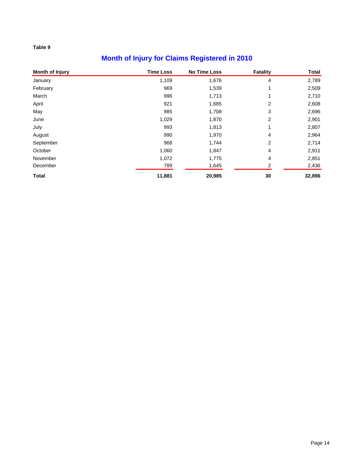# **Month of Injury for Claims Registered in 2010**

| Month of Injury | <b>Time Loss</b> | <b>No Time Loss</b> | <b>Fatality</b> | <b>Total</b> |
|-----------------|------------------|---------------------|-----------------|--------------|
| January         | 1,109            | 1,676               | 4               | 2,789        |
| February        | 969              | 1,539               |                 | 2,509        |
| March           | 996              | 1,713               | 1               | 2,710        |
| April           | 921              | 1,685               | 2               | 2,608        |
| May             | 985              | 1,708               | 3               | 2,696        |
| June            | 1,029            | 1,870               | 2               | 2,901        |
| July            | 993              | 1,813               |                 | 2,807        |
| August          | 990              | 1,970               | 4               | 2,964        |
| September       | 968              | 1,744               | 2               | 2,714        |
| October         | 1,060            | 1,847               | 4               | 2,911        |
| November        | 1,072            | 1,775               | 4               | 2,851        |
| December        | 789              | 1,645               | 2               | 2,436        |
| <b>Total</b>    | 11,881           | 20,985              | 30              | 32,896       |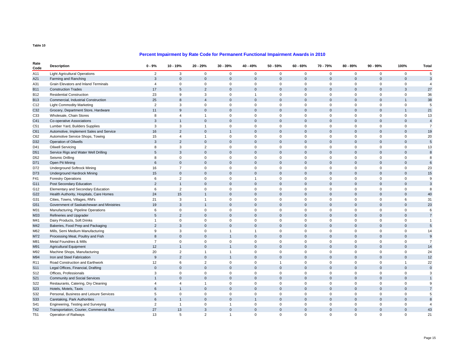#### **Percent Impairment by Rate Code for Permanent Functional Impairment Awards in 2010**

| Rate<br>Code    | <b>Description</b>                        | $0 - 9%$       | 10 - 19%       | 20 - 29%       | $30 - 39%$     | 40 - 49%       | $50 - 59%$          | $60 - 69%$     | 70 - 79%    | $80 - 89%$   | $90 - 99%$   | 100%           | Total          |
|-----------------|-------------------------------------------|----------------|----------------|----------------|----------------|----------------|---------------------|----------------|-------------|--------------|--------------|----------------|----------------|
| A11             | <b>Light Agricultural Operations</b>      | $\overline{c}$ | 3              | $\mathsf 0$    | $\mathsf 0$    | $\mathbf 0$    | $\mathsf 0$         | $\mathbf 0$    | $\mathbf 0$ | $\mathbf 0$  | $\mathbf 0$  | $\mathbf 0$    | 5              |
| A21             | Farming and Ranching                      | $\mathbf{3}$   | $\Omega$       | $\mathbf{0}$   | $\mathbf{0}$   | $\Omega$       | $\mathbf{0}$        | $\Omega$       | $\Omega$    | $\mathbf{0}$ | $\Omega$     | $\Omega$       | $\mathbf{3}$   |
| A31             | Grain Elevators and Inland Terminals      | $\overline{4}$ | $\mathbf 0$    | $\mathbf 0$    | $\mathbf 0$    | $\Omega$       | $\mathbf 0$         | $\mathbf 0$    | $\Omega$    | $\mathbf 0$  | $\mathbf 0$  | $\mathbf 0$    | $\overline{4}$ |
| <b>B11</b>      | <b>Construction Trades</b>                | 17             | 5              | $\overline{2}$ | $\Omega$       | $\Omega$       | $\mathbf 0$         | $\Omega$       | $\Omega$    | $\mathbf 0$  | $\Omega$     | 3              | 27             |
| <b>B12</b>      | <b>Residential Construction</b>           | 23             | 9              | 3              | $\mathbf 0$    | $\overline{1}$ | $\mathbf 0$         | 0              | $\Omega$    | $\mathbf 0$  | $\mathbf 0$  | $\mathbf 0$    | 36             |
| <b>B13</b>      | Commercial, Industrial Construction       | 25             | 8              | $\overline{4}$ | $\mathbf{0}$   | $\Omega$       | $\mathsf 0$         | $\mathbf 0$    | $\Omega$    | $\mathbf 0$  | $\mathbf{0}$ | $\overline{1}$ | 38             |
| C <sub>12</sub> | <b>Light Commodity Marketing</b>          | $\overline{2}$ | 3              | $\mathbf 0$    | $\mathbf 0$    | $\mathbf 0$    | $\mathbf 0$         | $\Omega$       | $\Omega$    | $\mathbf 0$  | $\mathbf 0$  | $\Omega$       | 5              |
| C32             | Grocery, Department Store, Hardware       | 11             | 9              | $\mathsf 0$    | $\mathsf 0$    | $\mathbf 0$    | $\mathsf 0$         | $\mathbf 0$    | $\mathbf 0$ | $\mathbf 0$  | $\mathbf{0}$ | $\overline{1}$ | 21             |
| C33             | Wholesale, Chain Stores                   | 8              | $\overline{4}$ | $\mathbf{1}$   | $\mathbf 0$    | $\Omega$       | $\mathbf 0$         | $\mathbf 0$    | $\Omega$    | $\mathbf 0$  | $\mathbf 0$  | $\Omega$       | 13             |
| C41             | Co-operative Associations                 | $\mathbf{3}$   | $\overline{1}$ | $\mathsf 0$    | $\mathsf 0$    | $\mathbf 0$    | $\mathsf 0$         | $\mathbf 0$    | $\mathbf 0$ | $\mathbf 0$  | $\mathbf{0}$ | $\mathbf 0$    | $\overline{4}$ |
| C <sub>51</sub> | Lumber Yard, Builders Supplies            | 3              | 3              | $\mathbf{1}$   | $\mathbf 0$    | $\mathbf 0$    | $\mathsf 0$         | $\mathbf 0$    | $\mathbf 0$ | $\mathbf 0$  | $\mathbf 0$  | $\mathbf 0$    | $\overline{7}$ |
| C61             | Automotive, Implement Sales and Service   | 16             | $\overline{2}$ | $\mathbf 0$    | $\mathbf{1}$   | $\mathbf 0$    | $\mathsf{O}\xspace$ | $\mathbf 0$    | $\mathbf 0$ | $\mathbf 0$  | $\mathbf{0}$ | $\mathbf{0}$   | 19             |
| C62             | Automotive Service Shops, Towing          | 15             | $\overline{4}$ | $\mathbf{1}$   | $\mathsf 0$    | $\mathbf 0$    | $\mathsf 0$         | $\mathbf 0$    | $\Omega$    | $\mathbf 0$  | $\mathbf 0$  | $\mathbf 0$    | 20             |
| D32             | <b>Operation of Oilwells</b>              | 3              | $\overline{2}$ | $\mathbf{0}$   | $\mathbf{0}$   | $\Omega$       | $\mathsf 0$         | $\Omega$       | $\Omega$    | $\mathbf 0$  | $\Omega$     | $\Omega$       | 5              |
| D41             | <b>Oilwell Servicing</b>                  | 8              | 3              | $\overline{2}$ | $\mathsf 0$    | $\Omega$       | $\mathsf 0$         | $\mathbf 0$    | $\Omega$    | $\mathbf 0$  | $\mathbf 0$  | $\mathbf 0$    | 13             |
| D <sub>51</sub> | Service Rigs and Water Well Drilling      | 5              | 3              | $\mathsf 0$    | $\Omega$       | $\Omega$       | $\mathsf 0$         | $\Omega$       | $\Omega$    | $\mathbf 0$  | $\Omega$     | $\Omega$       | 8              |
| D <sub>52</sub> | Seismic Drilling                          | 8              | $\mathbf 0$    | $\mathsf 0$    | $\mathbf 0$    | $\Omega$       | $\mathsf 0$         | $\mathbf 0$    | $\Omega$    | $\mathbf 0$  | $\mathbf 0$  | $\Omega$       | 8              |
| D71             | Open Pit Mining                           | 6              | $\mathbf 0$    | $\mathsf 0$    | $\mathbf{0}$   | $\Omega$       | $\mathsf 0$         | $\Omega$       | $\Omega$    | $\mathbf 0$  | $\Omega$     | $\Omega$       | 6              |
| D72             | <b>Underground Softrock Mining</b>        | 16             | $\overline{7}$ | $\mathsf 0$    | $\mathbf 0$    | $\mathbf 0$    | $\mathsf 0$         | $\mathbf 0$    | $\Omega$    | $\mathbf 0$  | $\mathbf 0$  | $\Omega$       | 23             |
| D73             | Underground Hardrock Mining               | 15             | $\overline{0}$ | $\mathsf 0$    | $\Omega$       | $\Omega$       | $\mathsf 0$         | $\Omega$       | $\Omega$    | $\mathbf 0$  | $\Omega$     | $\Omega$       | 15             |
| F41             | <b>Forestry Operations</b>                | 6              | $\overline{2}$ | $\mathbf 0$    | $\mathbf 0$    | $\mathbf{1}$   | $\mathbf 0$         | $\mathbf 0$    | $\Omega$    | $\mathbf 0$  | $\mathbf 0$  | $\Omega$       | 9              |
| G11             | Post Secondary Education                  | $\overline{2}$ | $\overline{1}$ | $\mathsf 0$    | $\Omega$       | $\Omega$       | $\mathsf 0$         | $\Omega$       | $\Omega$    | $\mathbf 0$  | $\Omega$     | $\Omega$       | $\mathbf{3}$   |
| G12             | Elementary and Secondary Education        | 6              | $\overline{2}$ | $\mathbf 0$    | $\mathbf 0$    | $\mathbf 0$    | $\mathbf 0$         | $\Omega$       | $\Omega$    | $\mathbf 0$  | $\mathbf 0$  | $\Omega$       | 8              |
| G22             | Health Authority, Hospitals, Care Homes   | 24             | 15             | $\overline{1}$ | $\Omega$       | $\Omega$       | $\mathsf 0$         | $\Omega$       | $\Omega$    | $\mathbf 0$  | $\Omega$     | $\Omega$       | 40             |
| G31             | Cities, Towns, Villages, RM's             | 21             | 3              | $\overline{1}$ | $\mathbf 0$    | $\mathbf 0$    | $\mathbf 0$         | $\mathbf 0$    | $\Omega$    | $\mathbf 0$  | $\mathbf 0$  | 6              | 31             |
| G51             | Government of Saskatchewan and Ministries | 19             | 3              | $\overline{1}$ | $\Omega$       | $\Omega$       | $\mathsf 0$         | $\Omega$       | $\Omega$    | $\mathbf 0$  | $\Omega$     | $\Omega$       | 23             |
| M31             | Manufacturing, Pipeline Operations        | 6              | $\mathbf 0$    | $\mathbf 0$    | $\mathbf 0$    | $\Omega$       | $\mathsf 0$         | $\Omega$       | $\Omega$    | $\mathbf 0$  | $\mathbf 0$  | $\Omega$       | 6              |
| M33             | Refineries and Upgrader                   | 5              | $\overline{2}$ | $\mathbf{0}$   | $\mathbf 0$    | $\mathbf 0$    | $\mathbf{0}$        | $\mathbf 0$    | $\mathbf 0$ | $\mathbf{0}$ | $\mathbf{0}$ | $\mathbf 0$    | $\overline{7}$ |
| M41             | Dairy Products, Soft Drinks               | $\mathbf{1}$   | $\mathbf 0$    | $\mathsf 0$    | $\mathbf 0$    | $\Omega$       | $\mathsf 0$         | $\mathbf 0$    | $\Omega$    | $\mathbf 0$  | $\mathbf 0$  | $\mathbf 0$    | $\mathbf{1}$   |
| M42             | Bakeries, Food Prep and Packaging         | 2              | 3              | $\mathbf{0}$   | $\Omega$       | $\Omega$       | $\mathbf{0}$        | $\Omega$       | $\Omega$    | $\mathbf{0}$ | $\Omega$     | $\Omega$       | 5              |
| M62             | Mills, Semi Medium Manufacturing          | 9              | 3              | $\mathsf 0$    | $\mathbf{1}$   | $\overline{1}$ | $\mathsf 0$         | $\mathbf 0$    | $\Omega$    | $\mathbf 0$  | $\mathbf 0$  | $\mathbf 0$    | 14             |
| M72             | Processing Meat, Poultry and Fish         | 8              | $\Omega$       | $\mathbf{0}$   | $\overline{1}$ | $\Omega$       | $\mathbf{0}$        | $\Omega$       | $\Omega$    | $\mathbf{0}$ | $\Omega$     | $\Omega$       | 9              |
| M81             | Metal Foundries & Mills                   | $\overline{7}$ | $\mathbf 0$    | $\mathsf 0$    | $\mathsf 0$    | $\Omega$       | $\mathsf 0$         | $\mathbf 0$    | $\Omega$    | $\mathbf 0$  | $\mathbf 0$  | $\Omega$       | $\overline{7}$ |
| M91             | <b>Agricultural Equipment</b>             | 12             | $\overline{1}$ | $\mathbf{0}$   | $\overline{1}$ | $\Omega$       | $\mathbf{0}$        | $\Omega$       | $\Omega$    | $\mathbf{0}$ | $\Omega$     | $\Omega$       | 14             |
| M92             | Machine Shops, Manufacturing              | 20             | $\overline{2}$ | $\mathbf{1}$   | $\mathbf{1}$   | $\Omega$       | $\mathsf 0$         | $\mathbf 0$    | $\Omega$    | $\mathbf 0$  | $\mathbf 0$  | $\mathbf 0$    | 24             |
| M94             | Iron and Steel Fabrication                | $\mathsf g$    | $\overline{2}$ | $\mathsf 0$    | $\mathbf{1}$   | $\Omega$       | $\mathsf 0$         | $\Omega$       | $\Omega$    | $\mathbf{0}$ | $\Omega$     | $\Omega$       | 12             |
| R <sub>11</sub> | Road Construction and Earthwork           | 12             | 6              | $\overline{2}$ | $\mathbf 0$    | $\Omega$       | $\overline{1}$      | $\Omega$       | $\Omega$    | $\mathbf 0$  | $\Omega$     | $\overline{1}$ | 22             |
| S11             | Legal Offices, Financial, Drafting        | $\Omega$       | $\Omega$       | $\mathsf 0$    | $\Omega$       | $\Omega$       | $\mathsf 0$         | $\Omega$       | $\Omega$    | $\mathbf 0$  | $\Omega$     | $\Omega$       | $\mathbf 0$    |
| S <sub>12</sub> | Offices, Professionals                    | 3              | $\Omega$       | $\mathbf 0$    | $\mathbf 0$    | $\Omega$       | $\mathbf 0$         | $\mathbf 0$    | $\Omega$    | $\mathbf 0$  | $\mathbf 0$  | $\Omega$       | 3              |
| S21             | Community and Social Services             | $\mathbf{1}$   | $\Omega$       | $\mathsf 0$    | $\mathbf{0}$   | $\Omega$       | $\mathsf 0$         | $\mathbf 0$    | $\Omega$    | $\mathbf 0$  | $\mathbf{0}$ | $\Omega$       | $\mathbf{1}$   |
| S22             | Restaurants, Catering, Dry Cleaning       | $\overline{4}$ | $\overline{4}$ | $\overline{1}$ | $\mathsf 0$    | $\Omega$       | $\mathsf 0$         | $\mathbf 0$    | $\Omega$    | $\mathbf 0$  | $\mathsf 0$  | $\Omega$       | 9              |
| S23             | Hotels, Motels, Taxis                     | 6              | $\overline{1}$ | $\mathsf 0$    | $\mathbf{0}$   | $\Omega$       | $\mathsf 0$         | $\overline{0}$ | $\Omega$    | $\mathbf 0$  | $\mathbf{0}$ | $\Omega$       | $\overline{7}$ |
| S32             | Personal, Business and Leisure Services   | 5              | $\mathbf 0$    | $\mathsf 0$    | $\mathsf 0$    | $\mathbf 0$    | $\mathsf 0$         | $\mathbf 0$    | $\Omega$    | $\mathbf 0$  | $\mathbf 0$  | $\Omega$       | 5              |
| S33             | Caretaking, Park Authorities              | 6              | $\overline{1}$ | $\mathbf{0}$   | $\Omega$       |                | $\mathbf{0}$        | $\Omega$       | $\Omega$    | $\mathbf{0}$ | $\Omega$     | $\Omega$       | 8              |
| S41             | Engineering, Testing and Surveying        | $\overline{2}$ | $\overline{1}$ | $\mathsf 0$    | $\mathbf{1}$   | $\mathsf 0$    | $\mathsf 0$         | $\mathbf 0$    | $\mathbf 0$ | $\mathbf 0$  | $\mathbf 0$  | 0              | $\overline{4}$ |
| T42             | Transportation, Courier, Commercial Bus   | 27             | 13             | 3              | $\Omega$       | $\Omega$       | $\mathbf{0}$        | $\Omega$       | $\Omega$    | $\mathbf{0}$ | $\Omega$     | $\Omega$       | 43             |
| T51             | Operation of Railways                     | 13             | 5              | $\overline{2}$ | $\mathbf{1}$   | $\Omega$       | $\mathbf 0$         | $\mathbf 0$    | $\Omega$    | $\mathbf 0$  | $\mathbf 0$  | $\Omega$       | 21             |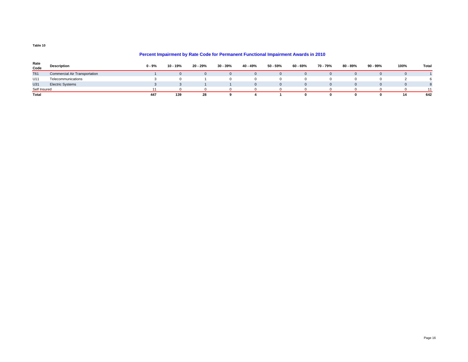#### **Percent Impairment by Rate Code for Permanent Functional Impairment Awards in 2010**

| Rate<br>Code | Description                          | $0 - 9%$ | 10 - 19% | 20 - 29% | 30 - 39% | 40 - 49% | 50 - 59% | 60 - 69% | 70 - 79% | 80 - 89% | 90 - 99% | 100% | Total |
|--------------|--------------------------------------|----------|----------|----------|----------|----------|----------|----------|----------|----------|----------|------|-------|
| <b>T61</b>   | <b>Commercial Air Transportation</b> |          |          |          |          |          |          |          |          |          |          |      |       |
| U11          | Telecommunications                   |          |          |          |          |          |          |          |          |          |          |      |       |
| U31          | <b>Electric Systems</b>              |          |          |          |          | $\Omega$ |          |          |          |          |          |      |       |
| Self Insured |                                      |          |          |          |          |          |          |          |          |          |          |      | 11    |
| Total        |                                      | 447      | 139      | 28       |          |          |          |          |          |          |          | 14   | 642   |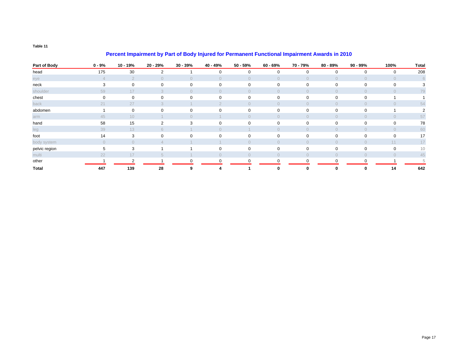### **Percent Impairment by Part of Body Injured for Permanent Functional Impairment Awards in 2010**

| Part of Body  | $0 - 9%$    | 10 - 19%       | 20 - 29%       | $30 - 39%$     | 40 - 49%     | $50 - 59%$     | $60 - 69%$   | 70 - 79%       | 80 - 89%       | 90 - 99%       | 100%           | <b>Total</b> |
|---------------|-------------|----------------|----------------|----------------|--------------|----------------|--------------|----------------|----------------|----------------|----------------|--------------|
| head          | 175         | 30             | 2              |                | 0            | 0              | $\mathbf{0}$ | $\mathbf 0$    | $\mathbf 0$    | $\Omega$       | 0              | 208          |
| eye           |             | $\overline{2}$ |                | $\overline{0}$ | $\Omega$     | $\bigcap$      | $\Omega$     | $\overline{0}$ | $\overline{0}$ | $\Omega$       | $\Omega$       | 6            |
| neck          | 3           | $\mathbf 0$    | $\mathbf 0$    | 0              | 0            | 0              | $\mathbf{0}$ | 0              | 0              | $\mathbf 0$    | 0              |              |
| shoulder      | 59          | 17             | 3              | $\Omega$       | $\Omega$     | $\Omega$       | $\Omega$     | $\Omega$       | $\Omega$       | $\Omega$       | $\Omega$       | 79           |
| chest         | $\mathbf 0$ | 0              | $\mathbf 0$    | $\mathbf 0$    | $\mathbf{0}$ | 0              | $\mathbf{0}$ | 0              | $\mathbf{0}$   | $\mathbf 0$    |                |              |
| back          | 21          | 27             |                |                |              | $\Omega$       | $\Omega$     | $\overline{0}$ | $\Omega$       | $\bigcap$      |                | 54           |
| abdomen       |             | $\Omega$       | $\Omega$       | $\mathbf 0$    | 0            | $\mathbf 0$    | $\mathbf{0}$ | $\mathbf 0$    | $\mathbf{0}$   | $\Omega$       |                |              |
| arm           | 45          | 10             |                | $\Omega$       |              | $\Omega$       | $\Omega$     | $\overline{0}$ | $\overline{0}$ | $\overline{0}$ | $\overline{0}$ | 57           |
| hand          | 58          | 15             | $\overline{2}$ | 3              | $\mathbf 0$  | $\mathbf 0$    | $\mathbf{0}$ | $\mathbf 0$    | $\mathbf 0$    | $\mathbf 0$    | $\mathbf 0$    | 78           |
| leg           | 39          | 13             | 6              |                | $\Omega$     |                | $\bigcap$    | $\Omega$       | $\overline{0}$ | $\Omega$       | $\Omega$       | 60           |
| foot          | 14          | 3              | 0              | $\mathbf 0$    | 0            | 0              | $\mathbf{0}$ | 0              | $\mathbf{0}$   | $\mathbf 0$    | $\Omega$       | 17           |
| body system   | $\Omega$    | $\Omega$       |                |                |              | $\Omega$       | $\Omega$     | $\Omega$       | $\Omega$       | $\Omega$       | 11             | 17           |
| pelvic region | 5           | 3              |                |                | $\mathbf 0$  | 0              | $\mathbf{0}$ | 0              | 0              | 0              | $\Omega$       | 10           |
| multi         | 22          | 17             | $5^{\circ}$    |                | $\Omega$     | $\overline{0}$ | $\circ$      | $\overline{0}$ | $\overline{0}$ | $\overline{0}$ | $\Omega$       | 45           |
| other         |             | 2              |                | $\Omega$       | 0            | 0              | 0            | $\mathbf 0$    | $\mathbf 0$    | $\Omega$       |                |              |
| <b>Total</b>  | 447         | 139            | 28             | 9              |              |                | $\Omega$     | 0              | 0              |                | 14             | 642          |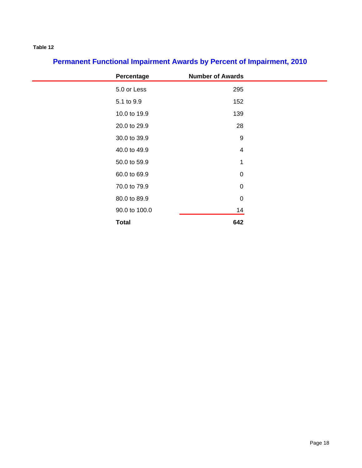| Percentage    | <b>Number of Awards</b> |
|---------------|-------------------------|
| 5.0 or Less   | 295                     |
| 5.1 to 9.9    | 152                     |
| 10.0 to 19.9  | 139                     |
| 20.0 to 29.9  | 28                      |
| 30.0 to 39.9  | $\boldsymbol{9}$        |
| 40.0 to 49.9  | $\overline{4}$          |
| 50.0 to 59.9  | 1                       |
| 60.0 to 69.9  | $\mathbf 0$             |
| 70.0 to 79.9  | $\mathbf 0$             |
| 80.0 to 89.9  | $\mathbf 0$             |
| 90.0 to 100.0 | 14                      |
| <b>Total</b>  | 642                     |

# **Permanent Functional Impairment Awards by Percent of Impairment, 2010**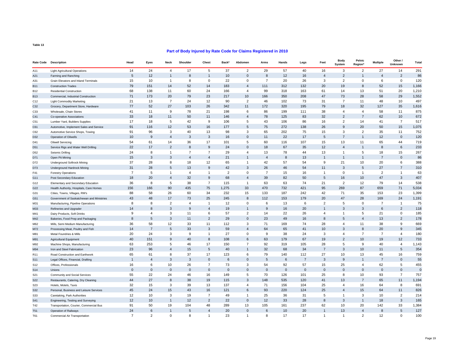#### **Part of Body Injured by Rate Code for Claims Registered in 2010**

| 24<br>17<br>5<br>37<br>$\overline{2}$<br>29<br>57<br>40<br>16<br>27<br>291<br>14<br>$\overline{4}$<br>3<br>2<br>14<br><b>Light Agricultural Operations</b><br>2<br>86<br>5<br>12<br>$\overline{1}$<br>8<br>$\overline{1}$<br>10<br>$\Omega$<br>8<br>12<br>16<br>$\overline{4}$<br>$\overline{2}$<br>$\overline{4}$<br>A21<br>Farming and Ranching<br>120<br>15<br>10<br>$\overline{1}$<br>8<br>$\mathbf 0$<br>22<br>$\mathsf 0$<br>$\overline{7}$<br>20<br>26<br>3<br>$\overline{2}$<br>0<br>6<br>$\mathbf 0$<br>A31<br>Grain Elevators and Inland Terminals<br>79<br>52<br>132<br>20<br>19<br>52<br>1,166<br>151<br>14<br>14<br>183<br>111<br>312<br>8<br>15<br><b>B11</b><br>$\overline{4}$<br><b>Construction Trades</b><br>68<br>60<br>166<br>163<br>20<br>1,210<br>138<br>11<br>24<br>$\overline{4}$<br>99<br>318<br>61<br>14<br>13<br>51<br><b>B12</b><br><b>Residential Construction</b><br>79<br>71<br>173<br>20<br>23<br>217<br>10<br>166<br>350<br>208<br>47<br>73<br>28<br>58<br>29<br>1,552<br><b>B13</b><br>Commercial, Industrial Construction<br>13<br>$\overline{7}$<br>24<br>12<br>73<br>10<br>497<br>21<br>90<br>$\overline{2}$<br>46<br>102<br>31<br>$\overline{7}$<br>11<br>48<br>C12<br><b>Light Commodity Marketing</b><br>77<br>52<br>27<br>103<br>26<br>11<br>172<br>320<br>195<br>79<br>35<br>1,616<br>342<br>18<br>32<br>127<br>C32<br>Grocery, Department Store, Hardware<br>9<br>78<br>875<br>41<br>11<br>21<br>198<br>6<br>86<br>199<br>111<br>38<br>$\overline{4}$<br>$\overline{4}$<br>58<br>11<br>C33<br>Wholesale, Chain Stores<br>33<br>50<br>11<br>78<br>83<br>32<br>$\overline{2}$<br>$\overline{7}$<br>10<br>672<br>C41<br>18<br>11<br>146<br>$\overline{4}$<br>125<br>62<br>Co-operative Associations<br>$\overline{5}$<br>42<br>86<br>$\overline{7}$<br>17<br>18<br>9<br>106<br>43<br>106<br>16<br>$\overline{c}$<br>14<br>517<br>5<br>41<br>C51<br>Lumber Yard, Builders Supplies<br>12<br>53<br>75<br>138<br>$\overline{9}$<br>1,075<br>91<br>116<br>16<br>177<br>5<br>272<br>26<br>20<br>50<br>15<br>C61<br>Automotive, Implement Sales and Service<br>752<br>96<br>3<br>40<br>13<br>65<br>202<br>75<br>15<br>2<br>11<br>91<br>98<br>3<br>3<br>35<br>C62<br>Automotive Service Shops, Towing<br>9<br>$\mathbf{3}$<br>$\mathbf{3}$<br>17<br>120<br>10<br>$\overline{4}$<br>$\mathbf 0$<br>11<br>22<br>5<br>$\overline{7}$<br>12<br>$\mathbf 0$<br>16<br>D32<br>Operation of Oilwells<br>$\mathbf{1}$<br>36<br>17<br>107<br>15<br>13<br>44<br>719<br>54<br>61<br>14<br>101<br>5<br>60<br>116<br>11<br>65<br>D41<br><b>Oilwell Servicing</b><br>22<br>17<br>2<br>8<br>9<br>$\Omega$<br>18<br>67<br>35<br>12<br>$\overline{4}$<br>8<br>6<br>233<br>24<br>D <sub>51</sub><br>Service Rigs and Water Well Drilling<br>$\overline{1}$<br>267<br>24<br>8<br>$\overline{7}$<br>$\overline{7}$<br>29<br>$\overline{4}$<br>13<br>78<br>44<br>13<br>$\overline{1}$<br>5<br>18<br>15<br>$\mathbf{1}$<br>D <sub>52</sub><br>Seismic Drilling<br>15<br>3<br>8<br>13<br>86<br>3<br>$\overline{4}$<br>$\overline{4}$<br>21<br>$\overline{4}$<br>$\overline{1}$<br>$\overline{1}$<br>$\overline{7}$<br>$\overline{0}$<br>D71<br>Open Pit Mining<br>$\mathbf{1}$<br>37<br>28<br>8<br>18<br>12<br>65<br>42<br>57<br>54<br>9<br>21<br>10<br>20<br>6<br>388<br>D72<br>$\mathbf{1}$<br><b>Underground Softrock Mining</b><br>9<br>42<br>26<br>54<br>3<br>310<br>31<br>28<br>5<br>13<br>3<br>46<br>11<br>5<br>27<br>$\overline{7}$<br>D73<br><b>Underground Hardrock Mining</b><br>$\overline{7}$<br>2<br>$\mathbf 0$<br>63<br>5<br>$\mathbf{1}$<br>$\overline{4}$<br>$\overline{1}$<br>$\Omega$<br>$\overline{7}$<br>15<br>16<br>$\overline{1}$<br>$\overline{1}$<br>$\overline{2}$<br>$\overline{1}$<br>F41<br><b>Forestry Operations</b><br>32<br>9<br>50<br>5<br>16<br>47<br>$\mathbf{3}$<br>407<br>18<br>20<br>$\overline{4}$<br>68<br>39<br>82<br>10 <sup>1</sup><br>$\overline{4}$<br>G11<br>Post Secondary Education<br>5<br>38<br>$\overline{7}$<br>115<br>63<br>74<br>21<br>$\overline{2}$<br>14<br>538<br>36<br>8<br>63<br>12<br>79<br>G12<br>$\mathbf{1}$<br>Elementary and Secondary Education<br>435<br>421<br>156<br>166<br>90<br>75<br>1.275<br>33<br>470<br>732<br>95<br>269<br>87<br>659<br>71<br>5,034<br>G22<br>Health Authority, Hospitals, Care Homes<br>26<br>187<br>23<br>88<br>58<br>60<br>34<br>232<br>133<br>242<br>42<br>71<br>35<br>153<br>1,399<br>G31<br>15<br>Cities, Towns, Villages, RM's<br>43<br>48<br>17<br>73<br>25<br>245<br>112<br>153<br>179<br>20<br>47<br>28<br>169<br>24<br>1,191<br>8<br>G51<br>Government of Saskatchewan and Ministries<br>8<br>8<br>2<br>12<br>$\mathbf 0$<br>6<br>13<br>6<br>$\overline{2}$<br>5<br>$\mathbf 0$<br>$\overline{7}$<br>$\overline{1}$<br>75<br>$\overline{4}$<br>$\overline{1}$<br>M31<br>Manufacturing, Pipeline Operations<br>14<br>$\mathbf{3}$<br>20<br>$\overline{2}$<br>118<br>8<br>9<br>$\overline{4}$<br>19<br>9<br>16<br>$\mathbf{1}$<br>3<br>3<br>6<br>M33<br>$\mathbf{1}$<br>Refineries and Upgrader<br>3<br>11<br>6<br>26<br>$\mathbf 0$<br>185<br>9<br>4<br>57<br>$\overline{2}$<br>14<br>22<br>$\overline{4}$<br>$\mathbf{1}$<br>5<br>21<br>M41<br>Dairy Products, Soft Drinks<br>16<br>$\overline{2}$<br>8<br>5<br>3<br>11<br>$\overline{2}$<br>29<br>$\Omega$<br>23<br>49<br>8<br>5<br>13<br>178<br>M42<br>$\overline{4}$<br>Bakeries, Food Prep and Packaging<br>33<br>71<br>74<br>28<br>9<br>36<br>58<br>12<br>11<br>112<br>3<br>169<br>$\overline{4}$<br>11<br>38<br>669<br>M62<br>Mills, Semi Medium Manufacturing<br>$\overline{5}$<br>9<br>14<br>$\overline{7}$<br>33<br>3<br>59<br>64<br>65<br>41<br>10<br>3<br>345<br>$\overline{\mathbf{A}}$<br>8<br>20<br>M72<br>Processing Meat, Poultry and Fish<br>24<br>$\overline{7}$<br>$\overline{7}$<br>20<br>24<br>3<br>9<br>$\mathbf{1}$<br>27<br>9<br>38<br>3<br>$\overline{4}$<br>$\overline{4}$<br>180<br>M81<br>$\Omega$<br>Metal Foundries & Mills<br>40<br>151<br>9<br>40<br>8<br>108<br>67<br>19<br>$\overline{2}$<br>12<br>733<br>6<br>63<br>179<br>10 <sup>10</sup><br>19<br>M91<br>Agricultural Equipment<br>5<br>46<br>17<br>$\overline{7}$<br>92<br>319<br>105<br>28<br>5<br>$\overline{4}$<br>1,143<br>63<br>253<br>150<br>9<br>40<br>M92<br>Machine Shops, Manufacturing<br>15<br>34<br>$\overline{7}$<br>354<br>23<br>96<br>$\overline{4}$<br>5<br>40<br>32<br>68<br>3<br>10 <sup>10</sup><br>5<br>M94<br>$\mathbf{1}$<br>11<br>Iron and Steel Fabrication<br>65<br>8<br>37<br>17<br>79<br>112<br>27<br>10<br>16<br>759<br>61<br>123<br>6<br>140<br>13<br>45<br>R <sub>11</sub><br>Road Construction and Earthwork<br>3<br>6<br>6<br>$\overline{7}$<br>$\overline{9}$<br>$\mathbf{0}$<br>55<br>$\overline{1}$<br>$\overline{4}$<br>3<br>$\mathbf{0}$<br>$\Omega$<br>5<br>3<br>$\overline{7}$<br>$\overline{1}$<br><b>S11</b><br>Legal Offices, Financial, Drafting<br>26<br>92<br>57<br>455<br>16<br>6<br>10<br>$\overline{7}$<br>73<br>3<br>54<br>15<br>25<br>62<br>5<br>S12<br>$\overline{4}$<br>Offices, Professionals<br>$\mathbf{0}$<br>$\mathbf{0}$<br>$\mathbf{0}$<br>$\mathbf{0}$<br>$\mathbf{0}$<br>$\Omega$<br>$\Omega$<br>$\Omega$<br>$\mathbf{0}$<br>$\Omega$<br>$\mathbf{0}$<br>$\mathbf{0}$<br>$\mathbf 0$<br>$\Omega$<br>$\Omega$<br>$\mathbf{0}$<br><b>S14</b><br>Unions<br>55<br>22<br>24<br>46<br>16<br>149<br>5<br>70<br>126<br>101<br>25<br>8<br>10<br>93<br>$\overline{7}$<br>757<br>S21<br>Community and Social Services<br>44<br>27<br>8<br>38<br>148<br>535<br>120<br>41<br>13<br>1,194<br>19<br>115<br>3<br>$\overline{7}$<br>65<br>11<br><b>S22</b><br>Restaurants, Catering, Dry Cleaning<br>32<br>39<br>137<br>156<br>8<br>691<br>15<br>3<br>13<br>$\overline{4}$<br>71<br>104<br>25<br>$\overline{4}$<br>16<br>64<br>S23<br>Hotels, Motels, Taxis<br>25<br>45<br>24<br>15<br>43<br>16<br>121<br>6<br>93<br>220<br>124<br>$\overline{4}$<br>15<br>64<br>11<br>826<br>S32<br>Personal, Business and Leisure Services<br>3<br>19<br>$\overline{7}$<br>36<br>31<br>5<br>$\overline{2}$<br>12<br>10<br>49<br>25<br>$\overline{1}$<br>3<br>10<br>214<br><b>S33</b><br>Caretaking, Park Authorities<br>$\mathbf{1}$<br>$\overline{2}$<br>28<br>8<br>3<br>165<br>12<br>10<br>$\overline{1}$<br>12<br>22<br>$\Omega$<br>12<br>33<br>3<br>18<br>S41<br>$\mathbf{1}$<br>Engineering, Testing and Surveying<br>104<br>48<br>237<br>62<br>33<br>1,384<br>91<br>50<br>19<br>289<br>13<br>105<br>161<br>10<br>20<br>142<br>T42<br>Transportation, Courier, Commercial Bus<br>5<br>127<br>24<br>6<br>$\overline{1}$<br>5<br>$\overline{4}$<br>20<br>$\Omega$<br>6<br>10<br>20<br>$\mathbf{1}$<br>13<br>$\overline{4}$<br>8<br><b>T51</b><br>Operation of Railways<br>17<br>$\mathbf 0$<br>8<br>2<br>$\Omega$<br>$\mathbf{1}$<br>$\mathbf{1}$<br>$\overline{1}$<br>1 | <b>Rate Code</b> | <b>Description</b>            | Head           | Eyes           | Neck | Shoulder | Chest | Back* | Abdomen | Arms | Hands | Legs | Feet | <b>Body</b><br>System | Pelvic<br>Region* | <b>Multiple</b> | Other /<br>Unknown | Total |
|----------------------------------------------------------------------------------------------------------------------------------------------------------------------------------------------------------------------------------------------------------------------------------------------------------------------------------------------------------------------------------------------------------------------------------------------------------------------------------------------------------------------------------------------------------------------------------------------------------------------------------------------------------------------------------------------------------------------------------------------------------------------------------------------------------------------------------------------------------------------------------------------------------------------------------------------------------------------------------------------------------------------------------------------------------------------------------------------------------------------------------------------------------------------------------------------------------------------------------------------------------------------------------------------------------------------------------------------------------------------------------------------------------------------------------------------------------------------------------------------------------------------------------------------------------------------------------------------------------------------------------------------------------------------------------------------------------------------------------------------------------------------------------------------------------------------------------------------------------------------------------------------------------------------------------------------------------------------------------------------------------------------------------------------------------------------------------------------------------------------------------------------------------------------------------------------------------------------------------------------------------------------------------------------------------------------------------------------------------------------------------------------------------------------------------------------------------------------------------------------------------------------------------------------------------------------------------------------------------------------------------------------------------------------------------------------------------------------------------------------------------------------------------------------------------------------------------------------------------------------------------------------------------------------------------------------------------------------------------------------------------------------------------------------------------------------------------------------------------------------------------------------------------------------------------------------------------------------------------------------------------------------------------------------------------------------------------------------------------------------------------------------------------------------------------------------------------------------------------------------------------------------------------------------------------------------------------------------------------------------------------------------------------------------------------------------------------------------------------------------------------------------------------------------------------------------------------------------------------------------------------------------------------------------------------------------------------------------------------------------------------------------------------------------------------------------------------------------------------------------------------------------------------------------------------------------------------------------------------------------------------------------------------------------------------------------------------------------------------------------------------------------------------------------------------------------------------------------------------------------------------------------------------------------------------------------------------------------------------------------------------------------------------------------------------------------------------------------------------------------------------------------------------------------------------------------------------------------------------------------------------------------------------------------------------------------------------------------------------------------------------------------------------------------------------------------------------------------------------------------------------------------------------------------------------------------------------------------------------------------------------------------------------------------------------------------------------------------------------------------------------------------------------------------------------------------------------------------------------------------------------------------------------------------------------------------------------------------------------------------------------------------------------------------------------------------------------------------------------------------------------------------------------------------------------------------------------------------------------------------------------------------------------------------------------------------------------------------------------------------------------------------------------------------------------------------------------------------------------------------------------------------------------------------------------------------------------------------------------------------------------------------------------------------------------------------------------------------------------------------------------------------------------------------------------------------------------------------------------------------------------------------------------------------------------------------------------------------------------------------------------------------------------------------------------------------------------------------------------------------------------------------------------------------------------------------------------------------------------------------------------------------------------------------------------------------------------------------------------------------------------------------------------------------------------------------------------------------------------------------------------------------------------------------------------------------------------------------------------------------------------------------------------------------------------------------------------------------------------------------------------------------------------------------------------------------------------------------------------------------------------------------------------------------------------------------------------------------------------------------------------------------------------------------------------------------------------------------------------------------------------------------------------------------------------------------------------------------------------------------------------------------------------------------------------------------------------------------------------------------------------------------------------------------------------------------------------------------------------------------------------------------------------------------------------------------------------------------------------------------------------------------------------------------------------------------------------------------------------------------------------------------------------------------------------------------------------------------------------------------------------------------------------------------------------------------------------------------------------------------------------------------------------------------------------------------------------------------------------------------------------------------|------------------|-------------------------------|----------------|----------------|------|----------|-------|-------|---------|------|-------|------|------|-----------------------|-------------------|-----------------|--------------------|-------|
|                                                                                                                                                                                                                                                                                                                                                                                                                                                                                                                                                                                                                                                                                                                                                                                                                                                                                                                                                                                                                                                                                                                                                                                                                                                                                                                                                                                                                                                                                                                                                                                                                                                                                                                                                                                                                                                                                                                                                                                                                                                                                                                                                                                                                                                                                                                                                                                                                                                                                                                                                                                                                                                                                                                                                                                                                                                                                                                                                                                                                                                                                                                                                                                                                                                                                                                                                                                                                                                                                                                                                                                                                                                                                                                                                                                                                                                                                                                                                                                                                                                                                                                                                                                                                                                                                                                                                                                                                                                                                                                                                                                                                                                                                                                                                                                                                                                                                                                                                                                                                                                                                                                                                                                                                                                                                                                                                                                                                                                                                                                                                                                                                                                                                                                                                                                                                                                                                                                                                                                                                                                                                                                                                                                                                                                                                                                                                                                                                                                                                                                                                                                                                                                                                                                                                                                                                                                                                                                                                                                                                                                                                                                                                                                                                                                                                                                                                                                                                                                                                                                                                                                                                                                                                                                                                                                                                                                                                                                                                                                                                                                                                                                                                                                                                                                                                                                                                                                                                                                                                                                                                                                                                                                                                                                                                                      | A11              |                               |                |                |      |          |       |       |         |      |       |      |      |                       |                   |                 |                    |       |
|                                                                                                                                                                                                                                                                                                                                                                                                                                                                                                                                                                                                                                                                                                                                                                                                                                                                                                                                                                                                                                                                                                                                                                                                                                                                                                                                                                                                                                                                                                                                                                                                                                                                                                                                                                                                                                                                                                                                                                                                                                                                                                                                                                                                                                                                                                                                                                                                                                                                                                                                                                                                                                                                                                                                                                                                                                                                                                                                                                                                                                                                                                                                                                                                                                                                                                                                                                                                                                                                                                                                                                                                                                                                                                                                                                                                                                                                                                                                                                                                                                                                                                                                                                                                                                                                                                                                                                                                                                                                                                                                                                                                                                                                                                                                                                                                                                                                                                                                                                                                                                                                                                                                                                                                                                                                                                                                                                                                                                                                                                                                                                                                                                                                                                                                                                                                                                                                                                                                                                                                                                                                                                                                                                                                                                                                                                                                                                                                                                                                                                                                                                                                                                                                                                                                                                                                                                                                                                                                                                                                                                                                                                                                                                                                                                                                                                                                                                                                                                                                                                                                                                                                                                                                                                                                                                                                                                                                                                                                                                                                                                                                                                                                                                                                                                                                                                                                                                                                                                                                                                                                                                                                                                                                                                                                                                      |                  |                               |                |                |      |          |       |       |         |      |       |      |      |                       |                   |                 |                    |       |
|                                                                                                                                                                                                                                                                                                                                                                                                                                                                                                                                                                                                                                                                                                                                                                                                                                                                                                                                                                                                                                                                                                                                                                                                                                                                                                                                                                                                                                                                                                                                                                                                                                                                                                                                                                                                                                                                                                                                                                                                                                                                                                                                                                                                                                                                                                                                                                                                                                                                                                                                                                                                                                                                                                                                                                                                                                                                                                                                                                                                                                                                                                                                                                                                                                                                                                                                                                                                                                                                                                                                                                                                                                                                                                                                                                                                                                                                                                                                                                                                                                                                                                                                                                                                                                                                                                                                                                                                                                                                                                                                                                                                                                                                                                                                                                                                                                                                                                                                                                                                                                                                                                                                                                                                                                                                                                                                                                                                                                                                                                                                                                                                                                                                                                                                                                                                                                                                                                                                                                                                                                                                                                                                                                                                                                                                                                                                                                                                                                                                                                                                                                                                                                                                                                                                                                                                                                                                                                                                                                                                                                                                                                                                                                                                                                                                                                                                                                                                                                                                                                                                                                                                                                                                                                                                                                                                                                                                                                                                                                                                                                                                                                                                                                                                                                                                                                                                                                                                                                                                                                                                                                                                                                                                                                                                                                      |                  |                               |                |                |      |          |       |       |         |      |       |      |      |                       |                   |                 |                    |       |
|                                                                                                                                                                                                                                                                                                                                                                                                                                                                                                                                                                                                                                                                                                                                                                                                                                                                                                                                                                                                                                                                                                                                                                                                                                                                                                                                                                                                                                                                                                                                                                                                                                                                                                                                                                                                                                                                                                                                                                                                                                                                                                                                                                                                                                                                                                                                                                                                                                                                                                                                                                                                                                                                                                                                                                                                                                                                                                                                                                                                                                                                                                                                                                                                                                                                                                                                                                                                                                                                                                                                                                                                                                                                                                                                                                                                                                                                                                                                                                                                                                                                                                                                                                                                                                                                                                                                                                                                                                                                                                                                                                                                                                                                                                                                                                                                                                                                                                                                                                                                                                                                                                                                                                                                                                                                                                                                                                                                                                                                                                                                                                                                                                                                                                                                                                                                                                                                                                                                                                                                                                                                                                                                                                                                                                                                                                                                                                                                                                                                                                                                                                                                                                                                                                                                                                                                                                                                                                                                                                                                                                                                                                                                                                                                                                                                                                                                                                                                                                                                                                                                                                                                                                                                                                                                                                                                                                                                                                                                                                                                                                                                                                                                                                                                                                                                                                                                                                                                                                                                                                                                                                                                                                                                                                                                                                      |                  |                               |                |                |      |          |       |       |         |      |       |      |      |                       |                   |                 |                    |       |
|                                                                                                                                                                                                                                                                                                                                                                                                                                                                                                                                                                                                                                                                                                                                                                                                                                                                                                                                                                                                                                                                                                                                                                                                                                                                                                                                                                                                                                                                                                                                                                                                                                                                                                                                                                                                                                                                                                                                                                                                                                                                                                                                                                                                                                                                                                                                                                                                                                                                                                                                                                                                                                                                                                                                                                                                                                                                                                                                                                                                                                                                                                                                                                                                                                                                                                                                                                                                                                                                                                                                                                                                                                                                                                                                                                                                                                                                                                                                                                                                                                                                                                                                                                                                                                                                                                                                                                                                                                                                                                                                                                                                                                                                                                                                                                                                                                                                                                                                                                                                                                                                                                                                                                                                                                                                                                                                                                                                                                                                                                                                                                                                                                                                                                                                                                                                                                                                                                                                                                                                                                                                                                                                                                                                                                                                                                                                                                                                                                                                                                                                                                                                                                                                                                                                                                                                                                                                                                                                                                                                                                                                                                                                                                                                                                                                                                                                                                                                                                                                                                                                                                                                                                                                                                                                                                                                                                                                                                                                                                                                                                                                                                                                                                                                                                                                                                                                                                                                                                                                                                                                                                                                                                                                                                                                                                      |                  |                               |                |                |      |          |       |       |         |      |       |      |      |                       |                   |                 |                    |       |
|                                                                                                                                                                                                                                                                                                                                                                                                                                                                                                                                                                                                                                                                                                                                                                                                                                                                                                                                                                                                                                                                                                                                                                                                                                                                                                                                                                                                                                                                                                                                                                                                                                                                                                                                                                                                                                                                                                                                                                                                                                                                                                                                                                                                                                                                                                                                                                                                                                                                                                                                                                                                                                                                                                                                                                                                                                                                                                                                                                                                                                                                                                                                                                                                                                                                                                                                                                                                                                                                                                                                                                                                                                                                                                                                                                                                                                                                                                                                                                                                                                                                                                                                                                                                                                                                                                                                                                                                                                                                                                                                                                                                                                                                                                                                                                                                                                                                                                                                                                                                                                                                                                                                                                                                                                                                                                                                                                                                                                                                                                                                                                                                                                                                                                                                                                                                                                                                                                                                                                                                                                                                                                                                                                                                                                                                                                                                                                                                                                                                                                                                                                                                                                                                                                                                                                                                                                                                                                                                                                                                                                                                                                                                                                                                                                                                                                                                                                                                                                                                                                                                                                                                                                                                                                                                                                                                                                                                                                                                                                                                                                                                                                                                                                                                                                                                                                                                                                                                                                                                                                                                                                                                                                                                                                                                                                      |                  |                               |                |                |      |          |       |       |         |      |       |      |      |                       |                   |                 |                    |       |
|                                                                                                                                                                                                                                                                                                                                                                                                                                                                                                                                                                                                                                                                                                                                                                                                                                                                                                                                                                                                                                                                                                                                                                                                                                                                                                                                                                                                                                                                                                                                                                                                                                                                                                                                                                                                                                                                                                                                                                                                                                                                                                                                                                                                                                                                                                                                                                                                                                                                                                                                                                                                                                                                                                                                                                                                                                                                                                                                                                                                                                                                                                                                                                                                                                                                                                                                                                                                                                                                                                                                                                                                                                                                                                                                                                                                                                                                                                                                                                                                                                                                                                                                                                                                                                                                                                                                                                                                                                                                                                                                                                                                                                                                                                                                                                                                                                                                                                                                                                                                                                                                                                                                                                                                                                                                                                                                                                                                                                                                                                                                                                                                                                                                                                                                                                                                                                                                                                                                                                                                                                                                                                                                                                                                                                                                                                                                                                                                                                                                                                                                                                                                                                                                                                                                                                                                                                                                                                                                                                                                                                                                                                                                                                                                                                                                                                                                                                                                                                                                                                                                                                                                                                                                                                                                                                                                                                                                                                                                                                                                                                                                                                                                                                                                                                                                                                                                                                                                                                                                                                                                                                                                                                                                                                                                                                      |                  |                               |                |                |      |          |       |       |         |      |       |      |      |                       |                   |                 |                    |       |
|                                                                                                                                                                                                                                                                                                                                                                                                                                                                                                                                                                                                                                                                                                                                                                                                                                                                                                                                                                                                                                                                                                                                                                                                                                                                                                                                                                                                                                                                                                                                                                                                                                                                                                                                                                                                                                                                                                                                                                                                                                                                                                                                                                                                                                                                                                                                                                                                                                                                                                                                                                                                                                                                                                                                                                                                                                                                                                                                                                                                                                                                                                                                                                                                                                                                                                                                                                                                                                                                                                                                                                                                                                                                                                                                                                                                                                                                                                                                                                                                                                                                                                                                                                                                                                                                                                                                                                                                                                                                                                                                                                                                                                                                                                                                                                                                                                                                                                                                                                                                                                                                                                                                                                                                                                                                                                                                                                                                                                                                                                                                                                                                                                                                                                                                                                                                                                                                                                                                                                                                                                                                                                                                                                                                                                                                                                                                                                                                                                                                                                                                                                                                                                                                                                                                                                                                                                                                                                                                                                                                                                                                                                                                                                                                                                                                                                                                                                                                                                                                                                                                                                                                                                                                                                                                                                                                                                                                                                                                                                                                                                                                                                                                                                                                                                                                                                                                                                                                                                                                                                                                                                                                                                                                                                                                                                      |                  |                               |                |                |      |          |       |       |         |      |       |      |      |                       |                   |                 |                    |       |
|                                                                                                                                                                                                                                                                                                                                                                                                                                                                                                                                                                                                                                                                                                                                                                                                                                                                                                                                                                                                                                                                                                                                                                                                                                                                                                                                                                                                                                                                                                                                                                                                                                                                                                                                                                                                                                                                                                                                                                                                                                                                                                                                                                                                                                                                                                                                                                                                                                                                                                                                                                                                                                                                                                                                                                                                                                                                                                                                                                                                                                                                                                                                                                                                                                                                                                                                                                                                                                                                                                                                                                                                                                                                                                                                                                                                                                                                                                                                                                                                                                                                                                                                                                                                                                                                                                                                                                                                                                                                                                                                                                                                                                                                                                                                                                                                                                                                                                                                                                                                                                                                                                                                                                                                                                                                                                                                                                                                                                                                                                                                                                                                                                                                                                                                                                                                                                                                                                                                                                                                                                                                                                                                                                                                                                                                                                                                                                                                                                                                                                                                                                                                                                                                                                                                                                                                                                                                                                                                                                                                                                                                                                                                                                                                                                                                                                                                                                                                                                                                                                                                                                                                                                                                                                                                                                                                                                                                                                                                                                                                                                                                                                                                                                                                                                                                                                                                                                                                                                                                                                                                                                                                                                                                                                                                                                      |                  |                               |                |                |      |          |       |       |         |      |       |      |      |                       |                   |                 |                    |       |
|                                                                                                                                                                                                                                                                                                                                                                                                                                                                                                                                                                                                                                                                                                                                                                                                                                                                                                                                                                                                                                                                                                                                                                                                                                                                                                                                                                                                                                                                                                                                                                                                                                                                                                                                                                                                                                                                                                                                                                                                                                                                                                                                                                                                                                                                                                                                                                                                                                                                                                                                                                                                                                                                                                                                                                                                                                                                                                                                                                                                                                                                                                                                                                                                                                                                                                                                                                                                                                                                                                                                                                                                                                                                                                                                                                                                                                                                                                                                                                                                                                                                                                                                                                                                                                                                                                                                                                                                                                                                                                                                                                                                                                                                                                                                                                                                                                                                                                                                                                                                                                                                                                                                                                                                                                                                                                                                                                                                                                                                                                                                                                                                                                                                                                                                                                                                                                                                                                                                                                                                                                                                                                                                                                                                                                                                                                                                                                                                                                                                                                                                                                                                                                                                                                                                                                                                                                                                                                                                                                                                                                                                                                                                                                                                                                                                                                                                                                                                                                                                                                                                                                                                                                                                                                                                                                                                                                                                                                                                                                                                                                                                                                                                                                                                                                                                                                                                                                                                                                                                                                                                                                                                                                                                                                                                                                      |                  |                               |                |                |      |          |       |       |         |      |       |      |      |                       |                   |                 |                    |       |
|                                                                                                                                                                                                                                                                                                                                                                                                                                                                                                                                                                                                                                                                                                                                                                                                                                                                                                                                                                                                                                                                                                                                                                                                                                                                                                                                                                                                                                                                                                                                                                                                                                                                                                                                                                                                                                                                                                                                                                                                                                                                                                                                                                                                                                                                                                                                                                                                                                                                                                                                                                                                                                                                                                                                                                                                                                                                                                                                                                                                                                                                                                                                                                                                                                                                                                                                                                                                                                                                                                                                                                                                                                                                                                                                                                                                                                                                                                                                                                                                                                                                                                                                                                                                                                                                                                                                                                                                                                                                                                                                                                                                                                                                                                                                                                                                                                                                                                                                                                                                                                                                                                                                                                                                                                                                                                                                                                                                                                                                                                                                                                                                                                                                                                                                                                                                                                                                                                                                                                                                                                                                                                                                                                                                                                                                                                                                                                                                                                                                                                                                                                                                                                                                                                                                                                                                                                                                                                                                                                                                                                                                                                                                                                                                                                                                                                                                                                                                                                                                                                                                                                                                                                                                                                                                                                                                                                                                                                                                                                                                                                                                                                                                                                                                                                                                                                                                                                                                                                                                                                                                                                                                                                                                                                                                                                      |                  |                               |                |                |      |          |       |       |         |      |       |      |      |                       |                   |                 |                    |       |
|                                                                                                                                                                                                                                                                                                                                                                                                                                                                                                                                                                                                                                                                                                                                                                                                                                                                                                                                                                                                                                                                                                                                                                                                                                                                                                                                                                                                                                                                                                                                                                                                                                                                                                                                                                                                                                                                                                                                                                                                                                                                                                                                                                                                                                                                                                                                                                                                                                                                                                                                                                                                                                                                                                                                                                                                                                                                                                                                                                                                                                                                                                                                                                                                                                                                                                                                                                                                                                                                                                                                                                                                                                                                                                                                                                                                                                                                                                                                                                                                                                                                                                                                                                                                                                                                                                                                                                                                                                                                                                                                                                                                                                                                                                                                                                                                                                                                                                                                                                                                                                                                                                                                                                                                                                                                                                                                                                                                                                                                                                                                                                                                                                                                                                                                                                                                                                                                                                                                                                                                                                                                                                                                                                                                                                                                                                                                                                                                                                                                                                                                                                                                                                                                                                                                                                                                                                                                                                                                                                                                                                                                                                                                                                                                                                                                                                                                                                                                                                                                                                                                                                                                                                                                                                                                                                                                                                                                                                                                                                                                                                                                                                                                                                                                                                                                                                                                                                                                                                                                                                                                                                                                                                                                                                                                                                      |                  |                               |                |                |      |          |       |       |         |      |       |      |      |                       |                   |                 |                    |       |
|                                                                                                                                                                                                                                                                                                                                                                                                                                                                                                                                                                                                                                                                                                                                                                                                                                                                                                                                                                                                                                                                                                                                                                                                                                                                                                                                                                                                                                                                                                                                                                                                                                                                                                                                                                                                                                                                                                                                                                                                                                                                                                                                                                                                                                                                                                                                                                                                                                                                                                                                                                                                                                                                                                                                                                                                                                                                                                                                                                                                                                                                                                                                                                                                                                                                                                                                                                                                                                                                                                                                                                                                                                                                                                                                                                                                                                                                                                                                                                                                                                                                                                                                                                                                                                                                                                                                                                                                                                                                                                                                                                                                                                                                                                                                                                                                                                                                                                                                                                                                                                                                                                                                                                                                                                                                                                                                                                                                                                                                                                                                                                                                                                                                                                                                                                                                                                                                                                                                                                                                                                                                                                                                                                                                                                                                                                                                                                                                                                                                                                                                                                                                                                                                                                                                                                                                                                                                                                                                                                                                                                                                                                                                                                                                                                                                                                                                                                                                                                                                                                                                                                                                                                                                                                                                                                                                                                                                                                                                                                                                                                                                                                                                                                                                                                                                                                                                                                                                                                                                                                                                                                                                                                                                                                                                                                      |                  |                               |                |                |      |          |       |       |         |      |       |      |      |                       |                   |                 |                    |       |
|                                                                                                                                                                                                                                                                                                                                                                                                                                                                                                                                                                                                                                                                                                                                                                                                                                                                                                                                                                                                                                                                                                                                                                                                                                                                                                                                                                                                                                                                                                                                                                                                                                                                                                                                                                                                                                                                                                                                                                                                                                                                                                                                                                                                                                                                                                                                                                                                                                                                                                                                                                                                                                                                                                                                                                                                                                                                                                                                                                                                                                                                                                                                                                                                                                                                                                                                                                                                                                                                                                                                                                                                                                                                                                                                                                                                                                                                                                                                                                                                                                                                                                                                                                                                                                                                                                                                                                                                                                                                                                                                                                                                                                                                                                                                                                                                                                                                                                                                                                                                                                                                                                                                                                                                                                                                                                                                                                                                                                                                                                                                                                                                                                                                                                                                                                                                                                                                                                                                                                                                                                                                                                                                                                                                                                                                                                                                                                                                                                                                                                                                                                                                                                                                                                                                                                                                                                                                                                                                                                                                                                                                                                                                                                                                                                                                                                                                                                                                                                                                                                                                                                                                                                                                                                                                                                                                                                                                                                                                                                                                                                                                                                                                                                                                                                                                                                                                                                                                                                                                                                                                                                                                                                                                                                                                                                      |                  |                               |                |                |      |          |       |       |         |      |       |      |      |                       |                   |                 |                    |       |
|                                                                                                                                                                                                                                                                                                                                                                                                                                                                                                                                                                                                                                                                                                                                                                                                                                                                                                                                                                                                                                                                                                                                                                                                                                                                                                                                                                                                                                                                                                                                                                                                                                                                                                                                                                                                                                                                                                                                                                                                                                                                                                                                                                                                                                                                                                                                                                                                                                                                                                                                                                                                                                                                                                                                                                                                                                                                                                                                                                                                                                                                                                                                                                                                                                                                                                                                                                                                                                                                                                                                                                                                                                                                                                                                                                                                                                                                                                                                                                                                                                                                                                                                                                                                                                                                                                                                                                                                                                                                                                                                                                                                                                                                                                                                                                                                                                                                                                                                                                                                                                                                                                                                                                                                                                                                                                                                                                                                                                                                                                                                                                                                                                                                                                                                                                                                                                                                                                                                                                                                                                                                                                                                                                                                                                                                                                                                                                                                                                                                                                                                                                                                                                                                                                                                                                                                                                                                                                                                                                                                                                                                                                                                                                                                                                                                                                                                                                                                                                                                                                                                                                                                                                                                                                                                                                                                                                                                                                                                                                                                                                                                                                                                                                                                                                                                                                                                                                                                                                                                                                                                                                                                                                                                                                                                                                      |                  |                               |                |                |      |          |       |       |         |      |       |      |      |                       |                   |                 |                    |       |
|                                                                                                                                                                                                                                                                                                                                                                                                                                                                                                                                                                                                                                                                                                                                                                                                                                                                                                                                                                                                                                                                                                                                                                                                                                                                                                                                                                                                                                                                                                                                                                                                                                                                                                                                                                                                                                                                                                                                                                                                                                                                                                                                                                                                                                                                                                                                                                                                                                                                                                                                                                                                                                                                                                                                                                                                                                                                                                                                                                                                                                                                                                                                                                                                                                                                                                                                                                                                                                                                                                                                                                                                                                                                                                                                                                                                                                                                                                                                                                                                                                                                                                                                                                                                                                                                                                                                                                                                                                                                                                                                                                                                                                                                                                                                                                                                                                                                                                                                                                                                                                                                                                                                                                                                                                                                                                                                                                                                                                                                                                                                                                                                                                                                                                                                                                                                                                                                                                                                                                                                                                                                                                                                                                                                                                                                                                                                                                                                                                                                                                                                                                                                                                                                                                                                                                                                                                                                                                                                                                                                                                                                                                                                                                                                                                                                                                                                                                                                                                                                                                                                                                                                                                                                                                                                                                                                                                                                                                                                                                                                                                                                                                                                                                                                                                                                                                                                                                                                                                                                                                                                                                                                                                                                                                                                                                      |                  |                               |                |                |      |          |       |       |         |      |       |      |      |                       |                   |                 |                    |       |
|                                                                                                                                                                                                                                                                                                                                                                                                                                                                                                                                                                                                                                                                                                                                                                                                                                                                                                                                                                                                                                                                                                                                                                                                                                                                                                                                                                                                                                                                                                                                                                                                                                                                                                                                                                                                                                                                                                                                                                                                                                                                                                                                                                                                                                                                                                                                                                                                                                                                                                                                                                                                                                                                                                                                                                                                                                                                                                                                                                                                                                                                                                                                                                                                                                                                                                                                                                                                                                                                                                                                                                                                                                                                                                                                                                                                                                                                                                                                                                                                                                                                                                                                                                                                                                                                                                                                                                                                                                                                                                                                                                                                                                                                                                                                                                                                                                                                                                                                                                                                                                                                                                                                                                                                                                                                                                                                                                                                                                                                                                                                                                                                                                                                                                                                                                                                                                                                                                                                                                                                                                                                                                                                                                                                                                                                                                                                                                                                                                                                                                                                                                                                                                                                                                                                                                                                                                                                                                                                                                                                                                                                                                                                                                                                                                                                                                                                                                                                                                                                                                                                                                                                                                                                                                                                                                                                                                                                                                                                                                                                                                                                                                                                                                                                                                                                                                                                                                                                                                                                                                                                                                                                                                                                                                                                                                      |                  |                               |                |                |      |          |       |       |         |      |       |      |      |                       |                   |                 |                    |       |
|                                                                                                                                                                                                                                                                                                                                                                                                                                                                                                                                                                                                                                                                                                                                                                                                                                                                                                                                                                                                                                                                                                                                                                                                                                                                                                                                                                                                                                                                                                                                                                                                                                                                                                                                                                                                                                                                                                                                                                                                                                                                                                                                                                                                                                                                                                                                                                                                                                                                                                                                                                                                                                                                                                                                                                                                                                                                                                                                                                                                                                                                                                                                                                                                                                                                                                                                                                                                                                                                                                                                                                                                                                                                                                                                                                                                                                                                                                                                                                                                                                                                                                                                                                                                                                                                                                                                                                                                                                                                                                                                                                                                                                                                                                                                                                                                                                                                                                                                                                                                                                                                                                                                                                                                                                                                                                                                                                                                                                                                                                                                                                                                                                                                                                                                                                                                                                                                                                                                                                                                                                                                                                                                                                                                                                                                                                                                                                                                                                                                                                                                                                                                                                                                                                                                                                                                                                                                                                                                                                                                                                                                                                                                                                                                                                                                                                                                                                                                                                                                                                                                                                                                                                                                                                                                                                                                                                                                                                                                                                                                                                                                                                                                                                                                                                                                                                                                                                                                                                                                                                                                                                                                                                                                                                                                                                      |                  |                               |                |                |      |          |       |       |         |      |       |      |      |                       |                   |                 |                    |       |
|                                                                                                                                                                                                                                                                                                                                                                                                                                                                                                                                                                                                                                                                                                                                                                                                                                                                                                                                                                                                                                                                                                                                                                                                                                                                                                                                                                                                                                                                                                                                                                                                                                                                                                                                                                                                                                                                                                                                                                                                                                                                                                                                                                                                                                                                                                                                                                                                                                                                                                                                                                                                                                                                                                                                                                                                                                                                                                                                                                                                                                                                                                                                                                                                                                                                                                                                                                                                                                                                                                                                                                                                                                                                                                                                                                                                                                                                                                                                                                                                                                                                                                                                                                                                                                                                                                                                                                                                                                                                                                                                                                                                                                                                                                                                                                                                                                                                                                                                                                                                                                                                                                                                                                                                                                                                                                                                                                                                                                                                                                                                                                                                                                                                                                                                                                                                                                                                                                                                                                                                                                                                                                                                                                                                                                                                                                                                                                                                                                                                                                                                                                                                                                                                                                                                                                                                                                                                                                                                                                                                                                                                                                                                                                                                                                                                                                                                                                                                                                                                                                                                                                                                                                                                                                                                                                                                                                                                                                                                                                                                                                                                                                                                                                                                                                                                                                                                                                                                                                                                                                                                                                                                                                                                                                                                                                      |                  |                               |                |                |      |          |       |       |         |      |       |      |      |                       |                   |                 |                    |       |
|                                                                                                                                                                                                                                                                                                                                                                                                                                                                                                                                                                                                                                                                                                                                                                                                                                                                                                                                                                                                                                                                                                                                                                                                                                                                                                                                                                                                                                                                                                                                                                                                                                                                                                                                                                                                                                                                                                                                                                                                                                                                                                                                                                                                                                                                                                                                                                                                                                                                                                                                                                                                                                                                                                                                                                                                                                                                                                                                                                                                                                                                                                                                                                                                                                                                                                                                                                                                                                                                                                                                                                                                                                                                                                                                                                                                                                                                                                                                                                                                                                                                                                                                                                                                                                                                                                                                                                                                                                                                                                                                                                                                                                                                                                                                                                                                                                                                                                                                                                                                                                                                                                                                                                                                                                                                                                                                                                                                                                                                                                                                                                                                                                                                                                                                                                                                                                                                                                                                                                                                                                                                                                                                                                                                                                                                                                                                                                                                                                                                                                                                                                                                                                                                                                                                                                                                                                                                                                                                                                                                                                                                                                                                                                                                                                                                                                                                                                                                                                                                                                                                                                                                                                                                                                                                                                                                                                                                                                                                                                                                                                                                                                                                                                                                                                                                                                                                                                                                                                                                                                                                                                                                                                                                                                                                                                      |                  |                               |                |                |      |          |       |       |         |      |       |      |      |                       |                   |                 |                    |       |
|                                                                                                                                                                                                                                                                                                                                                                                                                                                                                                                                                                                                                                                                                                                                                                                                                                                                                                                                                                                                                                                                                                                                                                                                                                                                                                                                                                                                                                                                                                                                                                                                                                                                                                                                                                                                                                                                                                                                                                                                                                                                                                                                                                                                                                                                                                                                                                                                                                                                                                                                                                                                                                                                                                                                                                                                                                                                                                                                                                                                                                                                                                                                                                                                                                                                                                                                                                                                                                                                                                                                                                                                                                                                                                                                                                                                                                                                                                                                                                                                                                                                                                                                                                                                                                                                                                                                                                                                                                                                                                                                                                                                                                                                                                                                                                                                                                                                                                                                                                                                                                                                                                                                                                                                                                                                                                                                                                                                                                                                                                                                                                                                                                                                                                                                                                                                                                                                                                                                                                                                                                                                                                                                                                                                                                                                                                                                                                                                                                                                                                                                                                                                                                                                                                                                                                                                                                                                                                                                                                                                                                                                                                                                                                                                                                                                                                                                                                                                                                                                                                                                                                                                                                                                                                                                                                                                                                                                                                                                                                                                                                                                                                                                                                                                                                                                                                                                                                                                                                                                                                                                                                                                                                                                                                                                                                      |                  |                               |                |                |      |          |       |       |         |      |       |      |      |                       |                   |                 |                    |       |
|                                                                                                                                                                                                                                                                                                                                                                                                                                                                                                                                                                                                                                                                                                                                                                                                                                                                                                                                                                                                                                                                                                                                                                                                                                                                                                                                                                                                                                                                                                                                                                                                                                                                                                                                                                                                                                                                                                                                                                                                                                                                                                                                                                                                                                                                                                                                                                                                                                                                                                                                                                                                                                                                                                                                                                                                                                                                                                                                                                                                                                                                                                                                                                                                                                                                                                                                                                                                                                                                                                                                                                                                                                                                                                                                                                                                                                                                                                                                                                                                                                                                                                                                                                                                                                                                                                                                                                                                                                                                                                                                                                                                                                                                                                                                                                                                                                                                                                                                                                                                                                                                                                                                                                                                                                                                                                                                                                                                                                                                                                                                                                                                                                                                                                                                                                                                                                                                                                                                                                                                                                                                                                                                                                                                                                                                                                                                                                                                                                                                                                                                                                                                                                                                                                                                                                                                                                                                                                                                                                                                                                                                                                                                                                                                                                                                                                                                                                                                                                                                                                                                                                                                                                                                                                                                                                                                                                                                                                                                                                                                                                                                                                                                                                                                                                                                                                                                                                                                                                                                                                                                                                                                                                                                                                                                                                      |                  |                               |                |                |      |          |       |       |         |      |       |      |      |                       |                   |                 |                    |       |
|                                                                                                                                                                                                                                                                                                                                                                                                                                                                                                                                                                                                                                                                                                                                                                                                                                                                                                                                                                                                                                                                                                                                                                                                                                                                                                                                                                                                                                                                                                                                                                                                                                                                                                                                                                                                                                                                                                                                                                                                                                                                                                                                                                                                                                                                                                                                                                                                                                                                                                                                                                                                                                                                                                                                                                                                                                                                                                                                                                                                                                                                                                                                                                                                                                                                                                                                                                                                                                                                                                                                                                                                                                                                                                                                                                                                                                                                                                                                                                                                                                                                                                                                                                                                                                                                                                                                                                                                                                                                                                                                                                                                                                                                                                                                                                                                                                                                                                                                                                                                                                                                                                                                                                                                                                                                                                                                                                                                                                                                                                                                                                                                                                                                                                                                                                                                                                                                                                                                                                                                                                                                                                                                                                                                                                                                                                                                                                                                                                                                                                                                                                                                                                                                                                                                                                                                                                                                                                                                                                                                                                                                                                                                                                                                                                                                                                                                                                                                                                                                                                                                                                                                                                                                                                                                                                                                                                                                                                                                                                                                                                                                                                                                                                                                                                                                                                                                                                                                                                                                                                                                                                                                                                                                                                                                                                      |                  |                               |                |                |      |          |       |       |         |      |       |      |      |                       |                   |                 |                    |       |
|                                                                                                                                                                                                                                                                                                                                                                                                                                                                                                                                                                                                                                                                                                                                                                                                                                                                                                                                                                                                                                                                                                                                                                                                                                                                                                                                                                                                                                                                                                                                                                                                                                                                                                                                                                                                                                                                                                                                                                                                                                                                                                                                                                                                                                                                                                                                                                                                                                                                                                                                                                                                                                                                                                                                                                                                                                                                                                                                                                                                                                                                                                                                                                                                                                                                                                                                                                                                                                                                                                                                                                                                                                                                                                                                                                                                                                                                                                                                                                                                                                                                                                                                                                                                                                                                                                                                                                                                                                                                                                                                                                                                                                                                                                                                                                                                                                                                                                                                                                                                                                                                                                                                                                                                                                                                                                                                                                                                                                                                                                                                                                                                                                                                                                                                                                                                                                                                                                                                                                                                                                                                                                                                                                                                                                                                                                                                                                                                                                                                                                                                                                                                                                                                                                                                                                                                                                                                                                                                                                                                                                                                                                                                                                                                                                                                                                                                                                                                                                                                                                                                                                                                                                                                                                                                                                                                                                                                                                                                                                                                                                                                                                                                                                                                                                                                                                                                                                                                                                                                                                                                                                                                                                                                                                                                                                      |                  |                               |                |                |      |          |       |       |         |      |       |      |      |                       |                   |                 |                    |       |
|                                                                                                                                                                                                                                                                                                                                                                                                                                                                                                                                                                                                                                                                                                                                                                                                                                                                                                                                                                                                                                                                                                                                                                                                                                                                                                                                                                                                                                                                                                                                                                                                                                                                                                                                                                                                                                                                                                                                                                                                                                                                                                                                                                                                                                                                                                                                                                                                                                                                                                                                                                                                                                                                                                                                                                                                                                                                                                                                                                                                                                                                                                                                                                                                                                                                                                                                                                                                                                                                                                                                                                                                                                                                                                                                                                                                                                                                                                                                                                                                                                                                                                                                                                                                                                                                                                                                                                                                                                                                                                                                                                                                                                                                                                                                                                                                                                                                                                                                                                                                                                                                                                                                                                                                                                                                                                                                                                                                                                                                                                                                                                                                                                                                                                                                                                                                                                                                                                                                                                                                                                                                                                                                                                                                                                                                                                                                                                                                                                                                                                                                                                                                                                                                                                                                                                                                                                                                                                                                                                                                                                                                                                                                                                                                                                                                                                                                                                                                                                                                                                                                                                                                                                                                                                                                                                                                                                                                                                                                                                                                                                                                                                                                                                                                                                                                                                                                                                                                                                                                                                                                                                                                                                                                                                                                                                      |                  |                               |                |                |      |          |       |       |         |      |       |      |      |                       |                   |                 |                    |       |
|                                                                                                                                                                                                                                                                                                                                                                                                                                                                                                                                                                                                                                                                                                                                                                                                                                                                                                                                                                                                                                                                                                                                                                                                                                                                                                                                                                                                                                                                                                                                                                                                                                                                                                                                                                                                                                                                                                                                                                                                                                                                                                                                                                                                                                                                                                                                                                                                                                                                                                                                                                                                                                                                                                                                                                                                                                                                                                                                                                                                                                                                                                                                                                                                                                                                                                                                                                                                                                                                                                                                                                                                                                                                                                                                                                                                                                                                                                                                                                                                                                                                                                                                                                                                                                                                                                                                                                                                                                                                                                                                                                                                                                                                                                                                                                                                                                                                                                                                                                                                                                                                                                                                                                                                                                                                                                                                                                                                                                                                                                                                                                                                                                                                                                                                                                                                                                                                                                                                                                                                                                                                                                                                                                                                                                                                                                                                                                                                                                                                                                                                                                                                                                                                                                                                                                                                                                                                                                                                                                                                                                                                                                                                                                                                                                                                                                                                                                                                                                                                                                                                                                                                                                                                                                                                                                                                                                                                                                                                                                                                                                                                                                                                                                                                                                                                                                                                                                                                                                                                                                                                                                                                                                                                                                                                                                      |                  |                               |                |                |      |          |       |       |         |      |       |      |      |                       |                   |                 |                    |       |
|                                                                                                                                                                                                                                                                                                                                                                                                                                                                                                                                                                                                                                                                                                                                                                                                                                                                                                                                                                                                                                                                                                                                                                                                                                                                                                                                                                                                                                                                                                                                                                                                                                                                                                                                                                                                                                                                                                                                                                                                                                                                                                                                                                                                                                                                                                                                                                                                                                                                                                                                                                                                                                                                                                                                                                                                                                                                                                                                                                                                                                                                                                                                                                                                                                                                                                                                                                                                                                                                                                                                                                                                                                                                                                                                                                                                                                                                                                                                                                                                                                                                                                                                                                                                                                                                                                                                                                                                                                                                                                                                                                                                                                                                                                                                                                                                                                                                                                                                                                                                                                                                                                                                                                                                                                                                                                                                                                                                                                                                                                                                                                                                                                                                                                                                                                                                                                                                                                                                                                                                                                                                                                                                                                                                                                                                                                                                                                                                                                                                                                                                                                                                                                                                                                                                                                                                                                                                                                                                                                                                                                                                                                                                                                                                                                                                                                                                                                                                                                                                                                                                                                                                                                                                                                                                                                                                                                                                                                                                                                                                                                                                                                                                                                                                                                                                                                                                                                                                                                                                                                                                                                                                                                                                                                                                                                      |                  |                               |                |                |      |          |       |       |         |      |       |      |      |                       |                   |                 |                    |       |
|                                                                                                                                                                                                                                                                                                                                                                                                                                                                                                                                                                                                                                                                                                                                                                                                                                                                                                                                                                                                                                                                                                                                                                                                                                                                                                                                                                                                                                                                                                                                                                                                                                                                                                                                                                                                                                                                                                                                                                                                                                                                                                                                                                                                                                                                                                                                                                                                                                                                                                                                                                                                                                                                                                                                                                                                                                                                                                                                                                                                                                                                                                                                                                                                                                                                                                                                                                                                                                                                                                                                                                                                                                                                                                                                                                                                                                                                                                                                                                                                                                                                                                                                                                                                                                                                                                                                                                                                                                                                                                                                                                                                                                                                                                                                                                                                                                                                                                                                                                                                                                                                                                                                                                                                                                                                                                                                                                                                                                                                                                                                                                                                                                                                                                                                                                                                                                                                                                                                                                                                                                                                                                                                                                                                                                                                                                                                                                                                                                                                                                                                                                                                                                                                                                                                                                                                                                                                                                                                                                                                                                                                                                                                                                                                                                                                                                                                                                                                                                                                                                                                                                                                                                                                                                                                                                                                                                                                                                                                                                                                                                                                                                                                                                                                                                                                                                                                                                                                                                                                                                                                                                                                                                                                                                                                                                      |                  |                               |                |                |      |          |       |       |         |      |       |      |      |                       |                   |                 |                    |       |
|                                                                                                                                                                                                                                                                                                                                                                                                                                                                                                                                                                                                                                                                                                                                                                                                                                                                                                                                                                                                                                                                                                                                                                                                                                                                                                                                                                                                                                                                                                                                                                                                                                                                                                                                                                                                                                                                                                                                                                                                                                                                                                                                                                                                                                                                                                                                                                                                                                                                                                                                                                                                                                                                                                                                                                                                                                                                                                                                                                                                                                                                                                                                                                                                                                                                                                                                                                                                                                                                                                                                                                                                                                                                                                                                                                                                                                                                                                                                                                                                                                                                                                                                                                                                                                                                                                                                                                                                                                                                                                                                                                                                                                                                                                                                                                                                                                                                                                                                                                                                                                                                                                                                                                                                                                                                                                                                                                                                                                                                                                                                                                                                                                                                                                                                                                                                                                                                                                                                                                                                                                                                                                                                                                                                                                                                                                                                                                                                                                                                                                                                                                                                                                                                                                                                                                                                                                                                                                                                                                                                                                                                                                                                                                                                                                                                                                                                                                                                                                                                                                                                                                                                                                                                                                                                                                                                                                                                                                                                                                                                                                                                                                                                                                                                                                                                                                                                                                                                                                                                                                                                                                                                                                                                                                                                                                      |                  |                               |                |                |      |          |       |       |         |      |       |      |      |                       |                   |                 |                    |       |
|                                                                                                                                                                                                                                                                                                                                                                                                                                                                                                                                                                                                                                                                                                                                                                                                                                                                                                                                                                                                                                                                                                                                                                                                                                                                                                                                                                                                                                                                                                                                                                                                                                                                                                                                                                                                                                                                                                                                                                                                                                                                                                                                                                                                                                                                                                                                                                                                                                                                                                                                                                                                                                                                                                                                                                                                                                                                                                                                                                                                                                                                                                                                                                                                                                                                                                                                                                                                                                                                                                                                                                                                                                                                                                                                                                                                                                                                                                                                                                                                                                                                                                                                                                                                                                                                                                                                                                                                                                                                                                                                                                                                                                                                                                                                                                                                                                                                                                                                                                                                                                                                                                                                                                                                                                                                                                                                                                                                                                                                                                                                                                                                                                                                                                                                                                                                                                                                                                                                                                                                                                                                                                                                                                                                                                                                                                                                                                                                                                                                                                                                                                                                                                                                                                                                                                                                                                                                                                                                                                                                                                                                                                                                                                                                                                                                                                                                                                                                                                                                                                                                                                                                                                                                                                                                                                                                                                                                                                                                                                                                                                                                                                                                                                                                                                                                                                                                                                                                                                                                                                                                                                                                                                                                                                                                                                      |                  |                               |                |                |      |          |       |       |         |      |       |      |      |                       |                   |                 |                    |       |
|                                                                                                                                                                                                                                                                                                                                                                                                                                                                                                                                                                                                                                                                                                                                                                                                                                                                                                                                                                                                                                                                                                                                                                                                                                                                                                                                                                                                                                                                                                                                                                                                                                                                                                                                                                                                                                                                                                                                                                                                                                                                                                                                                                                                                                                                                                                                                                                                                                                                                                                                                                                                                                                                                                                                                                                                                                                                                                                                                                                                                                                                                                                                                                                                                                                                                                                                                                                                                                                                                                                                                                                                                                                                                                                                                                                                                                                                                                                                                                                                                                                                                                                                                                                                                                                                                                                                                                                                                                                                                                                                                                                                                                                                                                                                                                                                                                                                                                                                                                                                                                                                                                                                                                                                                                                                                                                                                                                                                                                                                                                                                                                                                                                                                                                                                                                                                                                                                                                                                                                                                                                                                                                                                                                                                                                                                                                                                                                                                                                                                                                                                                                                                                                                                                                                                                                                                                                                                                                                                                                                                                                                                                                                                                                                                                                                                                                                                                                                                                                                                                                                                                                                                                                                                                                                                                                                                                                                                                                                                                                                                                                                                                                                                                                                                                                                                                                                                                                                                                                                                                                                                                                                                                                                                                                                                                      |                  |                               |                |                |      |          |       |       |         |      |       |      |      |                       |                   |                 |                    |       |
|                                                                                                                                                                                                                                                                                                                                                                                                                                                                                                                                                                                                                                                                                                                                                                                                                                                                                                                                                                                                                                                                                                                                                                                                                                                                                                                                                                                                                                                                                                                                                                                                                                                                                                                                                                                                                                                                                                                                                                                                                                                                                                                                                                                                                                                                                                                                                                                                                                                                                                                                                                                                                                                                                                                                                                                                                                                                                                                                                                                                                                                                                                                                                                                                                                                                                                                                                                                                                                                                                                                                                                                                                                                                                                                                                                                                                                                                                                                                                                                                                                                                                                                                                                                                                                                                                                                                                                                                                                                                                                                                                                                                                                                                                                                                                                                                                                                                                                                                                                                                                                                                                                                                                                                                                                                                                                                                                                                                                                                                                                                                                                                                                                                                                                                                                                                                                                                                                                                                                                                                                                                                                                                                                                                                                                                                                                                                                                                                                                                                                                                                                                                                                                                                                                                                                                                                                                                                                                                                                                                                                                                                                                                                                                                                                                                                                                                                                                                                                                                                                                                                                                                                                                                                                                                                                                                                                                                                                                                                                                                                                                                                                                                                                                                                                                                                                                                                                                                                                                                                                                                                                                                                                                                                                                                                                                      |                  |                               |                |                |      |          |       |       |         |      |       |      |      |                       |                   |                 |                    |       |
|                                                                                                                                                                                                                                                                                                                                                                                                                                                                                                                                                                                                                                                                                                                                                                                                                                                                                                                                                                                                                                                                                                                                                                                                                                                                                                                                                                                                                                                                                                                                                                                                                                                                                                                                                                                                                                                                                                                                                                                                                                                                                                                                                                                                                                                                                                                                                                                                                                                                                                                                                                                                                                                                                                                                                                                                                                                                                                                                                                                                                                                                                                                                                                                                                                                                                                                                                                                                                                                                                                                                                                                                                                                                                                                                                                                                                                                                                                                                                                                                                                                                                                                                                                                                                                                                                                                                                                                                                                                                                                                                                                                                                                                                                                                                                                                                                                                                                                                                                                                                                                                                                                                                                                                                                                                                                                                                                                                                                                                                                                                                                                                                                                                                                                                                                                                                                                                                                                                                                                                                                                                                                                                                                                                                                                                                                                                                                                                                                                                                                                                                                                                                                                                                                                                                                                                                                                                                                                                                                                                                                                                                                                                                                                                                                                                                                                                                                                                                                                                                                                                                                                                                                                                                                                                                                                                                                                                                                                                                                                                                                                                                                                                                                                                                                                                                                                                                                                                                                                                                                                                                                                                                                                                                                                                                                                      |                  |                               |                |                |      |          |       |       |         |      |       |      |      |                       |                   |                 |                    |       |
|                                                                                                                                                                                                                                                                                                                                                                                                                                                                                                                                                                                                                                                                                                                                                                                                                                                                                                                                                                                                                                                                                                                                                                                                                                                                                                                                                                                                                                                                                                                                                                                                                                                                                                                                                                                                                                                                                                                                                                                                                                                                                                                                                                                                                                                                                                                                                                                                                                                                                                                                                                                                                                                                                                                                                                                                                                                                                                                                                                                                                                                                                                                                                                                                                                                                                                                                                                                                                                                                                                                                                                                                                                                                                                                                                                                                                                                                                                                                                                                                                                                                                                                                                                                                                                                                                                                                                                                                                                                                                                                                                                                                                                                                                                                                                                                                                                                                                                                                                                                                                                                                                                                                                                                                                                                                                                                                                                                                                                                                                                                                                                                                                                                                                                                                                                                                                                                                                                                                                                                                                                                                                                                                                                                                                                                                                                                                                                                                                                                                                                                                                                                                                                                                                                                                                                                                                                                                                                                                                                                                                                                                                                                                                                                                                                                                                                                                                                                                                                                                                                                                                                                                                                                                                                                                                                                                                                                                                                                                                                                                                                                                                                                                                                                                                                                                                                                                                                                                                                                                                                                                                                                                                                                                                                                                                                      |                  |                               |                |                |      |          |       |       |         |      |       |      |      |                       |                   |                 |                    |       |
|                                                                                                                                                                                                                                                                                                                                                                                                                                                                                                                                                                                                                                                                                                                                                                                                                                                                                                                                                                                                                                                                                                                                                                                                                                                                                                                                                                                                                                                                                                                                                                                                                                                                                                                                                                                                                                                                                                                                                                                                                                                                                                                                                                                                                                                                                                                                                                                                                                                                                                                                                                                                                                                                                                                                                                                                                                                                                                                                                                                                                                                                                                                                                                                                                                                                                                                                                                                                                                                                                                                                                                                                                                                                                                                                                                                                                                                                                                                                                                                                                                                                                                                                                                                                                                                                                                                                                                                                                                                                                                                                                                                                                                                                                                                                                                                                                                                                                                                                                                                                                                                                                                                                                                                                                                                                                                                                                                                                                                                                                                                                                                                                                                                                                                                                                                                                                                                                                                                                                                                                                                                                                                                                                                                                                                                                                                                                                                                                                                                                                                                                                                                                                                                                                                                                                                                                                                                                                                                                                                                                                                                                                                                                                                                                                                                                                                                                                                                                                                                                                                                                                                                                                                                                                                                                                                                                                                                                                                                                                                                                                                                                                                                                                                                                                                                                                                                                                                                                                                                                                                                                                                                                                                                                                                                                                                      |                  |                               |                |                |      |          |       |       |         |      |       |      |      |                       |                   |                 |                    |       |
|                                                                                                                                                                                                                                                                                                                                                                                                                                                                                                                                                                                                                                                                                                                                                                                                                                                                                                                                                                                                                                                                                                                                                                                                                                                                                                                                                                                                                                                                                                                                                                                                                                                                                                                                                                                                                                                                                                                                                                                                                                                                                                                                                                                                                                                                                                                                                                                                                                                                                                                                                                                                                                                                                                                                                                                                                                                                                                                                                                                                                                                                                                                                                                                                                                                                                                                                                                                                                                                                                                                                                                                                                                                                                                                                                                                                                                                                                                                                                                                                                                                                                                                                                                                                                                                                                                                                                                                                                                                                                                                                                                                                                                                                                                                                                                                                                                                                                                                                                                                                                                                                                                                                                                                                                                                                                                                                                                                                                                                                                                                                                                                                                                                                                                                                                                                                                                                                                                                                                                                                                                                                                                                                                                                                                                                                                                                                                                                                                                                                                                                                                                                                                                                                                                                                                                                                                                                                                                                                                                                                                                                                                                                                                                                                                                                                                                                                                                                                                                                                                                                                                                                                                                                                                                                                                                                                                                                                                                                                                                                                                                                                                                                                                                                                                                                                                                                                                                                                                                                                                                                                                                                                                                                                                                                                                                      |                  |                               |                |                |      |          |       |       |         |      |       |      |      |                       |                   |                 |                    |       |
|                                                                                                                                                                                                                                                                                                                                                                                                                                                                                                                                                                                                                                                                                                                                                                                                                                                                                                                                                                                                                                                                                                                                                                                                                                                                                                                                                                                                                                                                                                                                                                                                                                                                                                                                                                                                                                                                                                                                                                                                                                                                                                                                                                                                                                                                                                                                                                                                                                                                                                                                                                                                                                                                                                                                                                                                                                                                                                                                                                                                                                                                                                                                                                                                                                                                                                                                                                                                                                                                                                                                                                                                                                                                                                                                                                                                                                                                                                                                                                                                                                                                                                                                                                                                                                                                                                                                                                                                                                                                                                                                                                                                                                                                                                                                                                                                                                                                                                                                                                                                                                                                                                                                                                                                                                                                                                                                                                                                                                                                                                                                                                                                                                                                                                                                                                                                                                                                                                                                                                                                                                                                                                                                                                                                                                                                                                                                                                                                                                                                                                                                                                                                                                                                                                                                                                                                                                                                                                                                                                                                                                                                                                                                                                                                                                                                                                                                                                                                                                                                                                                                                                                                                                                                                                                                                                                                                                                                                                                                                                                                                                                                                                                                                                                                                                                                                                                                                                                                                                                                                                                                                                                                                                                                                                                                                                      |                  |                               |                |                |      |          |       |       |         |      |       |      |      |                       |                   |                 |                    |       |
|                                                                                                                                                                                                                                                                                                                                                                                                                                                                                                                                                                                                                                                                                                                                                                                                                                                                                                                                                                                                                                                                                                                                                                                                                                                                                                                                                                                                                                                                                                                                                                                                                                                                                                                                                                                                                                                                                                                                                                                                                                                                                                                                                                                                                                                                                                                                                                                                                                                                                                                                                                                                                                                                                                                                                                                                                                                                                                                                                                                                                                                                                                                                                                                                                                                                                                                                                                                                                                                                                                                                                                                                                                                                                                                                                                                                                                                                                                                                                                                                                                                                                                                                                                                                                                                                                                                                                                                                                                                                                                                                                                                                                                                                                                                                                                                                                                                                                                                                                                                                                                                                                                                                                                                                                                                                                                                                                                                                                                                                                                                                                                                                                                                                                                                                                                                                                                                                                                                                                                                                                                                                                                                                                                                                                                                                                                                                                                                                                                                                                                                                                                                                                                                                                                                                                                                                                                                                                                                                                                                                                                                                                                                                                                                                                                                                                                                                                                                                                                                                                                                                                                                                                                                                                                                                                                                                                                                                                                                                                                                                                                                                                                                                                                                                                                                                                                                                                                                                                                                                                                                                                                                                                                                                                                                                                                      |                  |                               |                |                |      |          |       |       |         |      |       |      |      |                       |                   |                 |                    |       |
|                                                                                                                                                                                                                                                                                                                                                                                                                                                                                                                                                                                                                                                                                                                                                                                                                                                                                                                                                                                                                                                                                                                                                                                                                                                                                                                                                                                                                                                                                                                                                                                                                                                                                                                                                                                                                                                                                                                                                                                                                                                                                                                                                                                                                                                                                                                                                                                                                                                                                                                                                                                                                                                                                                                                                                                                                                                                                                                                                                                                                                                                                                                                                                                                                                                                                                                                                                                                                                                                                                                                                                                                                                                                                                                                                                                                                                                                                                                                                                                                                                                                                                                                                                                                                                                                                                                                                                                                                                                                                                                                                                                                                                                                                                                                                                                                                                                                                                                                                                                                                                                                                                                                                                                                                                                                                                                                                                                                                                                                                                                                                                                                                                                                                                                                                                                                                                                                                                                                                                                                                                                                                                                                                                                                                                                                                                                                                                                                                                                                                                                                                                                                                                                                                                                                                                                                                                                                                                                                                                                                                                                                                                                                                                                                                                                                                                                                                                                                                                                                                                                                                                                                                                                                                                                                                                                                                                                                                                                                                                                                                                                                                                                                                                                                                                                                                                                                                                                                                                                                                                                                                                                                                                                                                                                                                                      |                  |                               |                |                |      |          |       |       |         |      |       |      |      |                       |                   |                 |                    |       |
|                                                                                                                                                                                                                                                                                                                                                                                                                                                                                                                                                                                                                                                                                                                                                                                                                                                                                                                                                                                                                                                                                                                                                                                                                                                                                                                                                                                                                                                                                                                                                                                                                                                                                                                                                                                                                                                                                                                                                                                                                                                                                                                                                                                                                                                                                                                                                                                                                                                                                                                                                                                                                                                                                                                                                                                                                                                                                                                                                                                                                                                                                                                                                                                                                                                                                                                                                                                                                                                                                                                                                                                                                                                                                                                                                                                                                                                                                                                                                                                                                                                                                                                                                                                                                                                                                                                                                                                                                                                                                                                                                                                                                                                                                                                                                                                                                                                                                                                                                                                                                                                                                                                                                                                                                                                                                                                                                                                                                                                                                                                                                                                                                                                                                                                                                                                                                                                                                                                                                                                                                                                                                                                                                                                                                                                                                                                                                                                                                                                                                                                                                                                                                                                                                                                                                                                                                                                                                                                                                                                                                                                                                                                                                                                                                                                                                                                                                                                                                                                                                                                                                                                                                                                                                                                                                                                                                                                                                                                                                                                                                                                                                                                                                                                                                                                                                                                                                                                                                                                                                                                                                                                                                                                                                                                                                                      |                  |                               |                |                |      |          |       |       |         |      |       |      |      |                       |                   |                 |                    |       |
|                                                                                                                                                                                                                                                                                                                                                                                                                                                                                                                                                                                                                                                                                                                                                                                                                                                                                                                                                                                                                                                                                                                                                                                                                                                                                                                                                                                                                                                                                                                                                                                                                                                                                                                                                                                                                                                                                                                                                                                                                                                                                                                                                                                                                                                                                                                                                                                                                                                                                                                                                                                                                                                                                                                                                                                                                                                                                                                                                                                                                                                                                                                                                                                                                                                                                                                                                                                                                                                                                                                                                                                                                                                                                                                                                                                                                                                                                                                                                                                                                                                                                                                                                                                                                                                                                                                                                                                                                                                                                                                                                                                                                                                                                                                                                                                                                                                                                                                                                                                                                                                                                                                                                                                                                                                                                                                                                                                                                                                                                                                                                                                                                                                                                                                                                                                                                                                                                                                                                                                                                                                                                                                                                                                                                                                                                                                                                                                                                                                                                                                                                                                                                                                                                                                                                                                                                                                                                                                                                                                                                                                                                                                                                                                                                                                                                                                                                                                                                                                                                                                                                                                                                                                                                                                                                                                                                                                                                                                                                                                                                                                                                                                                                                                                                                                                                                                                                                                                                                                                                                                                                                                                                                                                                                                                                                      |                  |                               |                |                |      |          |       |       |         |      |       |      |      |                       |                   |                 |                    |       |
|                                                                                                                                                                                                                                                                                                                                                                                                                                                                                                                                                                                                                                                                                                                                                                                                                                                                                                                                                                                                                                                                                                                                                                                                                                                                                                                                                                                                                                                                                                                                                                                                                                                                                                                                                                                                                                                                                                                                                                                                                                                                                                                                                                                                                                                                                                                                                                                                                                                                                                                                                                                                                                                                                                                                                                                                                                                                                                                                                                                                                                                                                                                                                                                                                                                                                                                                                                                                                                                                                                                                                                                                                                                                                                                                                                                                                                                                                                                                                                                                                                                                                                                                                                                                                                                                                                                                                                                                                                                                                                                                                                                                                                                                                                                                                                                                                                                                                                                                                                                                                                                                                                                                                                                                                                                                                                                                                                                                                                                                                                                                                                                                                                                                                                                                                                                                                                                                                                                                                                                                                                                                                                                                                                                                                                                                                                                                                                                                                                                                                                                                                                                                                                                                                                                                                                                                                                                                                                                                                                                                                                                                                                                                                                                                                                                                                                                                                                                                                                                                                                                                                                                                                                                                                                                                                                                                                                                                                                                                                                                                                                                                                                                                                                                                                                                                                                                                                                                                                                                                                                                                                                                                                                                                                                                                                                      |                  |                               |                |                |      |          |       |       |         |      |       |      |      |                       |                   |                 |                    |       |
|                                                                                                                                                                                                                                                                                                                                                                                                                                                                                                                                                                                                                                                                                                                                                                                                                                                                                                                                                                                                                                                                                                                                                                                                                                                                                                                                                                                                                                                                                                                                                                                                                                                                                                                                                                                                                                                                                                                                                                                                                                                                                                                                                                                                                                                                                                                                                                                                                                                                                                                                                                                                                                                                                                                                                                                                                                                                                                                                                                                                                                                                                                                                                                                                                                                                                                                                                                                                                                                                                                                                                                                                                                                                                                                                                                                                                                                                                                                                                                                                                                                                                                                                                                                                                                                                                                                                                                                                                                                                                                                                                                                                                                                                                                                                                                                                                                                                                                                                                                                                                                                                                                                                                                                                                                                                                                                                                                                                                                                                                                                                                                                                                                                                                                                                                                                                                                                                                                                                                                                                                                                                                                                                                                                                                                                                                                                                                                                                                                                                                                                                                                                                                                                                                                                                                                                                                                                                                                                                                                                                                                                                                                                                                                                                                                                                                                                                                                                                                                                                                                                                                                                                                                                                                                                                                                                                                                                                                                                                                                                                                                                                                                                                                                                                                                                                                                                                                                                                                                                                                                                                                                                                                                                                                                                                                                      |                  |                               |                |                |      |          |       |       |         |      |       |      |      |                       |                   |                 |                    |       |
|                                                                                                                                                                                                                                                                                                                                                                                                                                                                                                                                                                                                                                                                                                                                                                                                                                                                                                                                                                                                                                                                                                                                                                                                                                                                                                                                                                                                                                                                                                                                                                                                                                                                                                                                                                                                                                                                                                                                                                                                                                                                                                                                                                                                                                                                                                                                                                                                                                                                                                                                                                                                                                                                                                                                                                                                                                                                                                                                                                                                                                                                                                                                                                                                                                                                                                                                                                                                                                                                                                                                                                                                                                                                                                                                                                                                                                                                                                                                                                                                                                                                                                                                                                                                                                                                                                                                                                                                                                                                                                                                                                                                                                                                                                                                                                                                                                                                                                                                                                                                                                                                                                                                                                                                                                                                                                                                                                                                                                                                                                                                                                                                                                                                                                                                                                                                                                                                                                                                                                                                                                                                                                                                                                                                                                                                                                                                                                                                                                                                                                                                                                                                                                                                                                                                                                                                                                                                                                                                                                                                                                                                                                                                                                                                                                                                                                                                                                                                                                                                                                                                                                                                                                                                                                                                                                                                                                                                                                                                                                                                                                                                                                                                                                                                                                                                                                                                                                                                                                                                                                                                                                                                                                                                                                                                                                      |                  |                               |                |                |      |          |       |       |         |      |       |      |      |                       |                   |                 |                    |       |
|                                                                                                                                                                                                                                                                                                                                                                                                                                                                                                                                                                                                                                                                                                                                                                                                                                                                                                                                                                                                                                                                                                                                                                                                                                                                                                                                                                                                                                                                                                                                                                                                                                                                                                                                                                                                                                                                                                                                                                                                                                                                                                                                                                                                                                                                                                                                                                                                                                                                                                                                                                                                                                                                                                                                                                                                                                                                                                                                                                                                                                                                                                                                                                                                                                                                                                                                                                                                                                                                                                                                                                                                                                                                                                                                                                                                                                                                                                                                                                                                                                                                                                                                                                                                                                                                                                                                                                                                                                                                                                                                                                                                                                                                                                                                                                                                                                                                                                                                                                                                                                                                                                                                                                                                                                                                                                                                                                                                                                                                                                                                                                                                                                                                                                                                                                                                                                                                                                                                                                                                                                                                                                                                                                                                                                                                                                                                                                                                                                                                                                                                                                                                                                                                                                                                                                                                                                                                                                                                                                                                                                                                                                                                                                                                                                                                                                                                                                                                                                                                                                                                                                                                                                                                                                                                                                                                                                                                                                                                                                                                                                                                                                                                                                                                                                                                                                                                                                                                                                                                                                                                                                                                                                                                                                                                                                      |                  |                               |                |                |      |          |       |       |         |      |       |      |      |                       |                   |                 |                    |       |
|                                                                                                                                                                                                                                                                                                                                                                                                                                                                                                                                                                                                                                                                                                                                                                                                                                                                                                                                                                                                                                                                                                                                                                                                                                                                                                                                                                                                                                                                                                                                                                                                                                                                                                                                                                                                                                                                                                                                                                                                                                                                                                                                                                                                                                                                                                                                                                                                                                                                                                                                                                                                                                                                                                                                                                                                                                                                                                                                                                                                                                                                                                                                                                                                                                                                                                                                                                                                                                                                                                                                                                                                                                                                                                                                                                                                                                                                                                                                                                                                                                                                                                                                                                                                                                                                                                                                                                                                                                                                                                                                                                                                                                                                                                                                                                                                                                                                                                                                                                                                                                                                                                                                                                                                                                                                                                                                                                                                                                                                                                                                                                                                                                                                                                                                                                                                                                                                                                                                                                                                                                                                                                                                                                                                                                                                                                                                                                                                                                                                                                                                                                                                                                                                                                                                                                                                                                                                                                                                                                                                                                                                                                                                                                                                                                                                                                                                                                                                                                                                                                                                                                                                                                                                                                                                                                                                                                                                                                                                                                                                                                                                                                                                                                                                                                                                                                                                                                                                                                                                                                                                                                                                                                                                                                                                                                      |                  |                               |                |                |      |          |       |       |         |      |       |      |      |                       |                   |                 |                    |       |
|                                                                                                                                                                                                                                                                                                                                                                                                                                                                                                                                                                                                                                                                                                                                                                                                                                                                                                                                                                                                                                                                                                                                                                                                                                                                                                                                                                                                                                                                                                                                                                                                                                                                                                                                                                                                                                                                                                                                                                                                                                                                                                                                                                                                                                                                                                                                                                                                                                                                                                                                                                                                                                                                                                                                                                                                                                                                                                                                                                                                                                                                                                                                                                                                                                                                                                                                                                                                                                                                                                                                                                                                                                                                                                                                                                                                                                                                                                                                                                                                                                                                                                                                                                                                                                                                                                                                                                                                                                                                                                                                                                                                                                                                                                                                                                                                                                                                                                                                                                                                                                                                                                                                                                                                                                                                                                                                                                                                                                                                                                                                                                                                                                                                                                                                                                                                                                                                                                                                                                                                                                                                                                                                                                                                                                                                                                                                                                                                                                                                                                                                                                                                                                                                                                                                                                                                                                                                                                                                                                                                                                                                                                                                                                                                                                                                                                                                                                                                                                                                                                                                                                                                                                                                                                                                                                                                                                                                                                                                                                                                                                                                                                                                                                                                                                                                                                                                                                                                                                                                                                                                                                                                                                                                                                                                                                      |                  |                               |                |                |      |          |       |       |         |      |       |      |      |                       |                   |                 |                    |       |
|                                                                                                                                                                                                                                                                                                                                                                                                                                                                                                                                                                                                                                                                                                                                                                                                                                                                                                                                                                                                                                                                                                                                                                                                                                                                                                                                                                                                                                                                                                                                                                                                                                                                                                                                                                                                                                                                                                                                                                                                                                                                                                                                                                                                                                                                                                                                                                                                                                                                                                                                                                                                                                                                                                                                                                                                                                                                                                                                                                                                                                                                                                                                                                                                                                                                                                                                                                                                                                                                                                                                                                                                                                                                                                                                                                                                                                                                                                                                                                                                                                                                                                                                                                                                                                                                                                                                                                                                                                                                                                                                                                                                                                                                                                                                                                                                                                                                                                                                                                                                                                                                                                                                                                                                                                                                                                                                                                                                                                                                                                                                                                                                                                                                                                                                                                                                                                                                                                                                                                                                                                                                                                                                                                                                                                                                                                                                                                                                                                                                                                                                                                                                                                                                                                                                                                                                                                                                                                                                                                                                                                                                                                                                                                                                                                                                                                                                                                                                                                                                                                                                                                                                                                                                                                                                                                                                                                                                                                                                                                                                                                                                                                                                                                                                                                                                                                                                                                                                                                                                                                                                                                                                                                                                                                                                                                      |                  |                               |                |                |      |          |       |       |         |      |       |      |      |                       |                   |                 |                    |       |
|                                                                                                                                                                                                                                                                                                                                                                                                                                                                                                                                                                                                                                                                                                                                                                                                                                                                                                                                                                                                                                                                                                                                                                                                                                                                                                                                                                                                                                                                                                                                                                                                                                                                                                                                                                                                                                                                                                                                                                                                                                                                                                                                                                                                                                                                                                                                                                                                                                                                                                                                                                                                                                                                                                                                                                                                                                                                                                                                                                                                                                                                                                                                                                                                                                                                                                                                                                                                                                                                                                                                                                                                                                                                                                                                                                                                                                                                                                                                                                                                                                                                                                                                                                                                                                                                                                                                                                                                                                                                                                                                                                                                                                                                                                                                                                                                                                                                                                                                                                                                                                                                                                                                                                                                                                                                                                                                                                                                                                                                                                                                                                                                                                                                                                                                                                                                                                                                                                                                                                                                                                                                                                                                                                                                                                                                                                                                                                                                                                                                                                                                                                                                                                                                                                                                                                                                                                                                                                                                                                                                                                                                                                                                                                                                                                                                                                                                                                                                                                                                                                                                                                                                                                                                                                                                                                                                                                                                                                                                                                                                                                                                                                                                                                                                                                                                                                                                                                                                                                                                                                                                                                                                                                                                                                                                                                      | T61              | Commercial Air Transportation | $\overline{7}$ | $\overline{2}$ |      |          |       | 23    |         | 8    |       | 17   |      |                       |                   | 12              |                    | 100   |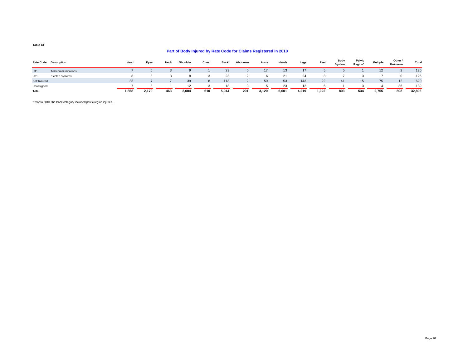#### **Part of Body Injured by Rate Code for Claims Registered in 2010**

|              | Rate Code Description   | Head  | Eyes  | Neck | Shoulder | Chest | Back <sup>*</sup> | Abdomen  | Arms  | Hands | Legs  | Feet  | Body<br>System | Pelvic<br>Region* | <b>Multiple</b>   | Other /<br>Unknown | Total  |
|--------------|-------------------------|-------|-------|------|----------|-------|-------------------|----------|-------|-------|-------|-------|----------------|-------------------|-------------------|--------------------|--------|
| U11          | Telecommunications      |       |       |      |          |       | 23                | $\Omega$ | 17    | 13    | 17    |       |                |                   | $12 \overline{ }$ |                    | 120    |
| U31          | <b>Electric Systems</b> |       |       |      |          |       | 23                |          |       | 21    | 24    |       |                |                   |                   |                    | 126    |
| Self Insured |                         | 33    |       |      | 39       |       | 113               |          | 50    | 53    | 143   | 22    | 41             | 15                | 75                | 12                 | 620    |
| Unassigned   |                         |       |       |      | 12       |       | 18                | $\Omega$ |       | 23    | 12    |       |                |                   |                   | 36                 | 139    |
| Total        |                         | 1,858 | 2,170 | 463  | 2,004    | 610   | 5,944             | 201      | 3,120 | 6,601 | 4,219 | 1,022 | 803            | 534               | 2,755             | 592                | 32,896 |

\*Prior to 2010, the Back category included pelvic region injuries.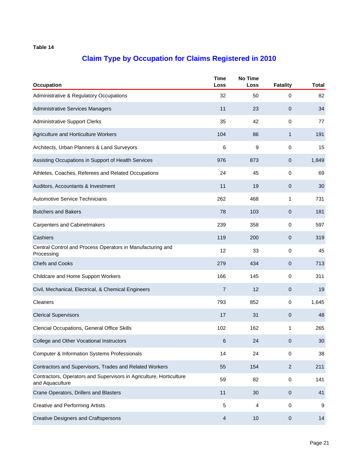| Occupation                                                                             | <b>Time</b><br>Loss     | <b>No Time</b><br>Loss | <b>Fatality</b> | <b>Total</b> |
|----------------------------------------------------------------------------------------|-------------------------|------------------------|-----------------|--------------|
| Administrative & Regulatory Occupations                                                | 32                      | 50                     | 0               | 82           |
| Administrative Services Managers                                                       | 11                      | 23                     | 0               | 34           |
| <b>Administrative Support Clerks</b>                                                   | 35                      | 42                     | 0               | 77           |
| Agriculture and Horticulture Workers                                                   | 104                     | 86                     | $\mathbf{1}$    | 191          |
| Architects, Urban Planners & Land Surveyors                                            | 6                       | 9                      | 0               | 15           |
| Assisting Occupations in Support of Health Services                                    | 976                     | 873                    | 0               | 1,849        |
| Athletes, Coaches, Referees and Related Occupations                                    | 24                      | 45                     | 0               | 69           |
| Auditors, Accountants & Investment                                                     | 11                      | 19                     | 0               | 30           |
| <b>Automotive Service Technicians</b>                                                  | 262                     | 468                    | 1               | 731          |
| <b>Butchers and Bakers</b>                                                             | 78                      | 103                    | 0               | 181          |
| <b>Carpenters and Cabinetmakers</b>                                                    | 239                     | 358                    | 0               | 597          |
| Cashiers                                                                               | 119                     | 200                    | $\mathbf 0$     | 319          |
| Central Control and Process Operators in Manufacturing and<br>Processing               | 12                      | 33                     | 0               | 45           |
| <b>Chefs and Cooks</b>                                                                 | 279                     | 434                    | 0               | 713          |
| Childcare and Home Support Workers                                                     | 166                     | 145                    | 0               | 311          |
| Civil, Mechanical, Electrical, & Chemical Engineers                                    | $\overline{7}$          | 12                     | 0               | 19           |
| <b>Cleaners</b>                                                                        | 793                     | 852                    | 0               | 1,645        |
| <b>Clerical Supervisors</b>                                                            | 17                      | 31                     | 0               | 48           |
| Clericial Occupations, General Office Skills                                           | 102                     | 162                    | 1               | 265          |
| College and Other Vocational Instructors                                               | 6                       | 24                     | $\mathbf 0$     | 30           |
| <b>Computer &amp; Information Systems Professionals</b>                                | 14                      | 24                     | $\pmb{0}$       | 38           |
| Contractors and Supervisors, Trades and Related Workers                                | 55                      | 154                    | $\mathbf{2}$    | 211          |
| Contractors, Operators and Supervisors in Agriculture, Horticulture<br>and Aquaculture | 59                      | 82                     | $\mathbf 0$     | 141          |
| Crane Operators, Drillers and Blasters                                                 | 11                      | 30                     | $\mathbf 0$     | 41           |
| <b>Creative and Performing Artists</b>                                                 | 5                       | 4                      | 0               | 9            |
| <b>Creative Designers and Craftspersons</b>                                            | $\overline{\mathbf{4}}$ | 10                     | $\pmb{0}$       | 14           |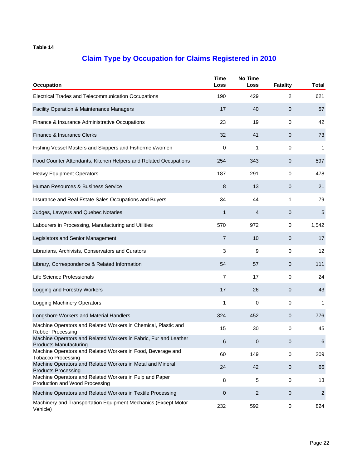| Occupation                                                                                        | <b>Time</b><br>Loss | <b>No Time</b><br>Loss | <b>Fatality</b> | Total        |
|---------------------------------------------------------------------------------------------------|---------------------|------------------------|-----------------|--------------|
| Electrical Trades and Telecommunication Occupations                                               | 190                 | 429                    | 2               | 621          |
| Facility Operation & Maintenance Managers                                                         | 17                  | 40                     | $\mathbf 0$     | 57           |
| Finance & Insurance Administrative Occupations                                                    | 23                  | 19                     | 0               | 42           |
| Finance & Insurance Clerks                                                                        | 32                  | 41                     | 0               | 73           |
| Fishing Vessel Masters and Skippers and Fishermen/women                                           | 0                   | 1                      | 0               | 1            |
| Food Counter Attendants, Kitchen Helpers and Related Occupations                                  | 254                 | 343                    | 0               | 597          |
| <b>Heavy Equipment Operators</b>                                                                  | 187                 | 291                    | 0               | 478          |
| Human Resources & Business Service                                                                | 8                   | 13                     | $\mathbf 0$     | 21           |
| Insurance and Real Estate Sales Occupations and Buyers                                            | 34                  | 44                     | 1               | 79           |
| Judges, Lawyers and Quebec Notaries                                                               | $\mathbf 1$         | 4                      | $\mathbf 0$     | $\sqrt{5}$   |
| Labourers in Processing, Manufacturing and Utilities                                              | 570                 | 972                    | 0               | 1,542        |
| Legislators and Senior Management                                                                 | $\overline{7}$      | 10                     | 0               | 17           |
| Librarians, Archivists, Conservators and Curators                                                 | 3                   | 9                      | 0               | 12           |
| Library, Correspondence & Related Information                                                     | 54                  | 57                     | $\mathbf{0}$    | 111          |
| Life Science Professionals                                                                        | 7                   | 17                     | 0               | 24           |
| Logging and Forestry Workers                                                                      | 17                  | 26                     | 0               | 43           |
| <b>Logging Machinery Operators</b>                                                                | 1                   | 0                      | 0               | 1            |
| Longshore Workers and Material Handlers                                                           | 324                 | 452                    | 0               | 776          |
| Machine Operators and Related Workers in Chemical, Plastic and<br><b>Rubber Processing</b>        | 15                  | 30                     | 0               | 45           |
| Machine Operators and Related Workers in Fabric, Fur and Leather<br><b>Products Manufacturing</b> | 6                   | 0                      | 0               | 6            |
| Machine Operators and Related Workers in Food, Beverage and<br><b>Tobacco Processing</b>          | 60                  | 149                    | $\mathbf 0$     | 209          |
| Machine Operators and Related Workers in Metal and Mineral<br><b>Products Processing</b>          | 24                  | 42                     | $\pmb{0}$       | 66           |
| Machine Operators and Related Workers in Pulp and Paper<br>Production and Wood Processing         | 8                   | 5                      | 0               | 13           |
| Machine Operators and Related Workers in Textile Processing                                       | $\mathbf 0$         | $\overline{c}$         | $\pmb{0}$       | $\mathbf{2}$ |
| Machinery and Transportation Equipment Mechanics (Except Motor<br>Vehicle)                        | 232                 | 592                    | $\pmb{0}$       | 824          |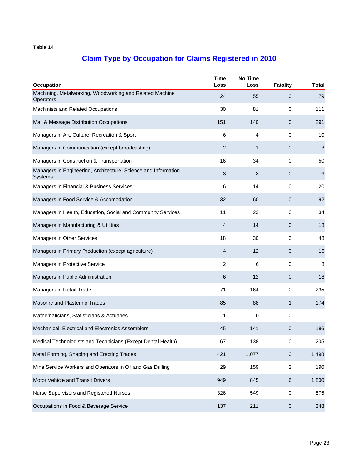| Occupation                                                                       | <b>Time</b><br>Loss | <b>No Time</b><br>Loss | <b>Fatality</b> | <b>Total</b>    |
|----------------------------------------------------------------------------------|---------------------|------------------------|-----------------|-----------------|
| Machining, Metalworking, Woodworking and Related Machine<br>Operators            | 24                  | 55                     | $\mathbf{0}$    | 79              |
| <b>Machinists and Related Occupations</b>                                        | 30                  | 81                     | 0               | 111             |
| Mail & Message Distribution Occupations                                          | 151                 | 140                    | $\overline{0}$  | 291             |
| Managers in Art, Culture, Recreation & Sport                                     | 6                   | 4                      | 0               | 10              |
| Managers in Communication (except broadcasting)                                  | 2                   | 1                      | 0               | $\sqrt{3}$      |
| Managers in Construction & Transportation                                        | 16                  | 34                     | 0               | 50              |
| Managers in Engineering, Architecture, Science and Information<br><b>Systems</b> | $\mathfrak{S}$      | 3                      | 0               | $6\phantom{1}6$ |
| Managers in Financial & Business Services                                        | 6                   | 14                     | 0               | 20              |
| Managers in Food Service & Accomodation                                          | 32                  | 60                     | 0               | 92              |
| Managers in Health, Education, Social and Community Services                     | 11                  | 23                     | $\mathbf 0$     | 34              |
| Managers in Manufacturing & Utilities                                            | 4                   | 14                     | 0               | 18              |
| Managers in Other Services                                                       | 18                  | 30                     | 0               | 48              |
| Managers in Primary Production (except agriculture)                              | $\overline{4}$      | 12                     | 0               | 16              |
| Managers in Protective Service                                                   | 2                   | 6                      | $\mathbf{0}$    | 8               |
| Managers in Public Administration                                                | 6                   | 12                     | 0               | 18              |
| Managers in Retail Trade                                                         | 71                  | 164                    | 0               | 235             |
| Masonry and Plastering Trades                                                    | 85                  | 88                     | 1               | 174             |
| Mathematicians, Statisticians & Actuaries                                        | $\mathbf{1}$        | 0                      | 0               | 1               |
| Mechanical, Electrical and Electronics Assemblers                                | 45                  | 141                    | 0               | 186             |
| Medical Technologists and Technicians (Except Dental Health)                     | 67                  | 138                    | 0               | 205             |
| Metal Forming, Shaping and Erecting Trades                                       | 421                 | 1,077                  | $\mathbf 0$     | 1,498           |
| Mine Service Workers and Operators in Oil and Gas Drilling                       | 29                  | 159                    | $\overline{c}$  | 190             |
| Motor Vehicle and Transit Drivers                                                | 949                 | 845                    | 6               | 1,800           |
| Nurse Supervisors and Registered Nurses                                          | 326                 | 549                    | $\pmb{0}$       | 875             |
| Occupations in Food & Beverage Service                                           | 137                 | 211                    | 0               | 348             |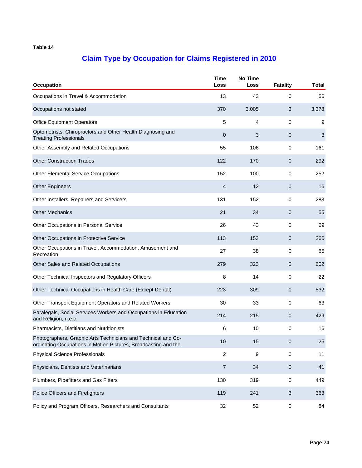| <b>Occupation</b>                                                                                                                | <b>Time</b><br>Loss | <b>No Time</b><br>Loss | <b>Fatality</b> | Total |
|----------------------------------------------------------------------------------------------------------------------------------|---------------------|------------------------|-----------------|-------|
| Occupations in Travel & Accommodation                                                                                            | 13                  | 43                     | 0               | 56    |
| Occupations not stated                                                                                                           | 370                 | 3,005                  | 3               | 3,378 |
| <b>Office Equipment Operators</b>                                                                                                | 5                   | 4                      | 0               | 9     |
| Optometrists, Chiropractors and Other Health Diagnosing and<br><b>Treating Professionals</b>                                     | $\mathbf{0}$        | 3                      | 0               | 3     |
| Other Assembly and Related Occupations                                                                                           | 55                  | 106                    | 0               | 161   |
| <b>Other Construction Trades</b>                                                                                                 | 122                 | 170                    | $\mathbf 0$     | 292   |
| <b>Other Elemental Service Occupations</b>                                                                                       | 152                 | 100                    | 0               | 252   |
| <b>Other Engineers</b>                                                                                                           | 4                   | 12                     | $\mathbf{0}$    | 16    |
| Other Installers, Repairers and Servicers                                                                                        | 131                 | 152                    | 0               | 283   |
| <b>Other Mechanics</b>                                                                                                           | 21                  | 34                     | $\mathbf 0$     | 55    |
| Other Occupations in Personal Service                                                                                            | 26                  | 43                     | 0               | 69    |
| Other Occupations in Protective Service                                                                                          | 113                 | 153                    | 0               | 266   |
| Other Occupations in Travel, Accommodation, Amusement and<br>Recreation                                                          | 27                  | 38                     | 0               | 65    |
| Other Sales and Related Occupations                                                                                              | 279                 | 323                    | $\mathbf{0}$    | 602   |
| Other Technical Inspectors and Regulatory Officers                                                                               | 8                   | 14                     | 0               | 22    |
| Other Technical Occupations in Health Care (Except Dental)                                                                       | 223                 | 309                    | 0               | 532   |
| Other Transport Equipment Operators and Related Workers                                                                          | 30                  | 33                     | 0               | 63    |
| Paralegals, Social Services Workers and Occupations in Education<br>and Religion, n.e.c.                                         | 214                 | 215                    | 0               | 429   |
| Pharmacists, Dietitians and Nutritionists                                                                                        | 6                   | 10                     | 0               | 16    |
| Photographers, Graphic Arts Technicians and Technical and Co-<br>ordinating Occupations in Motion Pictures, Broadcasting and the | 10                  | 15                     | $\pmb{0}$       | 25    |
| <b>Physical Science Professionals</b>                                                                                            | $\overline{c}$      | 9                      | $\mathbf 0$     | 11    |
| Physicians, Dentists and Veterinarians                                                                                           | $\overline{7}$      | 34                     | $\pmb{0}$       | 41    |
| Plumbers, Pipefitters and Gas Fitters                                                                                            | 130                 | 319                    | 0               | 449   |
| Police Officers and Firefighters                                                                                                 | 119                 | 241                    | 3               | 363   |
| Policy and Program Officers, Researchers and Consultants                                                                         | 32                  | 52                     | $\pmb{0}$       | 84    |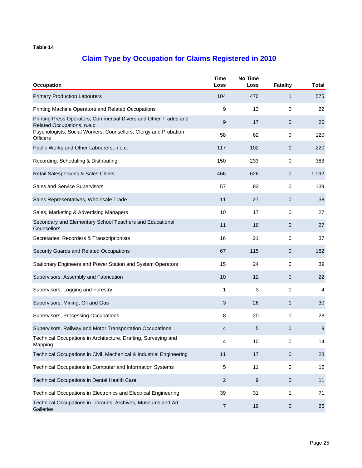| Occupation                                                                                      | <b>Time</b><br>Loss | <b>No Time</b><br>Loss | <b>Fatality</b> | <b>Total</b> |
|-------------------------------------------------------------------------------------------------|---------------------|------------------------|-----------------|--------------|
| <b>Primary Production Labourers</b>                                                             | 104                 | 470                    | $\mathbf{1}$    | 575          |
| Printing Machine Operators and Related Occupations                                              | 9                   | 13                     | 0               | 22           |
| Printing Press Operators, Commercial Divers and Other Trades and<br>Related Occupations, n.e.c. | 9                   | 17                     | $\mathbf 0$     | 26           |
| Psychologists, Social Workers, Counsellors, Clergy and Probation<br><b>Officers</b>             | 58                  | 62                     | 0               | 120          |
| Public Works and Other Labourers, n.e.c.                                                        | 117                 | 102                    | 1               | 220          |
| Recording, Scheduling & Distributing                                                            | 150                 | 233                    | 0               | 383          |
| Retail Salespersons & Sales Clerks                                                              | 466                 | 626                    | 0               | 1,092        |
| Sales and Service Supervisors                                                                   | 57                  | 82                     | 0               | 139          |
| Sales Representatives, Wholesale Trade                                                          | 11                  | 27                     | 0               | 38           |
| Sales, Marketing & Advertising Managers                                                         | 10                  | 17                     | 0               | 27           |
| Secondary and Elementary School Teachers and Educational<br>Counsellors                         | 11                  | 16                     | $\mathbf 0$     | 27           |
| Secretaries, Recorders & Transcriptionists                                                      | 16                  | 21                     | 0               | 37           |
| Security Guards and Related Occupations                                                         | 67                  | 115                    | 0               | 182          |
| Stationary Engineers and Power Station and System Operators                                     | 15                  | 24                     | $\mathbf 0$     | 39           |
| Supervisors, Assembly and Fabrication                                                           | 10                  | 12                     | 0               | 22           |
| Supervisors, Logging and Forestry                                                               | 1                   | 3                      | 0               | 4            |
| Supervisors, Mining, Oil and Gas                                                                | 3                   | 26                     | 1               | 30           |
| Supervisors, Processing Occupations                                                             | 8                   | 20                     | 0               | 28           |
| Supervisors, Railway and Motor Transportation Occupations                                       | 4                   | 5                      | 0               | 9            |
| Technical Occupations in Architecture, Drafting, Surveying and<br>Mapping                       | 4                   | 10                     | 0               | 14           |
| Technical Occupations in Civil, Mechanical & Industrial Engineering                             | 11                  | 17                     | $\pmb{0}$       | 28           |
| Technical Occupations in Computer and Information Systems                                       | 5                   | 11                     | 0               | 16           |
| Technical Occupations in Dental Health Care                                                     | $\overline{2}$      | 9                      | $\mathbf 0$     | 11           |
| Technical Occupations in Electronics and Electrical Engineering                                 | 39                  | 31                     | 1               | 71           |
| Technical Occupations in Libraries, Archives, Museums and Art<br>Galleries                      | $\overline{7}$      | 19                     | $\mathbf 0$     | 26           |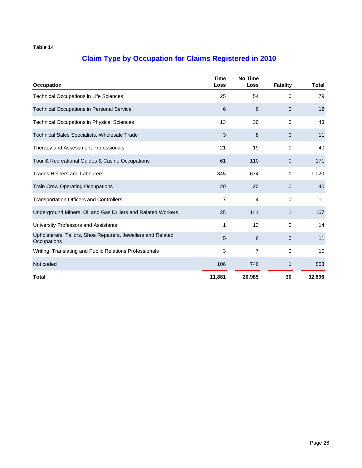| <b>Occupation</b>                                                           | <b>Time</b><br>Loss | <b>No Time</b><br>Loss | <b>Fatality</b> | <b>Total</b> |
|-----------------------------------------------------------------------------|---------------------|------------------------|-----------------|--------------|
| <b>Technical Occupations in Life Sciences</b>                               | 25                  | 54                     | $\mathbf 0$     | 79           |
| <b>Technical Occupations in Personal Service</b>                            | 6                   | 6                      | $\mathbf{0}$    | 12           |
| <b>Technical Occupations in Physical Sciences</b>                           | 13                  | 30                     | $\Omega$        | 43           |
| <b>Technical Sales Specialists, Wholesale Trade</b>                         | 3                   | 8                      | $\mathbf{0}$    | 11           |
| Therapy and Assessment Professionals                                        | 21                  | 19                     | $\mathbf 0$     | 40           |
| Tour & Recreational Guides & Casino Occupations                             | 61                  | 110                    | $\mathbf{0}$    | 171          |
| <b>Trades Helpers and Labourers</b>                                         | 345                 | 674                    | 1               | 1,020        |
| <b>Train Crew Operating Occupations</b>                                     | 20                  | 20                     | $\mathbf 0$     | 40           |
| <b>Transportation Officers and Controllers</b>                              | $\overline{7}$      | 4                      | $\Omega$        | 11           |
| Underground Miners, Oil and Gas Drillers and Related Workers                | 25                  | 141                    | $\mathbf{1}$    | 167          |
| University Professors and Assistants                                        | 1                   | 13                     | $\Omega$        | 14           |
| Upholsterers, Tailors, Shoe Repairers, Jewellers and Related<br>Occupations | 5                   | 6                      | $\mathbf{0}$    | 11           |
| Writing, Translating and Public Relations Professionals                     | 3                   | 7                      | $\mathbf 0$     | 10           |
| Not coded                                                                   | 106                 | 746                    | 1               | 853          |
| <b>Total</b>                                                                | 11,881              | 20,985                 | 30              | 32,896       |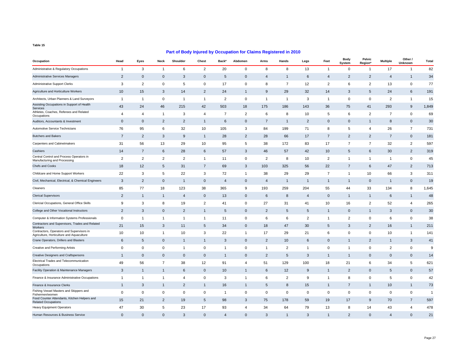| Occupation                                                                             | Head           | Eyes           | Neck           | Shoulder       | Chest          | Back*                 | Abdomen        | Arms           | Hands          | Legs           | Feet           | <b>Body</b><br>System | Pelvic<br>Region* | <b>Multiple</b> | Other /<br>Unknown | Total          |
|----------------------------------------------------------------------------------------|----------------|----------------|----------------|----------------|----------------|-----------------------|----------------|----------------|----------------|----------------|----------------|-----------------------|-------------------|-----------------|--------------------|----------------|
| Administrative & Regulatory Occupations                                                | $\overline{1}$ | 3              | $\mathbf{1}$   | 6              | $\overline{2}$ | 20                    | 0              | 8              | 8              | 13             | $\mathbf{1}$   | 0                     | $\overline{1}$    | 17              | $\mathbf{1}$       | 82             |
| Administrative Services Managers                                                       | $\overline{2}$ | $\mathbf 0$    | $\mathbf 0$    | 3              | $\mathbf 0$    | 5                     | $\mathbf 0$    | $\overline{4}$ | $\overline{1}$ | 6              | 4              | $\overline{2}$        | $\overline{2}$    | $\overline{4}$  | $\mathbf{1}$       | 34             |
| <b>Administrative Support Clerks</b>                                                   | 3              | $\overline{2}$ | $\mathbf 0$    | 5              | 0              | 17                    | 0              | 8              | $\overline{7}$ | 12             | $\overline{2}$ | 6                     | $\overline{2}$    | 13              | 0                  | 77             |
| Agriculture and Horticulture Workers                                                   | 10             | 15             | 3              | 14             | $\overline{2}$ | 24                    | $\mathbf{1}$   | 9              | 29             | 32             | 14             | 3                     | 5                 | 24              | 6                  | 191            |
| Architects, Urban Planners & Land Surveyors                                            | $\overline{1}$ | $\overline{1}$ | $\mathbf 0$    | -1             | 1              | $\overline{2}$        | 0              | -1             | $\mathbf{1}$   | 3              | -1             | 0                     | 0                 | $\overline{2}$  | $\overline{1}$     | 15             |
| Assisting Occupations in Support of Health<br>Services                                 | 43             | 24             | 46             | 215            | 42             | 503                   | 18             | 175            | 186            | 143            | 36             | 75                    | 41                | 293             | 9                  | 1,849          |
| Athletes, Coaches, Referees and Related<br>Occupations                                 | $\overline{4}$ | 4              | $\mathbf{1}$   | 3              | 4              | $\overline{7}$        | $\overline{2}$ | 6              | 8              | 10             | 5              | 6                     | $\overline{2}$    | $\overline{7}$  | $\mathsf 0$        | 69             |
| Auditors, Accountants & Investment                                                     | $\mathbf 0$    | $\mathbf 0$    | $\overline{2}$ | $\overline{2}$ | $\mathbf{1}$   | 6                     | $\mathbf{0}$   | $\overline{7}$ | $\overline{1}$ | $\overline{2}$ | $\mathbf{0}$   | $\mathbf{0}$          | -1                | 8               | $\mathbf 0$        | 30             |
| Automotive Service Technicians                                                         | 76             | 95             | 6              | 32             | 10             | 105                   | 3              | 84             | 199            | 71             | 8              | 5                     | $\overline{4}$    | 26              | $\overline{7}$     | 731            |
| <b>Butchers and Bakers</b>                                                             | $\overline{7}$ | $\overline{2}$ | 3              | 9              | $\mathbf{1}$   | 28                    | $\overline{2}$ | 28             | 66             | 17             | $\overline{7}$ | $\overline{2}$        | $\overline{2}$    | $\overline{7}$  | $\mathbf 0$        | 181            |
| Carpenters and Cabinetmakers                                                           | 31             | 56             | 13             | 29             | 10             | 95                    | 5              | 38             | 172            | 83             | 17             | $\overline{7}$        | $\overline{7}$    | 32              | $\overline{2}$     | 597            |
| Cashiers                                                                               | 14             | $\overline{7}$ | 6              | 28             | 6              | 57                    | 3              | 46             | 57             | 42             | 10             | 5                     | 6                 | 30              | $\overline{2}$     | 319            |
| Central Control and Process Operators in<br>Manufacturing and Processing               | $\overline{2}$ | $\overline{2}$ | $\overline{2}$ | $\overline{2}$ | $\mathbf{1}$   | 11                    | 0              | $\overline{2}$ | 8              | 10             | 2              | $\overline{1}$        | $\overline{1}$    | $\overline{1}$  | $\mathbf 0$        | 45             |
| <b>Chefs and Cooks</b>                                                                 | 18             | 12             | 5              | 31             | $\overline{7}$ | 69                    | 3              | 103            | 325            | 56             | 22             | $\overline{7}$        | 6                 | 47              | $\overline{2}$     | 713            |
| Childcare and Home Support Workers                                                     | 22             | 3              | 5              | 22             | 3              | 72                    | $\overline{1}$ | 38             | 29             | 29             | $\overline{7}$ | $\overline{1}$        | 10                | 66              | 3                  | 311            |
| Civil, Mechanical, Electrical, & Chemical Engineers                                    | 3              | $\overline{2}$ | $\mathbf 0$    | $\overline{1}$ | $\mathbf 0$    | $\overline{4}$        | $\mathbf 0$    | $\overline{4}$ | $\overline{1}$ | $\overline{1}$ | $\mathbf{1}$   | $\mathbf{1}$          | $\mathbf 0$       | $\overline{1}$  | $\mathbf 0$        | 19             |
| Cleaners                                                                               | 85             | 77             | 18             | 123            | 38             | 365                   | 9              | 193            | 259            | 204            | 55             | 44                    | 33                | 134             | 8                  | 1,645          |
| <b>Clerical Supervisors</b>                                                            | $\overline{2}$ | $\mathbf{1}$   | $\mathbf{1}$   | 4              | $\mathbf 0$    | 13                    | $\mathbf 0$    | 6              | 8              | 4              | $\mathbf 0$    | 1                     | $\mathbf{1}$      | 6               | $\mathbf{1}$       | 48             |
| Clericial Occupations, General Office Skills                                           | 9              | 3              | 8              | 19             | 2              | 41                    | 0              | 27             | 31             | 41             | 10             | 16                    | 2                 | 52              | 4                  | 265            |
| College and Other Vocational Instructors                                               | $\overline{2}$ | 3              | $\mathbf 0$    | $\overline{2}$ | $\mathbf{1}$   | 5                     | $\Omega$       | $\overline{2}$ | 5              | 5              | $\overline{1}$ | $\mathbf 0$           | -1                | 3               | $\mathbf 0$        | 30             |
| Computer & Information Systems Professionals                                           | $\mathbf 0$    | $\mathbf{1}$   | $\mathbf{1}$   | $\mathbf{1}$   | $\mathbf{1}$   | 11                    | 0              | 6              | 6              | $\overline{2}$ | $\mathbf{1}$   | 2                     | 0                 | 6               | 0                  | 38             |
| Contractors and Supervisors, Trades and Related<br><b>Workers</b>                      | 21             | 15             | 3              | 11             | 5              | 34                    | $\mathbf 0$    | 18             | 47             | 30             | 5              | 3                     | $\overline{2}$    | 16              | $\overline{1}$     | 211            |
| Contractors, Operators and Supervisors in<br>Agriculture, Horticulture and Aquaculture | 10             | 10             | $\mathbf{1}$   | 10             | 3              | 22                    | $\overline{1}$ | 17             | 29             | 21             | 6              | $\mathbf 0$           | $\mathbf 0$       | 10              | $\overline{1}$     | 141            |
| Crane Operators, Drillers and Blasters                                                 | 6              | 5              | $\mathbf 0$    | $\mathbf{1}$   | $\mathbf{1}$   | 3                     | $\mathbf 0$    | $\overline{2}$ | 10             | 6              | $\mathbf 0$    | 1                     | $\overline{2}$    | $\overline{1}$  | 3                  | 41             |
| Creative and Performing Artists                                                        | $\mathsf 0$    | $\pmb{0}$      | $\mathbf 0$    | $\mathbf{1}$   | 0              | $\mathbf{1}$          | 0              | $\mathbf{1}$   | $\overline{2}$ | $\mathbf{1}$   | 0              | -1                    | 0                 | $\overline{2}$  | $\mathbf 0$        | 9              |
| <b>Creative Designers and Craftspersons</b>                                            | $\overline{1}$ | $\mathbf 0$    | $\mathsf 0$    | $\mathbf 0$    | $\mathbf 0$    | $\mathbf{1}$          | $\mathbf 0$    | $\overline{2}$ | 5              | 3              | $\mathbf{1}$   | $\mathbf{1}$          | $\mathbf 0$       | $\mathbf 0$     | $\mathbf 0$        | 14             |
| Electrical Trades and Telecommunication<br>Occupations                                 | 49             | 56             | $\overline{7}$ | 38             | 12             | 91                    | 4              | 51             | 129            | 100            | 18             | 21                    | 6                 | 34              | 5                  | 621            |
| Facility Operation & Maintenance Managers                                              | 3              | $\mathbf{1}$   | $\mathbf{1}$   | 6              | $\mathbf 0$    | 10                    | $\mathbf{1}$   | 6              | 12             | 9              | $\mathbf{1}$   | $\overline{2}$        | $\mathbf 0$       | 5               | $\mathbf 0$        | 57             |
| Finance & Insurance Administrative Occupations                                         | $\overline{1}$ | $\mathbf{1}$   | $\mathbf{1}$   | $\overline{4}$ | 0              | 3                     | $\overline{1}$ | 6              | $\overline{2}$ | 9              | $\overline{1}$ | 8                     | 0                 | 5               | $\mathbf 0$        | 42             |
| Finance & Insurance Clerks                                                             | $\overline{1}$ | 3              | $\mathbf{1}$   | $\overline{2}$ | $\mathbf{1}$   | 16                    | $\mathbf{1}$   | 5              | 8              | 15             | $\mathbf{1}$   | $\overline{7}$        | -1                | 10              | $\mathbf{1}$       | 73             |
| Fishing Vessel Masters and Skippers and<br>Fishermen/women                             | $\mathbf 0$    | 0              | $\mathbf 0$    | $\mathbf 0$    | 0              | -1                    | 0              | 0              | 0              | 0              | 0              | 0                     | 0                 | 0               | 0                  | $\overline{1}$ |
| Food Counter Attendants, Kitchen Helpers and<br><b>Related Occupations</b>             | 15             | 21             | $\overline{2}$ | 19             | 5              | 98                    | 3              | 75             | 178            | 59             | 19             | 17                    | 9                 | 70              | $\overline{7}$     | 597            |
| <b>Heavy Equipment Operators</b>                                                       | 47             | 30             | 5              | 23             | 17             | 93                    | 4              | 34             | 64             | 79             | 13             | 8                     | 14                | 43              | $\overline{4}$     | 478            |
| Human Resources & Business Service                                                     | $\mathbf{0}$   | $\mathbf{0}$   | $\mathbf{0}$   | 3              | $\Omega$       | $\boldsymbol{\Delta}$ | $\Omega$       | 3              | $\overline{1}$ | 3              | $\overline{1}$ | $\overline{2}$        | $\Omega$          | $\overline{4}$  | $\mathbf{0}$       | 21             |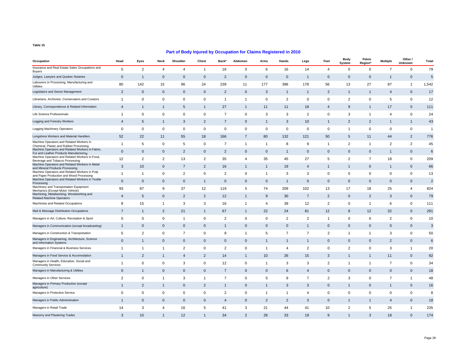| Occupation                                                                                 | Head           | Eyes           | Neck           | Shoulder       | Chest          | Back*          | Abdomen        | Arms           | Hands          | Legs           | Feet           | Body<br>System | Pelvic<br>Region' | <b>Multiple</b> | Other /<br>Unknown | <b>Total</b>   |
|--------------------------------------------------------------------------------------------|----------------|----------------|----------------|----------------|----------------|----------------|----------------|----------------|----------------|----------------|----------------|----------------|-------------------|-----------------|--------------------|----------------|
| Insurance and Real Estate Sales Occupations and<br><b>Buyers</b>                           | 5              | 2              | $\overline{4}$ | $\overline{4}$ | $\mathbf{1}$   | 16             | $\mathbf 0$    | 6              | 16             | 14             | $\overline{4}$ | 0              | $\mathbf 0$       | $\overline{7}$  | $\mathbf 0$        | 79             |
| Judges, Lawyers and Quebec Notaries                                                        | $\mathbf 0$    | $\overline{1}$ | $\mathbf 0$    | $\overline{0}$ | $\mathbf 0$    | $\overline{2}$ | $\mathbf{0}$   | $\mathbf 0$    | $\mathbf 0$    | $\overline{1}$ | 0              | $\mathbf 0$    | $\mathbf 0$       | $\overline{1}$  | $\mathbf 0$        | $\sqrt{5}$     |
| Labourers in Processing, Manufacturing and<br>Utilities                                    | 80             | 142            | 15             | 96             | 24             | 239            | 11             | 177            | 396            | 178            | 56             | 13             | 27                | 87              | $\mathbf{1}$       | 1,542          |
| Legislators and Senior Management                                                          | $\overline{2}$ | $\mathbf 0$    | $\mathbf 0$    | $\mathbf{0}$   | $\mathbf 0$    | $\overline{2}$ | $\mathbf 0$    | 3              | $\mathbf{1}$   | $\mathbf{1}$   | $\overline{2}$ | $\mathbf{1}$   | $\mathbf{1}$      | $\overline{4}$  | $\mathbf 0$        | 17             |
| Librarians, Archivists, Conservators and Curators                                          | $\overline{1}$ | 0              | $\pmb{0}$      | 0              | 0              | $\mathbf{1}$   | $\overline{1}$ | 0              | $\overline{2}$ | $\mathbf 0$    | 0              | $\overline{2}$ | 0                 | 5               | $\mathbf 0$        | 12             |
| Library, Correspondence & Related Information                                              | $\overline{4}$ | $\mathbf{1}$   | $\mathbf{1}$   | $\sqrt{5}$     | $\mathbf{1}$   | 27             | $\mathbf{1}$   | 11             | 11             | 18             | $\overline{4}$ | 9              | $\mathbf{1}$      | 17              | $\mathbf 0$        | 111            |
| Life Science Professionals                                                                 | $\overline{1}$ | 0              | $\pmb{0}$      | 0              | 0              | $\overline{7}$ | $\mathbf 0$    | 3              | 3              | $\overline{c}$ | 0              | 3              | $\overline{1}$    | 4               | $\mathbf 0$        | 24             |
| Logging and Forestry Workers                                                               | $\overline{4}$ | 5              | $\mathbf{1}$   | 3              | $\overline{2}$ | $\overline{7}$ | $\mathbf 0$    | $\mathbf{1}$   | 3              | 10             | 1              | $\overline{2}$ | $\overline{2}$    | $\overline{1}$  | $\mathbf{1}$       | 43             |
| Logging Machinery Operators                                                                | 0              | 0              | $\mathbf 0$    | $\mathbf 0$    | 0              | 0              | $\mathbf 0$    | 0              | $\mathbf 0$    | 0              | 0              | -1             | 0                 | $\mathbf 0$     | $\mathbf 0$        | $\overline{1}$ |
| Longshore Workers and Material Handlers                                                    | 52             | 22             | 11             | 55             | 18             | 166            | $\overline{7}$ | 80             | 132            | 121            | 50             | 5              | 11                | 44              | $\overline{2}$     | 776            |
| Machine Operators and Related Workers in<br>Chemical, Plastic and Rubber Processing        | $\overline{1}$ | 5              | $\mathbf 0$    | 5              | 0              | $\overline{7}$ | $\overline{1}$ | $\mathbf{1}$   | 8              | 9              | 1              | $\overline{2}$ | $\overline{1}$    | $\overline{2}$  | $\overline{2}$     | 45             |
| Machine Operators and Related Workers in Fabric,<br>Fur and Leather Products Manufacturing | $\mathbf{0}$   | $\mathbf{0}$   | $\mathbf 0$    | 2              | $\mathbf{0}$   | 2              | $\mathbf{0}$   | $\mathbf{0}$   | $\mathbf{1}$   | $\mathbf{0}$   | $\mathbf{0}$   | $\mathbf{0}$   | $\mathbf{0}$      | $\overline{1}$  | $\mathbf 0$        | 6              |
| Machine Operators and Related Workers in Food,<br>Beverage and Tobacco Processing          | 12             | $\overline{2}$ | $\overline{2}$ | 13             | $\overline{2}$ | 35             | $\overline{4}$ | 35             | 45             | 27             | 5              | $\overline{2}$ | $\overline{7}$    | 18              | $\mathbf 0$        | 209            |
| Machine Operators and Related Workers in Metal<br>and Mineral Products Processing          | 3              | 10             | $\mathbf 0$    | $\overline{7}$ | $\overline{2}$ | 16             | $\mathbf{1}$   | $\overline{1}$ | 19             | $\overline{4}$ | 1              | 1              | $\mathbf{0}$      | $\mathbf{1}$    | $\mathbf 0$        | 66             |
| Machine Operators and Related Workers in Pulp<br>and Paper Production and Wood Processing  | $\overline{1}$ | $\overline{1}$ | $\mathbf 0$    | 2              | 0              | $\overline{2}$ | $\mathbf 0$    | $\mathbf{1}$   | 3              | 3              | 0              | $\mathbf 0$    | 0                 | $\mathbf 0$     | 0                  | 13             |
| Machine Operators and Related Workers in Textile<br>Processing                             | $\overline{0}$ | $\mathbf 0$    | $\mathbf 0$    | $\mathbf 0$    | $\mathbf{1}$   | $\mathbf 0$    | $\overline{0}$ | $\mathbf 0$    | $\overline{1}$ | $\overline{0}$ | $\mathbf 0$    | $\mathbf 0$    | $\mathbf 0$       | $\mathbf 0$     | $\mathbf 0$        | $\sqrt{2}$     |
| Machinery and Transportation Equipment<br>Mechanics (Except Motor Vehicle)                 | 93             | 87             | 9              | 37             | 12             | 119            | 5              | 74             | 209            | 102            | 13             | 17             | 18                | 25              | 4                  | 824            |
| Machining, Metalworking, Woodworking and<br><b>Related Machine Operators</b>               | $\overline{4}$ | 5              | $\mathbf 0$    | $\overline{2}$ | $\overline{c}$ | 12             | $\mathbf{1}$   | 9              | 30             | $\overline{7}$ | $\overline{c}$ | $\mathbf 0$    | $\overline{2}$    | 3               | $\mathbf 0$        | 79             |
| Machinists and Related Occupations                                                         | 8              | 15             | $\mathbf{1}$   | 3              | 3              | 16             | $\overline{1}$ | 4              | 39             | 12             | 2              | 0              | $\overline{1}$    | 6               | $\mathbf 0$        | 111            |
| Mail & Message Distribution Occupations                                                    | $\overline{7}$ | $\mathbf{1}$   | $\overline{2}$ | 21             | $\mathbf{1}$   | 67             | $\mathbf{1}$   | 22             | 24             | 81             | 12             | 8              | 12                | 32              | $\mathbf 0$        | 291            |
| Managers in Art, Culture, Recreation & Sport                                               | $\mathsf 0$    | $\mathsf 0$    | $\mathbf 0$    | $\overline{1}$ | $\mathbf 0$    | $\overline{2}$ | $\mathbf 0$    | $\mathsf 0$    | $\overline{2}$ | $\overline{2}$ | 1              | $\mathbf 0$    | 0                 | $\overline{2}$  | $\mathbf 0$        | 10             |
| Managers in Communication (except broadcasting)                                            | $\overline{1}$ | $\mathbf 0$    | $\mathbf 0$    | $\mathbf 0$    | $\mathbf 0$    | $\mathbf{1}$   | $\overline{0}$ | $\mathbf 0$    | $\mathbf 0$    | $\mathbf{1}$   | $\mathbf 0$    | $\mathbf{0}$   | $\mathbf{0}$      | $\mathbf 0$     | $\mathbf 0$        | $\sqrt{3}$     |
| Managers in Construction & Transportation                                                  | 5              | $\overline{c}$ | $\mathbf 0$    | $\overline{7}$ | 0              | 9              | $\overline{1}$ | 5              | $\overline{7}$ | $\overline{7}$ | 2              | $\overline{1}$ | $\mathbf{1}$      | 3               | $\mathbf 0$        | 50             |
| Managers in Engineering, Architecture, Science<br>and Information Systems                  | $\mathbf 0$    | $\mathbf{1}$   | $\mathbf 0$    | $\overline{0}$ | $\mathbf 0$    | $\mathbf 0$    | $\overline{0}$ | $\overline{1}$ | $\mathbf{1}$   | $\mathbf{1}$   | $\mathbf 0$    | $\mathbf 0$    | $\mathbf 0$       | $\overline{2}$  | $\mathbf 0$        | $\,6\,$        |
| Managers in Financial & Business Services                                                  | $\overline{1}$ | $\overline{1}$ | $\mathbf{1}$   | 2              | $\mathbf 0$    | $\overline{2}$ | $\mathbf 0$    | $\mathbf{1}$   | $\overline{4}$ | $\overline{2}$ | $\mathbf 0$    | $\overline{2}$ | $\mathbf 0$       | 3               | $\mathbf{1}$       | 20             |
| Managers in Food Service & Accomodation                                                    | $\overline{1}$ | $\overline{2}$ | $\overline{1}$ | 4              | $\overline{2}$ | 14             | $\overline{1}$ | 10             | 26             | 15             | 3              | $\mathbf{1}$   | $\mathbf{1}$      | 11              | $\mathbf 0$        | 92             |
| Managers in Health, Education, Social and<br><b>Community Services</b>                     | $\overline{1}$ | 0              | $\pmb{0}$      | 3              | $\mathbf 0$    | 12             | $\mathbf 0$    | $\mathbf{1}$   | 3              | 3              | $\overline{2}$ | $\overline{1}$ | $\mathbf{1}$      | $\overline{7}$  | $\mathbf 0$        | 34             |
| Managers in Manufacturing & Utilities                                                      | $\mathbf{0}$   | $\mathbf{1}$   | $\mathbf 0$    | $\mathbf 0$    | $\mathbf{0}$   | $\overline{7}$ | $\Omega$       | $\mathbf{0}$   | 6              | 4              | $\mathbf{0}$   | $\mathbf{0}$   | $\mathbf{0}$      | $\mathbf 0$     | $\mathbf 0$        | 18             |
| Managers in Other Services                                                                 | $\overline{2}$ | 0              | $\mathbf{1}$   | 3              | 1              | $\overline{7}$ | $\mathbf 0$    | 5              | 9              | $\overline{7}$ | $\overline{c}$ | 3              | $\mathbf 0$       | $\overline{7}$  | $\mathbf{1}$       | 48             |
| Managers in Primary Production (except<br>agriculture)                                     | $\overline{1}$ | $\overline{2}$ | $\mathbf{1}$   | $\mathbf 0$    | $\overline{2}$ | $\mathbf{1}$   | $\overline{0}$ | $\mathbf{1}$   | 3              | 3              | $\mathbf{0}$   | $\mathbf{1}$   | $\mathbf{0}$      | $\mathbf{1}$    | $\mathbf 0$        | 16             |
| Managers in Protective Service                                                             | 0              | 0              | $\mathbf 0$    | 0              | 0              | $\overline{2}$ | $\mathbf 0$    | $\mathbf{1}$   | -1             | 4              | $\mathbf 0$    | 0              | 0                 | 0               | 0                  | 8              |
| Managers in Public Administration                                                          | $\overline{1}$ | $\mathbf 0$    | $\mathbf 0$    | $\mathbf 0$    | $\mathbf 0$    | $\overline{4}$ | $\mathbf 0$    | $\overline{2}$ | $\overline{2}$ | 3              | $\mathbf 0$    | $\mathbf{1}$   | $\mathbf{1}$      | $\overline{4}$  | $\mathbf 0$        | 18             |
| Managers in Retail Trade                                                                   | 14             | 3              | $\overline{4}$ | 16             | 5              | 41             | 3              | 21             | 44             | 41             | 10             | 2              | 5                 | 25              | $\overline{1}$     | 235            |
| Masonry and Plastering Trades                                                              | 3              | 10             | $\overline{1}$ | 12             | $\mathbf{1}$   | 34             | $\overline{2}$ | 28             | 33             | 19             | 9              | $\mathbf{1}$   | 3                 | 18              | $\mathbf{0}$       | 174            |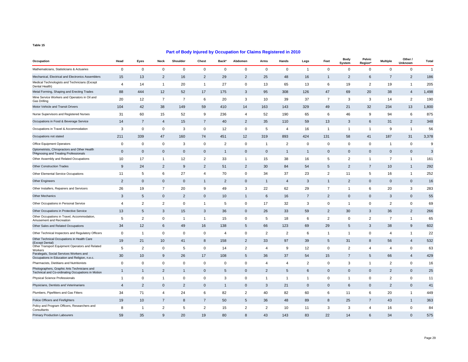| Occupation                                                                                       | Head           | Eyes                | Neck           | Shoulder       | Chest          | Back*          | Abdomen        | Arms           | Hands          | Legs           | Feet           | <b>Body</b><br>System | Pelvic<br>Region* | <b>Multiple</b> | Other /<br>Unknown | Total          |
|--------------------------------------------------------------------------------------------------|----------------|---------------------|----------------|----------------|----------------|----------------|----------------|----------------|----------------|----------------|----------------|-----------------------|-------------------|-----------------|--------------------|----------------|
| Mathematicians, Statisticians & Actuaries                                                        | 0              | 0                   | $\mathbf 0$    | 0              | $\mathbf 0$    | $\mathbf 0$    | $\mathbf 0$    | $\mathbf 0$    | $\mathbf 0$    | $\mathbf{1}$   | $\mathbf 0$    | $\mathbf 0$           | $\mathbf 0$       | $\mathbf 0$     | 0                  | $\overline{1}$ |
| Mechanical, Electrical and Electronics Assemblers                                                | 15             | 13                  | $\overline{2}$ | 16             | $\overline{c}$ | 29             | $\overline{2}$ | 25             | 48             | 16             | $\mathbf{1}$   | $\overline{2}$        | 6                 | $\overline{7}$  | $\overline{c}$     | 186            |
| Medical Technologists and Technicians (Except<br>Dental Health)                                  | 4              | 14                  | $\overline{1}$ | 20             | -1             | 27             | 0              | 13             | 65             | 13             | 6              | 19                    | $\overline{2}$    | 19              | $\mathbf{1}$       | 205            |
| Metal Forming, Shaping and Erecting Trades                                                       | 88             | 444                 | 12             | 52             | 17             | 175            | 3              | 95             | 308            | 126            | 47             | 69                    | 20                | 38              | $\overline{4}$     | 1,498          |
| Mine Service Workers and Operators in Oil and<br>Gas Drilling                                    | 20             | 12                  | $\overline{7}$ | $\overline{7}$ | 6              | 20             | 3              | 10             | 39             | 37             | $\overline{7}$ | 3                     | 3                 | 14              | $\overline{2}$     | 190            |
| Motor Vehicle and Transit Drivers                                                                | 104            | 42                  | 38             | 149            | 59             | 410            | 14             | 163            | 143            | 329            | 49             | 21                    | 32                | 234             | 13                 | 1,800          |
| Nurse Supervisors and Registered Nurses                                                          | 31             | 60                  | 15             | 52             | 9              | 236            | 4              | 52             | 190            | 65             | 6              | 46                    | 9                 | 94              | 6                  | 875            |
| Occupations in Food & Beverage Service                                                           | 14             | $\overline{7}$      | $\overline{4}$ | 15             | $\overline{7}$ | 40             | $\overline{2}$ | 35             | 110            | 59             | 13             | 3                     | 6                 | 31              | $\overline{2}$     | 348            |
| Occupations in Travel & Accommodation                                                            | 3              | $\mathsf 0$         | $\mathsf 0$    | 3              | $\pmb{0}$      | 12             | 0              | 5              | 4              | 16             | $\mathbf{1}$   | $\overline{1}$        | $\overline{1}$    | 9               | $\overline{1}$     | 56             |
| Occupations not stated                                                                           | 211            | 339                 | 47             | 160            | 74             | 451            | 12             | 319            | 893            | 424            | 131            | 58                    | 41                | 187             | 31                 | 3,378          |
| Office Equipment Operators                                                                       | 0              | 0                   | $\mathbf 0$    | 3              | 0              | $\overline{2}$ | 0              | $\overline{1}$ | $\overline{2}$ | 0              | 0              | $\mathbf 0$           | 0                 | $\mathbf{1}$    | 0                  | 9              |
| Optometrists, Chiropractors and Other Health<br>Diagnosing and Treating Professionals            | $\mathbf 0$    | $\mathbf 0$         | $\mathbf 0$    | $\mathbf 0$    | $\mathbf 0$    | $\mathbf{1}$   | $\mathbf 0$    | $\overline{0}$ | $\overline{1}$ | $\mathbf{1}$   | $\mathbf 0$    | $\mathbf 0$           | $\mathbf{0}$      | $\mathbf 0$     | $\mathbf 0$        | 3              |
| Other Assembly and Related Occupations                                                           | 10             | 17                  | $\overline{1}$ | 12             | $\overline{2}$ | 33             | $\overline{1}$ | 15             | 38             | 16             | 5              | $\overline{2}$        | -1                | $\overline{7}$  | $\overline{1}$     | 161            |
| <b>Other Construction Trades</b>                                                                 | 9              | 24                  | $\overline{2}$ | 9              | $\overline{2}$ | 51             | $\overline{2}$ | 30             | 84             | 54             | 5              | $\overline{2}$        | $\overline{7}$    | 10              | $\mathbf{1}$       | 292            |
| Other Elemental Service Occupations                                                              | 11             | 5                   | 6              | 27             | $\overline{4}$ | 70             | 0              | 34             | 37             | 23             | $\overline{2}$ | 11                    | 5                 | 16              | $\overline{1}$     | 252            |
| <b>Other Engineers</b>                                                                           | $\overline{2}$ | $\mathbf 0$         | $\mathbf 0$    | $\mathbf{0}$   | $\mathbf{1}$   | 2              | $\mathbf{0}$   | $\overline{1}$ | $\overline{4}$ | 3              | $\mathbf{1}$   | 2                     | $\mathbf{0}$      | $\mathbf{0}$    | $\mathbf 0$        | 16             |
| Other Installers, Repairers and Servicers                                                        | 26             | 19                  | $\overline{7}$ | 20             | 9              | 49             | 3              | 22             | 62             | 29             | $\overline{7}$ | 1                     | 6                 | 20              | 3                  | 283            |
| <b>Other Mechanics</b>                                                                           | 3              | $\sqrt{5}$          | $\mathbf 0$    | $\overline{2}$ | $\mathbf 0$    | 10             | $\mathbf{1}$   | 6              | 16             | $\overline{7}$ | $\overline{2}$ | $\mathbf 0$           | $\Omega$          | 3               | $\mathbf 0$        | 55             |
| Other Occupations in Personal Service                                                            | $\overline{4}$ | 2                   | 2              | 0              | -1             | 5              | $\mathbf 0$    | 17             | 32             | 3              | $\mathbf 0$    | -1                    | $\mathbf 0$       | $\overline{2}$  | 0                  | 69             |
| Other Occupations in Protective Service                                                          | 13             | $\sqrt{5}$          | 3              | 15             | 3              | 36             | $\mathbf 0$    | 26             | 33             | 59             | $\overline{c}$ | 30                    | 3                 | 36              | $\overline{2}$     | 266            |
| Other Occupations in Travel, Accommodation,<br>Amusement and Recreation                          | 5              | 2                   | $\mathsf 0$    | $\overline{1}$ | $\mathbf{1}$   | 15             | 0              | 5              | 18             | 6              | $\overline{2}$ | $\Omega$              | 2                 | $\overline{7}$  | $\overline{1}$     | 65             |
| Other Sales and Related Occupations                                                              | 34             | 12                  | 6              | 49             | 16             | 138            | 5              | 66             | 123            | 69             | 29             | 5                     | 3                 | 38              | 9                  | 602            |
| Other Technical Inspectors and Regulatory Officers                                               | $\mathbf 0$    | $\overline{1}$      | $\mathsf 0$    | 0              | 0              | 4              | 0              | 2              | $\overline{2}$ | 6              | $\mathbf{1}$   | $\overline{1}$        | $\mathbf 0$       | $\overline{a}$  | $\overline{1}$     | 22             |
| Other Technical Occupations in Health Care<br>(Except Dental)                                    | 19             | 21                  | 10             | 41             | 8              | 158            | $\overline{2}$ | 33             | 97             | 39             | 5              | 31                    | 8                 | 56              | $\overline{4}$     | 532            |
| Other Transport Equipment Operators and Related<br>Workers                                       | 5              | 2                   | $\mathbf 0$    | 5              | $\mathbf 0$    | 14             | $\overline{2}$ | $\overline{4}$ | 9              | 12             | 0              | 2                     | 4                 | $\overline{4}$  | 0                  | 63             |
| Paralegals, Social Services Workers and<br>Occupations in Education and Religion, n.e.c.         | 30             | 10                  | 9              | 26             | 17             | 108            | 5              | 36             | 37             | 54             | 15             | $\overline{7}$        | 5                 | 66              | $\overline{4}$     | 429            |
| Pharmacists, Dietitians and Nutritionists                                                        | $\overline{0}$ | $\mathsf{O}\xspace$ | $\mathsf 0$    | 0              | $\mathbf 0$    | 0              | 0              | $\overline{4}$ | $\overline{4}$ | 2              | $\mathbf 0$    | 3                     | $\mathbf{1}$      | $\overline{2}$  | $\mathbf 0$        | 16             |
| Photographers, Graphic Arts Technicians and<br>Technical and Co-ordinating Occupations in Motion | 1              | $\mathbf{1}$        | $\overline{2}$ | $\mathbf{1}$   | $\mathbf 0$    | 5              | $\mathbf 0$    | $\overline{2}$ | 5              | 6              | $\mathbf 0$    | $\mathbf{0}$          | $\mathbf 0$       | $\overline{2}$  | $\mathbf 0$        | 25             |
| Physical Science Professionals                                                                   | $\overline{1}$ | 0                   | $\overline{1}$ | 0              | 0              | 3              | 0              | $\overline{1}$ | $\mathbf{1}$   | $\mathbf{1}$   | $\mathbf 0$    | -1                    | 0                 | $\overline{2}$  | 0                  | 11             |
| Physicians, Dentists and Veterinarians                                                           | $\overline{4}$ | $\overline{2}$      | $\mathbf 0$    | 2              | $\mathbf 0$    | $\mathbf{1}$   | $\mathbf{0}$   | 3              | 21             | $\mathbf{0}$   | $\mathbf{0}$   | 6                     | $\mathbf{0}$      | $\overline{2}$  | $\mathbf 0$        | 41             |
| Plumbers, Pipefitters and Gas Fitters                                                            | 34             | 71                  | $\overline{4}$ | 24             | 6              | 82             | $\overline{2}$ | 40             | 82             | 60             | 6              | 11                    | 6                 | 20              | $\mathbf{1}$       | 449            |
| Police Officers and Firefighters                                                                 | 19             | 10                  | $\overline{7}$ | 8              | $\overline{7}$ | 50             | 5              | 36             | 48             | 89             | 8              | 25                    | $\overline{7}$    | 43              | $\mathbf{1}$       | 363            |
| Policy and Program Officers, Researchers and<br>Consultants                                      | 8              | -1                  | 2              | 5              | $\overline{2}$ | 15             | 2              | $\overline{2}$ | 10             | 11             | 3              | 3                     | $\overline{4}$    | 16              | 0                  | 84             |
| Primary Production Labourers                                                                     | 59             | 35                  | 9              | 20             | 19             | 80             | 8              | 43             | 143            | 83             | 22             | 14                    | 6                 | 34              | $\mathbf{0}$       | 575            |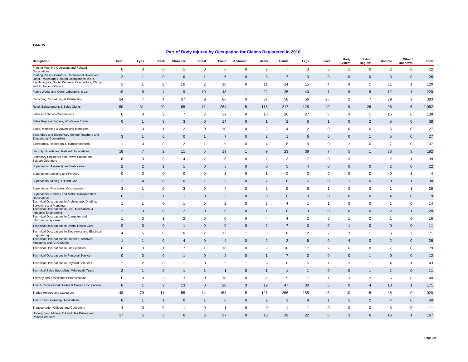| Occupation                                                                                      | Head           | Eyes                | Neck           | Shoulder       | Chest          | Back*          | Abdomen      | Arms           | Hands          | Legs           | Feet           | <b>Body</b><br>System | Pelvic<br>Region* | <b>Multiple</b> | Other /<br>Unknown | Total          |
|-------------------------------------------------------------------------------------------------|----------------|---------------------|----------------|----------------|----------------|----------------|--------------|----------------|----------------|----------------|----------------|-----------------------|-------------------|-----------------|--------------------|----------------|
| Printing Machine Operators and Related<br>Occupations                                           | 0              | 0                   | $\mathbf 0$    | 1              | 0              | 6              | $\mathbf 0$  | 2              | $\overline{7}$ | 3              | $\mathbf 0$    | 1                     | $\mathbf 0$       | 2               | 0                  | 22             |
| Printing Press Operators, Commercial Divers and<br>Other Trades and Related Occupations, n.e.c. | $\overline{2}$ | $\overline{1}$      | $\mathbf 0$    | $\mathbf 0$    | $\mathbf{1}$   | 6              | $\mathbf 0$  | 3              | $\overline{7}$ | 3              | $\mathbf 0$    | $\mathbf 0$           | $\mathbf{0}$      | 3               | $\pmb{0}$          | 26             |
| Psychologists, Social Workers, Counsellors, Clergy<br>and Probation Officers                    | $\overline{1}$ | -1                  | 2              | 10             | 2              | 18             | 0            | 11             | 14             | 15             | $\overline{4}$ | 9                     | -1                | 31              | $\mathbf{1}$       | 120            |
| Public Works and Other Labourers, n.e.c.                                                        | 19             | 8                   | $\overline{4}$ | 9              | 10             | 48             | $\mathbf{1}$ | 22             | 25             | 40             | $\overline{7}$ | 6                     | 8                 | 12              | $\mathbf{1}$       | 220            |
| Recording, Scheduling & Distributing                                                            | 24             | $\overline{7}$      | $\overline{4}$ | 37             | 9              | 86             | 0            | 37             | 58             | 56             | 25             | 2                     | 7                 | 29              | 2                  | 383            |
| Retail Salespersons & Sales Clerks                                                              | 50             | 31                  | 20             | 65             | 11             | 264            | 5            | 115            | 217            | 128            | 49             | 9                     | 26                | 96              | 6                  | 1,092          |
| Sales and Service Supervisors                                                                   | 6              | $\mathsf 0$         | 2              | $\overline{7}$ | $\overline{2}$ | 32             | $\pmb{0}$    | 10             | 26             | 27             | 8              | 3                     | $\overline{1}$    | 15              | $\mathsf 0$        | 139            |
| Sales Representatives, Wholesale Trade                                                          | $\mathbf 0$    | $\mathbf{1}$        | 3              | 3              | $\mathbf 0$    | 14             | $\mathbf 0$  | $\overline{1}$ | $\overline{2}$ | 6              | $\mathbf{1}$   | $\mathbf 0$           | $\overline{2}$    | 5               | $\mathbf 0$        | 38             |
| Sales, Marketing & Advertising Managers                                                         | $\overline{1}$ | $\mathsf 0$         | $\overline{1}$ | $\overline{2}$ | $\mathbf 0$    | 10             | $\pmb{0}$    | $\overline{2}$ | 4              | $\overline{2}$ | $\mathsf 0$    | 0                     | $\mathbf 0$       | 5               | $\mathsf 0$        | 27             |
| Secondary and Elementary School Teachers and<br><b>Educational Counsellors</b>                  | 3              | $\mathbf{1}$        | $\mathbf 0$    | $\mathsf 0$    | $\mathbf{1}$   | $\overline{7}$ | 0            | $\overline{2}$ | $\mathbf{1}$   | 6              | $\mathbf 0$    | 0                     | $\mathbf{1}$      | 5               | $\mathbf 0$        | 27             |
| Secretaries, Recorders & Transcriptionists                                                      | $\overline{1}$ | $\mathsf 0$         | $\mathbf 0$    | $\overline{2}$ | $\mathbf{1}$   | 9              | 0            | 4              | 6              | 5              | $\mathbf 0$    | $\overline{2}$        | $\mathbf 0$       | $\overline{7}$  | $\mathsf 0$        | 37             |
| Security Guards and Related Occupations                                                         | 18             | $\overline{7}$      | $\overline{2}$ | 11             | 5              | 19             | $\mathbf{1}$ | 9              | 23             | 38             | $\overline{7}$ | 5                     | $\mathbf{1}$      | 33              | 3                  | 182            |
| Stationary Engineers and Power Station and<br><b>System Operators</b>                           | 6              | 3                   | $\mathsf 0$    | 4              | $\overline{c}$ | 5              | 0            | $\overline{2}$ | 3              | $\overline{7}$ | $\mathbf 0$    | 3                     | $\overline{1}$    | $\overline{2}$  | $\mathbf{1}$       | 39             |
| Supervisors, Assembly and Fabrication                                                           | $\overline{2}$ | $\overline{2}$      | $\mathbf{1}$   | $\mathbf{1}$   | $\mathbf 0$    | 5              | $\mathbf{0}$ | $\mathbf 0$    | 5              | 4              | $\mathbf 0$    | $\mathbf 0$           | $\mathbf{0}$      | $\overline{2}$  | $\mathbf 0$        | 22             |
| Supervisors, Logging and Forestry                                                               | 0              | $\mathsf 0$         | $\mathsf 0$    | 0              | 0              | $\overline{c}$ | 0            | $\overline{1}$ | 0              | 0              | $\mathbf 0$    | $\Omega$              | $\mathbf 0$       | $\mathbf 0$     | $\mathbf{1}$       | $\overline{4}$ |
| Supervisors, Mining, Oil and Gas                                                                | $\overline{2}$ | $\overline{4}$      | $\mathbf 0$    | 0              | $\mathbf{1}$   | 3              | $\mathbf 0$  | $\overline{7}$ | 6              | 5              | $\mathbf 0$    | 1                     | $\mathbf{0}$      | $\mathbf 0$     | $\mathbf{1}$       | 30             |
| Supervisors, Processing Occupations                                                             | 3              | $\mathbf{1}$        | $\mathsf 0$    | 3              | 0              | 4              | $\mathbf 0$  | 3              | 5              | 6              | $\mathbf{1}$   | 0                     | 0                 | $\mathbf{1}$    | $\mathbf{1}$       | 28             |
| Supervisors, Railway and Motor Transportation<br>Occupations                                    | $\mathbf 0$    | $\mathbf 1$         | $\mathbf{1}$   | $\mathbf{1}$   | $\mathbf 0$    | $\overline{2}$ | $\mathbf 0$  | $\overline{0}$ | $\mathbf 0$    | $\mathbf 0$    | $\mathbf 0$    | $\mathbf 0$           | $\mathbf{0}$      | $\overline{4}$  | $\mathbf 0$        | 9              |
| Technical Occupations in Architecture, Drafting,<br>Surveying and Mapping                       | $\overline{1}$ | $\mathbf{1}$        | $\mathbf 0$    | $\overline{1}$ | 0              | $\overline{2}$ | $\mathbf 0$  | $\overline{2}$ | $\overline{4}$ | $\mathbf{1}$   | $\mathbf{1}$   | $\Omega$              | $\mathbf 0$       | -1              | $\mathsf 0$        | 14             |
| Technical Occupations in Civil, Mechanical &<br><b>Industrial Engineering</b>                   | $\overline{2}$ | 3                   | $\mathbf 0$    | $\overline{2}$ | $\mathbf 0$    | 6              | $\mathbf 0$  | $\overline{1}$ | 8              | 3              | $\mathbf 0$    | $\mathbf 0$           | $\mathbf{0}$      | $\overline{2}$  | $\mathbf{1}$       | 28             |
| Technical Occupations in Computer and<br><b>Information Systems</b>                             | $\overline{1}$ | $\mathsf{O}\xspace$ | $\overline{1}$ | $\overline{2}$ | 0              | 0              | 0            | 4              | $\overline{4}$ | $\overline{2}$ | $\mathbf 0$    | 1                     | 0                 | $\overline{1}$  | $\pmb{0}$          | 16             |
| Technical Occupations in Dental Health Care                                                     | $\mathbf 0$    | $\mathbf 0$         | $\mathbf 0$    | $\mathbf{1}$   | $\mathbf 0$    | $\mathbf 0$    | $\mathbf 0$  | $\overline{2}$ | $\overline{7}$ | $\mathbf 0$    | $\mathbf 0$    | 1                     | $\mathbf{0}$      | $\mathbf{0}$    | $\mathsf{O}$       | 11             |
| Technical Occupations in Electronics and Electrical<br>Engineering                              | 4              | 5                   | 0              | 6              | $\overline{2}$ | 13             | $\mathbf{1}$ | 5              | 8              | 12             | $\overline{2}$ | 3                     | -1                | 6               | 3                  | 71             |
| Technical Occupations in Libraries, Archives,<br>Museums and Art Galleries                      | $\overline{1}$ | $\mathbf{1}$        | $\mathbf 0$    | $\overline{4}$ | $\mathbf 0$    | $\overline{4}$ | $\mathbf 0$  | $\overline{2}$ | $\overline{2}$ | 6              | $\mathbf 0$    | $\overline{4}$        | $\mathbf{0}$      | $\overline{2}$  | $\mathbf 0$        | 26             |
| Technical Occupations in Life Sciences                                                          | 6              | 3                   | $\overline{1}$ | $\overline{7}$ | 1              | 16             | 0            | 3              | 10             | 17             | 2              | 6                     | 0                 | $\overline{7}$  | 0                  | 79             |
| Technical Occupations in Personal Service                                                       | $\mathbf 0$    | $\mathbf 0$         | $\mathbf 0$    | $\mathbf{1}$   | $\mathbf 0$    | $\overline{2}$ | $\mathbf 0$  | $\overline{1}$ | $\overline{7}$ | $\mathbf 0$    | $\mathbf 0$    | $\mathbf 0$           | $\mathbf{1}$      | $\mathbf 0$     | $\mathsf{O}$       | 12             |
| <b>Technical Occupations in Physical Sciences</b>                                               | 2              | 2                   | $\mathbf 0$    | 1              | $\mathbf 0$    | 5              | $\mathbf{1}$ | 9              | 8              | 5              | $\mathbf{1}$   | 3                     | -1                | $\overline{4}$  | $\mathbf{1}$       | 43             |
| Technical Sales Specialists, Wholesale Trade                                                    | $\overline{2}$ | $\mathbf{1}$        | $\mathbf 0$    | $\mathbf{1}$   | $\mathbf{1}$   | $\mathbf{1}$   | $\mathbf 0$  | $\overline{1}$ | $\overline{1}$ | $\mathbf{1}$   | $\mathbf 0$    | $\mathbf 0$           | $\mathbf{1}$      | $\overline{1}$  | $\mathbf 0$        | 11             |
| Therapy and Assessment Professionals                                                            | 0              | 0                   | $\overline{2}$ | 3              | 0              | 10             | 0            | 2              | 5              | $\overline{7}$ | $\mathbf{1}$   | 3                     | 2                 | 5               | 0                  | 40             |
| Tour & Recreational Guides & Casino Occupations                                                 | 8              | -1                  | $\overline{2}$ | 13             | $\mathbf 0$    | 20             | 3            | 19             | 47             | 30             | 5              | $\mathbf 0$           | $\overline{4}$    | 18              | $\mathbf{1}$       | 171            |
| <b>Trades Helpers and Labourers</b>                                                             | 48             | 79                  | 11             | 55             | 14             | 158            | 5            | 121            | 256            | 155            | 48             | 10                    | 15                | 45              | $\mathsf 0$        | 1,020          |
| <b>Train Crew Operating Occupations</b>                                                         | 8              | $\mathbf{1}$        | $\overline{1}$ | $\mathsf 0$    | $\mathbf{1}$   | 6              | $\mathbf 0$  | $\overline{2}$ | $\overline{1}$ | 8              | $\mathbf{1}$   | 5                     | $\overline{2}$    | $\overline{4}$  | $\mathbf 0$        | 40             |
| Transportation Officers and Controllers                                                         | $\overline{4}$ | $\mathbf 0$         | $\mathbf 0$    | $\mathbf{1}$   | $\mathbf 0$    | $\mathbf{1}$   | $\mathbf 0$  | $\mathbf 0$    | -1             | $\overline{1}$ | $\mathbf 0$    | $\mathbf 0$           | $\mathbf 0$       | 3               | $\mathsf 0$        | 11             |
| Underground Miners, Oil and Gas Drillers and<br><b>Related Workers</b>                          | 17             | 5                   | 3              | 6              | 6              | 37             | $\mathbf{0}$ | 10             | 29             | 22             | 6              | 3                     | 6                 | 16              | $\mathbf{1}$       | 167            |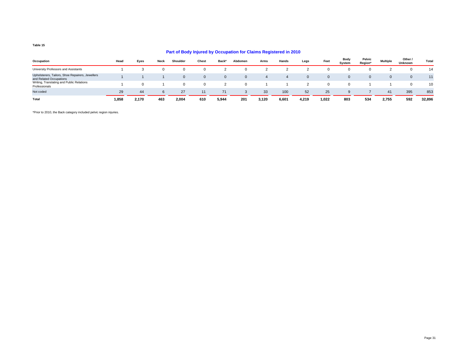#### **Part of Body Injured by Occupation for Claims Registered in 2010**

| Occupation                                                                  | Head  | Eyes  | <b>Neck</b> | Shoulder | Chest    | Back* | Abdomen | Arms  | Hands          | Legs  | Feet     | Body<br>System | Pelvic<br>Region* | <b>Multiple</b> | Other /<br>Unknown | Total  |
|-----------------------------------------------------------------------------|-------|-------|-------------|----------|----------|-------|---------|-------|----------------|-------|----------|----------------|-------------------|-----------------|--------------------|--------|
| University Professors and Assistants                                        |       |       |             |          |          |       |         |       |                |       | 0        |                |                   |                 |                    | 14     |
| Upholsterers, Tailors, Shoe Repairers, Jewellers<br>and Related Occupations |       |       |             | $\Omega$ | $\Omega$ | 0     |         |       | $\overline{a}$ |       | $\Omega$ |                |                   |                 |                    | 11     |
| Writing, Translating and Public Relations<br>Professionals                  |       |       |             | $\Omega$ |          |       |         |       |                |       | $\Omega$ |                |                   |                 |                    | 10     |
| Not coded                                                                   | 29    | 44    |             | 27       | 11       | 71    |         | 33    | 100            | 52    | 25       | a              |                   | 41              | 395                | 853    |
| Total                                                                       | 1,858 | 2,170 | 463         | 2,004    | 610      | 5,944 | 201     | 3,120 | 6,601          | 4,219 | 1,022    | 803            | 534               | 2,755           | 592                | 32,896 |

\*Prior to 2010, the Back category included pelvic region injuries.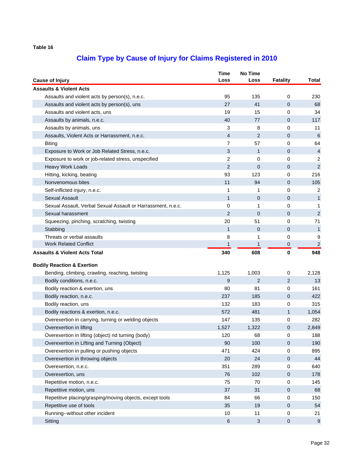| <b>Cause of Injury</b>                                       | Time<br>Loss   | <b>No Time</b><br>Loss    | <b>Fatality</b> | Total            |
|--------------------------------------------------------------|----------------|---------------------------|-----------------|------------------|
| <b>Assaults &amp; Violent Acts</b>                           |                |                           |                 |                  |
| Assaults and violent acts by person(s), n.e.c.               | 95             | 135                       | 0               | 230              |
| Assaults and violent acts by person(s), uns                  | 27             | 41                        | $\mathbf{0}$    | 68               |
| Assaults and violent acts, uns                               | 19             | 15                        | 0               | 34               |
| Assaults by animals, n.e.c.                                  | 40             | 77                        | 0               | 117              |
| Assaults by animals, uns                                     | 3              | 8                         | 0               | 11               |
| Assaults, Violent Acts or Harrassment, n.e.c.                | $\overline{4}$ | $\overline{2}$            | 0               | 6                |
| <b>Biting</b>                                                | 7              | 57                        | 0               | 64               |
| Exposure to Work or Job Related Stress, n.e.c.               | 3              | $\mathbf{1}$              | 0               | $\overline{4}$   |
| Exposure to work or job-related stress, unspecified          | 2              | 0                         | 0               | 2                |
| Heavy Work Loads                                             | 2              | $\mathbf{0}$              | 0               | $\overline{2}$   |
| Hitting, kicking, beating                                    | 93             | 123                       | 0               | 216              |
| Nonvenomous bites                                            | 11             | 94                        | 0               | 105              |
| Self-inflicted injury, n.e.c.                                | 1              | 1                         | 0               | 2                |
| <b>Sexual Assault</b>                                        | $\mathbf{1}$   | 0                         | 0               | $\mathbf{1}$     |
| Sexual Assault, Verbal Sexual Assault or Harrassment, n.e.c. | 0              | 1                         | 0               | $\mathbf 1$      |
| Sexual harassment                                            | 2              | $\mathbf{0}$              | $\mathbf 0$     | $\sqrt{2}$       |
| Squeezing, pinching, scratching, twisting                    | 20             | 51                        | 0               | 71               |
| Stabbing                                                     | $\mathbf{1}$   | $\mathbf{0}$              | 0               | $\mathbf{1}$     |
| Threats or verbal assaults                                   | 8              | 1                         | 0               | 9                |
| <b>Work Related Conflict</b>                                 | $\mathbf{1}$   | $\mathbf{1}$              | 0               | $\overline{2}$   |
| <b>Assaults &amp; Violent Acts Total</b>                     | 340            | 608                       | 0               | 948              |
| <b>Bodily Reaction &amp; Exertion</b>                        |                |                           |                 |                  |
| Bending, climbing, crawling, reaching, twisting              | 1,125          | 1,003                     | 0               | 2,128            |
| Bodily conditions, n.e.c.                                    | 9              | $\overline{2}$            | 2               | 13               |
| Bodily reaction & exertion, uns                              | 80             | 81                        | 0               | 161              |
|                                                              | 237            | 185                       | 0               | 422              |
| Bodily reaction, n.e.c.                                      | 132            | 183                       | 0               | 315              |
| Bodily reaction, uns                                         | 572            | 481                       |                 |                  |
| Bodily reactions & exertion, n.e.c.                          |                |                           | $\mathbf{1}$    | 1,054            |
| Overexertion in carrying, turning or welding objects         | 147            | 135                       | 0               | 282              |
| Overexertion in lifting                                      | 1,527          | 1,322                     | 0               | 2,849            |
| Overexertion in lifting (object) nd turning (body)           | 120            | 68                        | 0               | 188              |
| Overexertion in Lifting and Turning (Object)                 | 90             | 100                       | 0               | 190              |
| Overexertion in pulling or pushing objects                   | 471            | 424                       | 0               | 895              |
| Overexertion in throwing objects                             | 20             | 24                        | 0               | 44               |
| Overexertion, n.e.c.                                         | 351            | 289                       | 0               | 640              |
| Overexertion, uns                                            | 76             | 102                       | 0               | 178              |
| Repetitive motion, n.e.c.                                    | 75             | 70                        | 0               | 145              |
| Repetitive motion, uns                                       | 37             | 31                        | 0               | 68               |
| Repetitive placing/grasping/moving objects, except tools     | 84             | 66                        | 0               | 150              |
| Repetitive use of tools                                      | 35             | 19                        | $\pmb{0}$       | 54               |
| Running--without other incident                              | 10             | 11                        | 0               | 21               |
| Sitting                                                      | $\,6$          | $\ensuremath{\mathsf{3}}$ | 0               | $\boldsymbol{9}$ |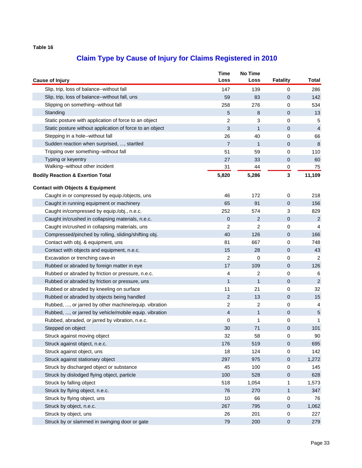| <b>Cause of Injury</b>                                   | <b>Time</b><br>Loss      | <b>No Time</b><br>Loss | <b>Fatality</b> | <b>Total</b>   |
|----------------------------------------------------------|--------------------------|------------------------|-----------------|----------------|
| Slip, trip, loss of balance--without fall                | 147                      | 139                    | 0               | 286            |
| Slip, trip, loss of balance--without fall, uns           | 59                       | 83                     | 0               | 142            |
| Slipping on something--without fall                      | 258                      | 276                    | 0               | 534            |
| Standing                                                 | 5                        | 8                      | 0               | 13             |
| Static posture with application of force to an object    | $\overline{c}$           | 3                      | 0               | 5              |
| Static posture without application of force to an object | $\mathfrak{S}$           | $\mathbf{1}$           | 0               | $\overline{4}$ |
| Stepping in a hole--without fall                         | 26                       | 40                     | 0               | 66             |
| Sudden reaction when surprised, , startled               | $\overline{7}$           | $\mathbf{1}$           | 0               | 8              |
| Tripping over something--without fall                    | 51                       | 59                     | 0               | 110            |
| Typing or keyentry                                       | 27                       | 33                     | 0               | 60             |
| Walking--without other incident                          | 31                       | 44                     | 0               | 75             |
| <b>Bodily Reaction &amp; Exertion Total</b>              | 5,820                    | 5,286                  | 3               | 11,109         |
| <b>Contact with Objects &amp; Equipment</b>              |                          |                        |                 |                |
| Caught in or compressed by equip./objects, uns           | 46                       | 172                    | 0               | 218            |
| Caught in running equipment or machinery                 | 65                       | 91                     | 0               | 156            |
| Caught in/compressed by equip./obj., n.e.c.              | 252                      | 574                    | 3               | 829            |
| Caught in/crushed in collapsing materials, n.e.c.        | 0                        | $\overline{2}$         | 0               | $\overline{2}$ |
| Caught in/crushed in collapsing materials, uns           | $\overline{c}$           | 2                      | 0               | $\overline{4}$ |
| Compressed/pinched by rolling, sliding/shifting obj.     | 40                       | 126                    | 0               | 166            |
| Contact with obj. & equipment, uns                       | 81                       | 667                    | 0               | 748            |
| Contact with objects and equipment, n.e.c.               | 15                       | 28                     | 0               | 43             |
| Excavation or trenching cave-in                          | 2                        | 0                      | 0               | 2              |
| Rubbed or abraded by foreign matter in eye               | 17                       | 109                    | 0               | 126            |
| Rubbed or abraded by friction or pressure, n.e.c.        | 4                        | 2                      | 0               | 6              |
| Rubbed or abraded by friction or pressure, uns           | $\mathbf{1}$             | $\mathbf{1}$           | 0               | $\sqrt{2}$     |
| Rubbed or abraded by kneeling on surface                 | 11                       | 21                     | 0               | 32             |
| Rubbed or abraded by objects being handled               | 2                        | 13                     | 0               | 15             |
| Rubbed, , or jarred by other machine/equip. vibration    | $\overline{c}$           | 2                      | 0               | 4              |
| Rubbed, , or jarred by vehicle/mobile equip. vibration   | $\overline{\mathcal{A}}$ | $\mathbf{1}$           | 0               | $\sqrt{5}$     |
| Rubbed, abraded, or jarred by vibration, n.e.c.          | 0                        | 1                      | 0               | 1              |
| Stepped on object                                        | 30                       | 71                     | 0               | 101            |
| Struck against moving object                             | 32                       | 58                     | 0               | 90             |
| Struck against object, n.e.c.                            | 176                      | 519                    | 0               | 695            |
| Struck against object, uns                               | 18                       | 124                    | 0               | 142            |
| Struck against stationary object                         | 297                      | 975                    | 0               | 1,272          |
| Struck by discharged object or substance                 | 45                       | 100                    | 0               | 145            |
| Struck by dislodged flying object, particle              | 100                      | 528                    | 0               | 628            |
| Struck by falling object                                 | 518                      | 1,054                  | 1               | 1,573          |
| Struck by flying object, n.e.c.                          | 76                       | 270                    | 1               | 347            |
| Struck by flying object, uns                             | 10                       | 66                     | 0               | 76             |
| Struck by object, n.e.c.                                 | 267                      | 795                    | 0               | 1,062          |
| Struck by object, uns                                    | 26                       | 201                    | 0               | 227            |
| Struck by or slammed in swinging door or gate            | 79                       | 200                    | 0               | 279            |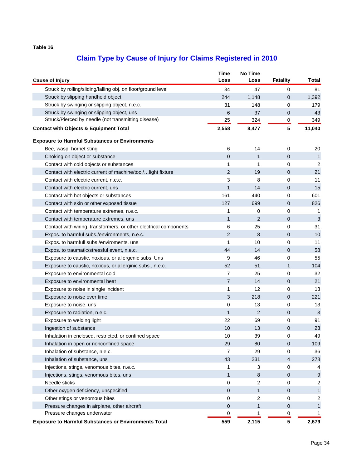| Struck by rolling/sliding/falling obj. on floor/ground level<br>47<br>$\mathbf 0$<br>34<br>81<br>1,148<br>$\mathbf 0$<br>1,392<br>Struck by slipping handheld object<br>244<br>Struck by swinging or slipping object, n.e.c.<br>31<br>148<br>0<br>179<br>Struck by swinging or slipping object, uns<br>6<br>37<br>43<br>0<br>Struck/Pierced by needle (not transmitting disease)<br>25<br>324<br>0<br>349<br>5<br>2,558<br>8,477<br>11,040<br><b>Contact with Objects &amp; Equipment Total</b><br><b>Exposure to Harmful Substances or Environments</b><br>6<br>Bee, wasp, hornet sting<br>14<br>0<br>20<br>$\overline{0}$<br>Choking on object or substance<br>$\mathbf{1}$<br>$\mathbf{0}$<br>$\mathbf{1}$<br>1<br>0<br>$\overline{2}$<br>Contact with cold objects or substances<br>1<br>Contact with electric current of machine/tool/light fixture<br>2<br>19<br>0<br>21<br>3<br>8<br>0<br>11<br>Contact with electric current, n.e.c.<br>$\mathbf{1}$<br>14<br>15<br>Contact with electric current, uns<br>0<br>161<br>Contact with hot objects or substances<br>440<br>0<br>601<br>Contact with skin or other exposed tissue<br>127<br>699<br>$\mathbf 0$<br>826<br>0<br>Contact with temperature extremes, n.e.c.<br>1<br>0<br>-1<br>$\mathbf{1}$<br>$\overline{2}$<br>3<br>Contact with temperature extremes, uns<br>$\mathbf{0}$<br>6<br>25<br>0<br>31<br>Contact with wiring, transformers, or other electrical components<br>2<br>8<br>Expos. to harmful subs./environments, n.e.c.<br>$\mathbf{0}$<br>10<br>10<br>0<br>11<br>Expos. to harmfull subs./enviroments, uns<br>1<br>44<br>14<br>0<br>58<br>Expos. to traumatic/stressful event, n.e.c.<br>9<br>46<br>55<br>Exposure to caustic, noxious, or allergenic subs. Uns<br>0<br>52<br>51<br>104<br>Exposure to caustic, noxious, or allerginic subs., n.e.c.<br>1<br>$\overline{7}$<br>Exposure to environmental cold<br>25<br>0<br>32<br>$\overline{7}$<br>14<br>Exposure to environmental heat<br>$\mathbf 0$<br>21<br>12<br>13<br>Exposure to noise in single incident<br>1<br>0<br>218<br>3<br>221<br>Exposure to noise over time<br>0<br>0<br>13<br>0<br>Exposure to noise, uns<br>13<br>$\overline{2}$<br>Exposure to radiation, n.e.c.<br>$\mathbf{1}$<br>$\mathbf{0}$<br>3<br>22<br>91<br>Exposure to welding light<br>69<br>0<br>10<br>13<br>0<br>23<br>Ingestion of substance<br>Inhalation in enclosed, restricted, or confined space<br>10<br>39<br>0<br>49<br>Inhalation in open or nonconfined space<br>29<br>80<br>0<br>109<br>Inhalation of substance, n.e.c.<br>$\overline{7}$<br>29<br>0<br>36<br>Inhalation of substance, uns<br>43<br>231<br>$\overline{4}$<br>278 | <b>Cause of Injury</b> | <b>Time</b><br>Loss | <b>No Time</b><br>Loss | <b>Fatality</b> | Total |
|----------------------------------------------------------------------------------------------------------------------------------------------------------------------------------------------------------------------------------------------------------------------------------------------------------------------------------------------------------------------------------------------------------------------------------------------------------------------------------------------------------------------------------------------------------------------------------------------------------------------------------------------------------------------------------------------------------------------------------------------------------------------------------------------------------------------------------------------------------------------------------------------------------------------------------------------------------------------------------------------------------------------------------------------------------------------------------------------------------------------------------------------------------------------------------------------------------------------------------------------------------------------------------------------------------------------------------------------------------------------------------------------------------------------------------------------------------------------------------------------------------------------------------------------------------------------------------------------------------------------------------------------------------------------------------------------------------------------------------------------------------------------------------------------------------------------------------------------------------------------------------------------------------------------------------------------------------------------------------------------------------------------------------------------------------------------------------------------------------------------------------------------------------------------------------------------------------------------------------------------------------------------------------------------------------------------------------------------------------------------------------------------------------------------------------------------------------------------------------------------------------------------------------------------------------------------------------------------------------------------------------------------------------|------------------------|---------------------|------------------------|-----------------|-------|
|                                                                                                                                                                                                                                                                                                                                                                                                                                                                                                                                                                                                                                                                                                                                                                                                                                                                                                                                                                                                                                                                                                                                                                                                                                                                                                                                                                                                                                                                                                                                                                                                                                                                                                                                                                                                                                                                                                                                                                                                                                                                                                                                                                                                                                                                                                                                                                                                                                                                                                                                                                                                                                                          |                        |                     |                        |                 |       |
|                                                                                                                                                                                                                                                                                                                                                                                                                                                                                                                                                                                                                                                                                                                                                                                                                                                                                                                                                                                                                                                                                                                                                                                                                                                                                                                                                                                                                                                                                                                                                                                                                                                                                                                                                                                                                                                                                                                                                                                                                                                                                                                                                                                                                                                                                                                                                                                                                                                                                                                                                                                                                                                          |                        |                     |                        |                 |       |
|                                                                                                                                                                                                                                                                                                                                                                                                                                                                                                                                                                                                                                                                                                                                                                                                                                                                                                                                                                                                                                                                                                                                                                                                                                                                                                                                                                                                                                                                                                                                                                                                                                                                                                                                                                                                                                                                                                                                                                                                                                                                                                                                                                                                                                                                                                                                                                                                                                                                                                                                                                                                                                                          |                        |                     |                        |                 |       |
|                                                                                                                                                                                                                                                                                                                                                                                                                                                                                                                                                                                                                                                                                                                                                                                                                                                                                                                                                                                                                                                                                                                                                                                                                                                                                                                                                                                                                                                                                                                                                                                                                                                                                                                                                                                                                                                                                                                                                                                                                                                                                                                                                                                                                                                                                                                                                                                                                                                                                                                                                                                                                                                          |                        |                     |                        |                 |       |
|                                                                                                                                                                                                                                                                                                                                                                                                                                                                                                                                                                                                                                                                                                                                                                                                                                                                                                                                                                                                                                                                                                                                                                                                                                                                                                                                                                                                                                                                                                                                                                                                                                                                                                                                                                                                                                                                                                                                                                                                                                                                                                                                                                                                                                                                                                                                                                                                                                                                                                                                                                                                                                                          |                        |                     |                        |                 |       |
|                                                                                                                                                                                                                                                                                                                                                                                                                                                                                                                                                                                                                                                                                                                                                                                                                                                                                                                                                                                                                                                                                                                                                                                                                                                                                                                                                                                                                                                                                                                                                                                                                                                                                                                                                                                                                                                                                                                                                                                                                                                                                                                                                                                                                                                                                                                                                                                                                                                                                                                                                                                                                                                          |                        |                     |                        |                 |       |
|                                                                                                                                                                                                                                                                                                                                                                                                                                                                                                                                                                                                                                                                                                                                                                                                                                                                                                                                                                                                                                                                                                                                                                                                                                                                                                                                                                                                                                                                                                                                                                                                                                                                                                                                                                                                                                                                                                                                                                                                                                                                                                                                                                                                                                                                                                                                                                                                                                                                                                                                                                                                                                                          |                        |                     |                        |                 |       |
|                                                                                                                                                                                                                                                                                                                                                                                                                                                                                                                                                                                                                                                                                                                                                                                                                                                                                                                                                                                                                                                                                                                                                                                                                                                                                                                                                                                                                                                                                                                                                                                                                                                                                                                                                                                                                                                                                                                                                                                                                                                                                                                                                                                                                                                                                                                                                                                                                                                                                                                                                                                                                                                          |                        |                     |                        |                 |       |
|                                                                                                                                                                                                                                                                                                                                                                                                                                                                                                                                                                                                                                                                                                                                                                                                                                                                                                                                                                                                                                                                                                                                                                                                                                                                                                                                                                                                                                                                                                                                                                                                                                                                                                                                                                                                                                                                                                                                                                                                                                                                                                                                                                                                                                                                                                                                                                                                                                                                                                                                                                                                                                                          |                        |                     |                        |                 |       |
|                                                                                                                                                                                                                                                                                                                                                                                                                                                                                                                                                                                                                                                                                                                                                                                                                                                                                                                                                                                                                                                                                                                                                                                                                                                                                                                                                                                                                                                                                                                                                                                                                                                                                                                                                                                                                                                                                                                                                                                                                                                                                                                                                                                                                                                                                                                                                                                                                                                                                                                                                                                                                                                          |                        |                     |                        |                 |       |
|                                                                                                                                                                                                                                                                                                                                                                                                                                                                                                                                                                                                                                                                                                                                                                                                                                                                                                                                                                                                                                                                                                                                                                                                                                                                                                                                                                                                                                                                                                                                                                                                                                                                                                                                                                                                                                                                                                                                                                                                                                                                                                                                                                                                                                                                                                                                                                                                                                                                                                                                                                                                                                                          |                        |                     |                        |                 |       |
|                                                                                                                                                                                                                                                                                                                                                                                                                                                                                                                                                                                                                                                                                                                                                                                                                                                                                                                                                                                                                                                                                                                                                                                                                                                                                                                                                                                                                                                                                                                                                                                                                                                                                                                                                                                                                                                                                                                                                                                                                                                                                                                                                                                                                                                                                                                                                                                                                                                                                                                                                                                                                                                          |                        |                     |                        |                 |       |
|                                                                                                                                                                                                                                                                                                                                                                                                                                                                                                                                                                                                                                                                                                                                                                                                                                                                                                                                                                                                                                                                                                                                                                                                                                                                                                                                                                                                                                                                                                                                                                                                                                                                                                                                                                                                                                                                                                                                                                                                                                                                                                                                                                                                                                                                                                                                                                                                                                                                                                                                                                                                                                                          |                        |                     |                        |                 |       |
|                                                                                                                                                                                                                                                                                                                                                                                                                                                                                                                                                                                                                                                                                                                                                                                                                                                                                                                                                                                                                                                                                                                                                                                                                                                                                                                                                                                                                                                                                                                                                                                                                                                                                                                                                                                                                                                                                                                                                                                                                                                                                                                                                                                                                                                                                                                                                                                                                                                                                                                                                                                                                                                          |                        |                     |                        |                 |       |
|                                                                                                                                                                                                                                                                                                                                                                                                                                                                                                                                                                                                                                                                                                                                                                                                                                                                                                                                                                                                                                                                                                                                                                                                                                                                                                                                                                                                                                                                                                                                                                                                                                                                                                                                                                                                                                                                                                                                                                                                                                                                                                                                                                                                                                                                                                                                                                                                                                                                                                                                                                                                                                                          |                        |                     |                        |                 |       |
|                                                                                                                                                                                                                                                                                                                                                                                                                                                                                                                                                                                                                                                                                                                                                                                                                                                                                                                                                                                                                                                                                                                                                                                                                                                                                                                                                                                                                                                                                                                                                                                                                                                                                                                                                                                                                                                                                                                                                                                                                                                                                                                                                                                                                                                                                                                                                                                                                                                                                                                                                                                                                                                          |                        |                     |                        |                 |       |
|                                                                                                                                                                                                                                                                                                                                                                                                                                                                                                                                                                                                                                                                                                                                                                                                                                                                                                                                                                                                                                                                                                                                                                                                                                                                                                                                                                                                                                                                                                                                                                                                                                                                                                                                                                                                                                                                                                                                                                                                                                                                                                                                                                                                                                                                                                                                                                                                                                                                                                                                                                                                                                                          |                        |                     |                        |                 |       |
|                                                                                                                                                                                                                                                                                                                                                                                                                                                                                                                                                                                                                                                                                                                                                                                                                                                                                                                                                                                                                                                                                                                                                                                                                                                                                                                                                                                                                                                                                                                                                                                                                                                                                                                                                                                                                                                                                                                                                                                                                                                                                                                                                                                                                                                                                                                                                                                                                                                                                                                                                                                                                                                          |                        |                     |                        |                 |       |
|                                                                                                                                                                                                                                                                                                                                                                                                                                                                                                                                                                                                                                                                                                                                                                                                                                                                                                                                                                                                                                                                                                                                                                                                                                                                                                                                                                                                                                                                                                                                                                                                                                                                                                                                                                                                                                                                                                                                                                                                                                                                                                                                                                                                                                                                                                                                                                                                                                                                                                                                                                                                                                                          |                        |                     |                        |                 |       |
|                                                                                                                                                                                                                                                                                                                                                                                                                                                                                                                                                                                                                                                                                                                                                                                                                                                                                                                                                                                                                                                                                                                                                                                                                                                                                                                                                                                                                                                                                                                                                                                                                                                                                                                                                                                                                                                                                                                                                                                                                                                                                                                                                                                                                                                                                                                                                                                                                                                                                                                                                                                                                                                          |                        |                     |                        |                 |       |
|                                                                                                                                                                                                                                                                                                                                                                                                                                                                                                                                                                                                                                                                                                                                                                                                                                                                                                                                                                                                                                                                                                                                                                                                                                                                                                                                                                                                                                                                                                                                                                                                                                                                                                                                                                                                                                                                                                                                                                                                                                                                                                                                                                                                                                                                                                                                                                                                                                                                                                                                                                                                                                                          |                        |                     |                        |                 |       |
|                                                                                                                                                                                                                                                                                                                                                                                                                                                                                                                                                                                                                                                                                                                                                                                                                                                                                                                                                                                                                                                                                                                                                                                                                                                                                                                                                                                                                                                                                                                                                                                                                                                                                                                                                                                                                                                                                                                                                                                                                                                                                                                                                                                                                                                                                                                                                                                                                                                                                                                                                                                                                                                          |                        |                     |                        |                 |       |
|                                                                                                                                                                                                                                                                                                                                                                                                                                                                                                                                                                                                                                                                                                                                                                                                                                                                                                                                                                                                                                                                                                                                                                                                                                                                                                                                                                                                                                                                                                                                                                                                                                                                                                                                                                                                                                                                                                                                                                                                                                                                                                                                                                                                                                                                                                                                                                                                                                                                                                                                                                                                                                                          |                        |                     |                        |                 |       |
|                                                                                                                                                                                                                                                                                                                                                                                                                                                                                                                                                                                                                                                                                                                                                                                                                                                                                                                                                                                                                                                                                                                                                                                                                                                                                                                                                                                                                                                                                                                                                                                                                                                                                                                                                                                                                                                                                                                                                                                                                                                                                                                                                                                                                                                                                                                                                                                                                                                                                                                                                                                                                                                          |                        |                     |                        |                 |       |
|                                                                                                                                                                                                                                                                                                                                                                                                                                                                                                                                                                                                                                                                                                                                                                                                                                                                                                                                                                                                                                                                                                                                                                                                                                                                                                                                                                                                                                                                                                                                                                                                                                                                                                                                                                                                                                                                                                                                                                                                                                                                                                                                                                                                                                                                                                                                                                                                                                                                                                                                                                                                                                                          |                        |                     |                        |                 |       |
|                                                                                                                                                                                                                                                                                                                                                                                                                                                                                                                                                                                                                                                                                                                                                                                                                                                                                                                                                                                                                                                                                                                                                                                                                                                                                                                                                                                                                                                                                                                                                                                                                                                                                                                                                                                                                                                                                                                                                                                                                                                                                                                                                                                                                                                                                                                                                                                                                                                                                                                                                                                                                                                          |                        |                     |                        |                 |       |
|                                                                                                                                                                                                                                                                                                                                                                                                                                                                                                                                                                                                                                                                                                                                                                                                                                                                                                                                                                                                                                                                                                                                                                                                                                                                                                                                                                                                                                                                                                                                                                                                                                                                                                                                                                                                                                                                                                                                                                                                                                                                                                                                                                                                                                                                                                                                                                                                                                                                                                                                                                                                                                                          |                        |                     |                        |                 |       |
|                                                                                                                                                                                                                                                                                                                                                                                                                                                                                                                                                                                                                                                                                                                                                                                                                                                                                                                                                                                                                                                                                                                                                                                                                                                                                                                                                                                                                                                                                                                                                                                                                                                                                                                                                                                                                                                                                                                                                                                                                                                                                                                                                                                                                                                                                                                                                                                                                                                                                                                                                                                                                                                          |                        |                     |                        |                 |       |
|                                                                                                                                                                                                                                                                                                                                                                                                                                                                                                                                                                                                                                                                                                                                                                                                                                                                                                                                                                                                                                                                                                                                                                                                                                                                                                                                                                                                                                                                                                                                                                                                                                                                                                                                                                                                                                                                                                                                                                                                                                                                                                                                                                                                                                                                                                                                                                                                                                                                                                                                                                                                                                                          |                        |                     |                        |                 |       |
|                                                                                                                                                                                                                                                                                                                                                                                                                                                                                                                                                                                                                                                                                                                                                                                                                                                                                                                                                                                                                                                                                                                                                                                                                                                                                                                                                                                                                                                                                                                                                                                                                                                                                                                                                                                                                                                                                                                                                                                                                                                                                                                                                                                                                                                                                                                                                                                                                                                                                                                                                                                                                                                          |                        |                     |                        |                 |       |
|                                                                                                                                                                                                                                                                                                                                                                                                                                                                                                                                                                                                                                                                                                                                                                                                                                                                                                                                                                                                                                                                                                                                                                                                                                                                                                                                                                                                                                                                                                                                                                                                                                                                                                                                                                                                                                                                                                                                                                                                                                                                                                                                                                                                                                                                                                                                                                                                                                                                                                                                                                                                                                                          |                        |                     |                        |                 |       |
|                                                                                                                                                                                                                                                                                                                                                                                                                                                                                                                                                                                                                                                                                                                                                                                                                                                                                                                                                                                                                                                                                                                                                                                                                                                                                                                                                                                                                                                                                                                                                                                                                                                                                                                                                                                                                                                                                                                                                                                                                                                                                                                                                                                                                                                                                                                                                                                                                                                                                                                                                                                                                                                          |                        |                     |                        |                 |       |
|                                                                                                                                                                                                                                                                                                                                                                                                                                                                                                                                                                                                                                                                                                                                                                                                                                                                                                                                                                                                                                                                                                                                                                                                                                                                                                                                                                                                                                                                                                                                                                                                                                                                                                                                                                                                                                                                                                                                                                                                                                                                                                                                                                                                                                                                                                                                                                                                                                                                                                                                                                                                                                                          |                        |                     |                        |                 |       |
|                                                                                                                                                                                                                                                                                                                                                                                                                                                                                                                                                                                                                                                                                                                                                                                                                                                                                                                                                                                                                                                                                                                                                                                                                                                                                                                                                                                                                                                                                                                                                                                                                                                                                                                                                                                                                                                                                                                                                                                                                                                                                                                                                                                                                                                                                                                                                                                                                                                                                                                                                                                                                                                          |                        |                     |                        |                 |       |
|                                                                                                                                                                                                                                                                                                                                                                                                                                                                                                                                                                                                                                                                                                                                                                                                                                                                                                                                                                                                                                                                                                                                                                                                                                                                                                                                                                                                                                                                                                                                                                                                                                                                                                                                                                                                                                                                                                                                                                                                                                                                                                                                                                                                                                                                                                                                                                                                                                                                                                                                                                                                                                                          |                        |                     |                        |                 |       |
| Injections, stings, venomous bites, n.e.c.<br>3<br>0<br>1                                                                                                                                                                                                                                                                                                                                                                                                                                                                                                                                                                                                                                                                                                                                                                                                                                                                                                                                                                                                                                                                                                                                                                                                                                                                                                                                                                                                                                                                                                                                                                                                                                                                                                                                                                                                                                                                                                                                                                                                                                                                                                                                                                                                                                                                                                                                                                                                                                                                                                                                                                                                |                        |                     |                        |                 |       |
| 4<br>Injections, stings, venomous bites, uns<br>9<br>1<br>8<br>0                                                                                                                                                                                                                                                                                                                                                                                                                                                                                                                                                                                                                                                                                                                                                                                                                                                                                                                                                                                                                                                                                                                                                                                                                                                                                                                                                                                                                                                                                                                                                                                                                                                                                                                                                                                                                                                                                                                                                                                                                                                                                                                                                                                                                                                                                                                                                                                                                                                                                                                                                                                         |                        |                     |                        |                 |       |
| Needle sticks<br>0<br>2<br>0                                                                                                                                                                                                                                                                                                                                                                                                                                                                                                                                                                                                                                                                                                                                                                                                                                                                                                                                                                                                                                                                                                                                                                                                                                                                                                                                                                                                                                                                                                                                                                                                                                                                                                                                                                                                                                                                                                                                                                                                                                                                                                                                                                                                                                                                                                                                                                                                                                                                                                                                                                                                                             |                        |                     |                        |                 |       |
| $\overline{c}$                                                                                                                                                                                                                                                                                                                                                                                                                                                                                                                                                                                                                                                                                                                                                                                                                                                                                                                                                                                                                                                                                                                                                                                                                                                                                                                                                                                                                                                                                                                                                                                                                                                                                                                                                                                                                                                                                                                                                                                                                                                                                                                                                                                                                                                                                                                                                                                                                                                                                                                                                                                                                                           |                        |                     |                        |                 |       |
| Other oxygen deficiency, unspecified<br>$\overline{0}$<br>1<br>0<br>$\mathbf{1}$                                                                                                                                                                                                                                                                                                                                                                                                                                                                                                                                                                                                                                                                                                                                                                                                                                                                                                                                                                                                                                                                                                                                                                                                                                                                                                                                                                                                                                                                                                                                                                                                                                                                                                                                                                                                                                                                                                                                                                                                                                                                                                                                                                                                                                                                                                                                                                                                                                                                                                                                                                         |                        |                     |                        |                 |       |
| Other stings or venomous bites<br>2<br>0<br>$\overline{c}$<br>0                                                                                                                                                                                                                                                                                                                                                                                                                                                                                                                                                                                                                                                                                                                                                                                                                                                                                                                                                                                                                                                                                                                                                                                                                                                                                                                                                                                                                                                                                                                                                                                                                                                                                                                                                                                                                                                                                                                                                                                                                                                                                                                                                                                                                                                                                                                                                                                                                                                                                                                                                                                          |                        |                     |                        |                 |       |
| Pressure changes in airplane, other aircraft<br>0<br>1<br>0<br>$\mathbf{1}$<br>Pressure changes underwater                                                                                                                                                                                                                                                                                                                                                                                                                                                                                                                                                                                                                                                                                                                                                                                                                                                                                                                                                                                                                                                                                                                                                                                                                                                                                                                                                                                                                                                                                                                                                                                                                                                                                                                                                                                                                                                                                                                                                                                                                                                                                                                                                                                                                                                                                                                                                                                                                                                                                                                                               |                        |                     |                        |                 |       |
| 0<br>1<br>0<br>1<br>5<br>559<br>2,115<br>2,679<br><b>Exposure to Harmful Substances or Environments Total</b>                                                                                                                                                                                                                                                                                                                                                                                                                                                                                                                                                                                                                                                                                                                                                                                                                                                                                                                                                                                                                                                                                                                                                                                                                                                                                                                                                                                                                                                                                                                                                                                                                                                                                                                                                                                                                                                                                                                                                                                                                                                                                                                                                                                                                                                                                                                                                                                                                                                                                                                                            |                        |                     |                        |                 |       |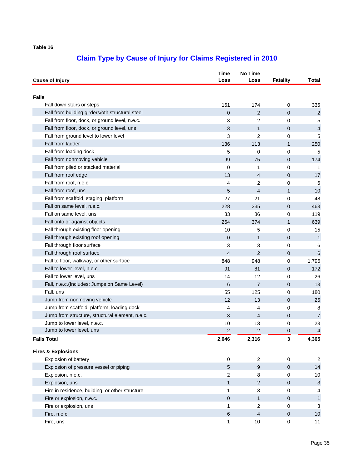| <b>Cause of Injury</b>                          | <b>Time</b><br>Loss     | <b>No Time</b><br>Loss | <b>Fatality</b> | Total                     |
|-------------------------------------------------|-------------------------|------------------------|-----------------|---------------------------|
| <b>Falls</b>                                    |                         |                        |                 |                           |
| Fall down stairs or steps                       | 161                     | 174                    | 0               | 335                       |
| Fall from building girders/oth structural steel | $\overline{0}$          | $\overline{2}$         | 0               | $\overline{c}$            |
| Fall from floor, dock, or ground level, n.e.c.  | 3                       | 2                      | 0               | 5                         |
| Fall from floor, dock, or ground level, uns     | 3                       | $\mathbf{1}$           | 0               | $\overline{4}$            |
| Fall from ground level to lower level           | 3                       | 2                      | 0               | 5                         |
| Fall from ladder                                | 136                     | 113                    | $\mathbf{1}$    | 250                       |
| Fall from loading dock                          | 5                       | 0                      | 0               | 5                         |
| Fall from nonmoving vehicle                     | 99                      | 75                     | 0               | 174                       |
| Fall from piled or stacked material             | 0                       | 1                      | 0               | 1                         |
| Fall from roof edge                             | 13                      | $\overline{4}$         | 0               | 17                        |
| Fall from roof, n.e.c.                          | 4                       | 2                      | 0               | 6                         |
| Fall from roof, uns                             | 5                       | 4                      | 1               | 10                        |
| Fall from scaffold, staging, platform           | 27                      | 21                     | 0               | 48                        |
| Fall on same level, n.e.c.                      | 228                     | 235                    | 0               | 463                       |
| Fall on same level, uns                         | 33                      | 86                     | 0               | 119                       |
| Fall onto or against objects                    | 264                     | 374                    | $\mathbf{1}$    | 639                       |
| Fall through existing floor opening             | 10                      | 5                      | 0               | 15                        |
| Fall through existing roof opening              | $\mathbf 0$             | $\mathbf{1}$           | 0               | $\mathbf{1}$              |
| Fall through floor surface                      | 3                       | 3                      | 0               | 6                         |
| Fall through roof surface                       | 4                       | 2                      | 0               | 6                         |
| Fall to floor, walkway, or other surface        | 848                     | 948                    | 0               | 1,796                     |
| Fall to lower level, n.e.c.                     | 91                      | 81                     | 0               | 172                       |
| Fall to lower level, uns                        | 14                      | 12                     | 0               | 26                        |
| Fall, n.e.c.(Includes: Jumps on Same Level)     | 6                       | $\overline{7}$         | 0               | 13                        |
| Fall, uns                                       | 55                      | 125                    | 0               | 180                       |
| Jump from nonmoving vehicle                     | 12                      | 13                     | 0               | 25                        |
| Jump from scaffold, platform, loading dock      | 4                       | 4                      | 0               | 8                         |
| Jump from structure, structural element, n.e.c. | 3                       | 4                      | 0               | $\overline{7}$            |
| Jump to lower level, n.e.c.                     | 10                      | 13                     | 0               | 23                        |
| Jump to lower level, uns                        | $\overline{\mathbf{c}}$ | $\overline{c}$         | 0               | $\overline{4}$            |
| <b>Falls Total</b>                              | 2,046                   | 2,316                  | 3               | 4,365                     |
| <b>Fires &amp; Explosions</b>                   |                         |                        |                 |                           |
| Explosion of battery                            | $\pmb{0}$               | $\overline{2}$         | $\pmb{0}$       | $\overline{2}$            |
| Explosion of pressure vessel or piping          | 5                       | $\boldsymbol{9}$       | 0               | 14                        |
| Explosion, n.e.c.                               | $\overline{c}$          | 8                      | 0               | 10                        |
| Explosion, uns                                  | 1                       | 2                      | 0               | $\ensuremath{\mathsf{3}}$ |
| Fire in residence, building, or other structure | 1                       | 3                      | 0               | 4                         |
| Fire or explosion, n.e.c.                       | 0                       | $\mathbf{1}$           | 0               | $\mathbf{1}$              |
| Fire or explosion, uns                          | 1                       | 2                      | 0               | 3                         |
| Fire, n.e.c.                                    | 6                       | 4                      | 0               | 10                        |
| Fire, uns                                       | 1                       | 10                     | $\pmb{0}$       | 11                        |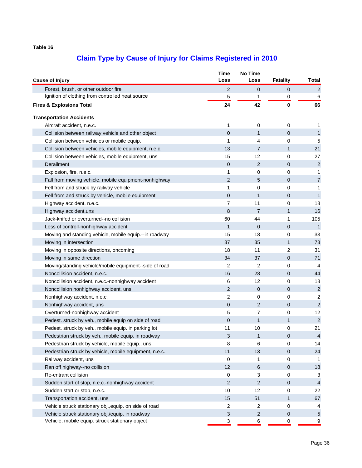|                                                        | <b>Time</b>      | No Time        |                |                |
|--------------------------------------------------------|------------------|----------------|----------------|----------------|
| <b>Cause of Injury</b>                                 | Loss             | Loss           | Fatality       | Total          |
| Forest, brush, or other outdoor fire                   | 2                | $\mathbf{0}$   | 0              | $\overline{2}$ |
| Ignition of clothing from controlled heat source       | 5                | 1              | 0              | 6              |
| <b>Fires &amp; Explosions Total</b>                    | 24               | 42             | 0              | 66             |
| <b>Transportation Accidents</b>                        |                  |                |                |                |
| Aircraft accident, n.e.c.                              | 1                | 0              | 0              | 1              |
| Collision between railway vehicle and other object     | $\mathbf 0$      | $\mathbf{1}$   | 0              | $\mathbf{1}$   |
| Collision between vehicles or mobile equip.            | 1                | 4              | 0              | 5              |
| Collision between vehicles, mobile equipment, n.e.c.   | 13               | $\overline{7}$ | $\mathbf{1}$   | 21             |
| Collision between vehicles, mobile equipment, uns      | 15               | 12             | 0              | 27             |
| Derailment                                             | $\mathbf 0$      | $\overline{2}$ | 0              | $\sqrt{2}$     |
| Explosion, fire, n.e.c.                                | 1                | 0              | 0              | 1              |
| Fall from moving vehicle, mobile equipment-nonhighway  | 2                | 5              | 0              | $\overline{7}$ |
| Fell from and struck by railway vehicle                | 1                | 0              | 0              | 1              |
| Fell from and struck by vehicle, mobile equipment      | $\mathbf 0$      | 1              | 0              | $\mathbf{1}$   |
| Highway accident, n.e.c.                               | 7                | 11             | 0              | 18             |
| Highway accident, uns                                  | 8                | $\overline{7}$ | 1              | 16             |
| Jack-knifed or overturned--no collision                | 60               | 44             | 1              | 105            |
| Loss of controll-nonhighway accident                   | 1                | $\mathbf 0$    | $\mathbf 0$    | $\mathbf{1}$   |
| Moving and standing vehicle, mobile equip.--in roadway | 15               | 18             | 0              | 33             |
| Moving in intersection                                 | 37               | 35             | 1              | 73             |
| Moving in opposite directions, oncoming                | 18               | 11             | $\overline{2}$ | 31             |
| Moving in same direction                               | 34               | 37             | $\mathbf 0$    | 71             |
| Moving/standing vehicle/mobile equipment--side of road | 2                | $\overline{2}$ | 0              | 4              |
| Noncollision accident, n.e.c.                          | 16               | 28             | 0              | 44             |
| Noncollision accident, n.e.c.-nonhighway accident      | 6                | 12             | 0              | 18             |
| Noncollision nonhighway accident, uns                  | 2                | $\mathbf 0$    | 0              | $\overline{c}$ |
| Nonhighway accident, n.e.c.                            | 2                | 0              | 0              | $\overline{c}$ |
| Nonhighway accident, uns                               | $\boldsymbol{0}$ | 2              | $\mathbf 0$    | $\overline{c}$ |
| Overturned-nonhighway accident                         | 5                | 7              | 0              | 12             |
| Pedest. struck by veh., mobile equip on side of road   | $\mathbf 0$      | 1              | 1              | 2              |
| Pedest. struck by veh., mobile equip. in parking lot   | 11               | 10             | 0              | 21             |
| Pedestrian struck by veh., mobile equip. in roadway    | 3                |                | 0              | $\overline{4}$ |
| Pedestrian struck by vehicle, mobile equip., uns       | 8                | 6              | 0              | 14             |
| Pedestrian struck by vehicle, mobile equipment, n.e.c. | 11               | 13             | 0              | 24             |
| Railway accident, uns                                  | $\mathbf 0$      | 1              | 0              | 1              |
| Ran off highway--no collision                          | 12               | 6              | $\mathbf 0$    | 18             |
| Re-entrant collision                                   | 0                | 3              | 0              | 3              |
| Sudden start of stop, n.e.c.-nonhighway accident       | 2                | $\overline{2}$ | $\mathbf 0$    | $\overline{4}$ |
| Sudden start or stop, n.e.c.                           | 10               | 12             | 0              | 22             |
| Transportation accident, uns                           | 15               | 51             | 1              | 67             |
| Vehicle struck stationary obj., equip. on side of road | $\overline{c}$   | 2              | 0              | 4              |
| Vehicle struck stationary obj./equip. in roadway       | $\sqrt{3}$       | $\sqrt{2}$     | $\pmb{0}$      | $\sqrt{5}$     |
| Vehicle, mobile equip. struck stationary object        | 3                | 6              | 0              | 9              |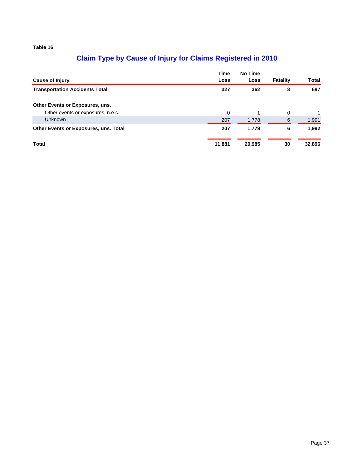|                                       | Time   | No Time |                 |        |
|---------------------------------------|--------|---------|-----------------|--------|
| Cause of Injury                       | Loss   | Loss    | <b>Fatality</b> | Total  |
| <b>Transportation Accidents Total</b> | 327    | 362     | 8               | 697    |
| Other Events or Exposures, uns.       |        |         |                 |        |
| Other events or exposures, n.e.c.     | 0      |         | 0               |        |
| <b>Unknown</b>                        | 207    | 1,778   | 6               | 1,991  |
| Other Events or Exposures, uns. Total | 207    | 1,779   | 6               | 1,992  |
| Total                                 | 11,881 | 20,985  | 30              | 32,896 |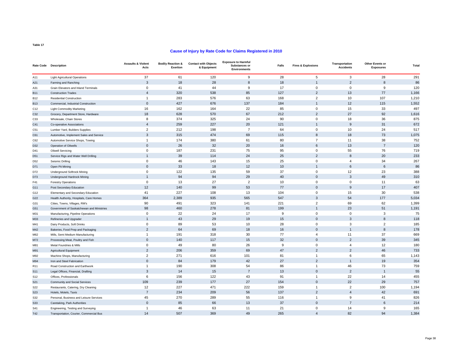#### **Cause of Injury by Rate Code for Claims Registered in 2010**

|                 | Rate Code Description                     | <b>Assaults &amp; Violent</b><br>Acts | <b>Bodily Reaction &amp;</b><br>Exertion | <b>Contact with Objects</b><br>& Equipment | <b>Exposure to Harmful</b><br>Substances or<br><b>Environments</b> | Falls | <b>Fires &amp; Explosions</b> | Transportation<br><b>Accidents</b> | Other Events or<br><b>Exposures</b> | <b>Total</b> |
|-----------------|-------------------------------------------|---------------------------------------|------------------------------------------|--------------------------------------------|--------------------------------------------------------------------|-------|-------------------------------|------------------------------------|-------------------------------------|--------------|
| A11             | <b>Light Agricultural Operations</b>      | 37                                    | 61                                       | 120                                        | 9                                                                  | 28    | 5                             | 3                                  | 28                                  | 291          |
| A21             | Farming and Ranching                      | 3                                     | 18                                       | 28                                         | 8                                                                  | 18    | f.                            | $\mathfrak{p}$                     | 8                                   | 86           |
| A31             | Grain Elevators and Inland Terminals      | $\mathbf 0$                           | 41                                       | 44                                         | 9                                                                  | 17    | $\mathbf 0$                   | $\mathbf 0$                        | 9                                   | 120          |
| <b>B11</b>      | <b>Construction Trades</b>                | $\overline{4}$                        | 320                                      | 538                                        | 85                                                                 | 127   | 2                             | 13                                 | 77                                  | 1,166        |
| <b>B12</b>      | <b>Residential Construction</b>           | $\mathbf{1}$                          | 283                                      | 576                                        | 63                                                                 | 168   | $\overline{2}$                | 10                                 | 107                                 | 1,210        |
| <b>B13</b>      | Commercial, Industrial Construction       | $\mathbf{0}$                          | 427                                      | 676                                        | 137                                                                | 184   | $\overline{1}$                | 12                                 | 115                                 | 1,552        |
| C12             | <b>Light Commodity Marketing</b>          | 16                                    | 162                                      | 164                                        | 22                                                                 | 85    | $\mathsf 0$                   | 15                                 | 33                                  | 497          |
| C32             | Grocery, Department Store, Hardware       | 18                                    | 628                                      | 570                                        | 67                                                                 | 212   | 2                             | 27                                 | 92                                  | 1,616        |
| C33             | Wholesale, Chain Stores                   | 8                                     | 374                                      | 325                                        | 24                                                                 | 90    | $\mathbf 0$                   | 18                                 | 36                                  | 875          |
| C41             | Co-operative Associations                 | $\overline{4}$                        | 259                                      | 227                                        | 20                                                                 | 121   | $\mathbf{1}$                  | 9                                  | 31                                  | 672          |
| C51             | Lumber Yard, Builders Supplies            | $\overline{2}$                        | 212                                      | 198                                        | $\overline{7}$                                                     | 64    | $\mathbf 0$                   | 10                                 | 24                                  | 517          |
| C61             | Automotive, Implement Sales and Service   | 3                                     | 315                                      | 474                                        | 69                                                                 | 115   | 8                             | 18                                 | 73                                  | 1,075        |
| C62             | Automotive Service Shops, Towing          | $\mathbf{1}$                          | 174                                      | 380                                        | 61                                                                 | 80    | $\overline{7}$                | 11                                 | 38                                  | 752          |
| D32             | Operation of Oilwells                     | $\mathbf{0}$                          | 26                                       | 32                                         | 20                                                                 | 16    | 6                             | 13                                 | $\overline{7}$                      | 120          |
| D41             | Oilwell Servicing                         | $\mathbf 0$                           | 187                                      | 231                                        | 75                                                                 | 95    | $\mathbf 0$                   | 55                                 | 76                                  | 719          |
| D51             | Service Rigs and Water Well Drilling      | $\mathbf{1}$                          | 39                                       | 114                                        | 24                                                                 | 25    | 2                             | 8                                  | 20                                  | 233          |
| D <sub>52</sub> | Seismic Drilling                          | $\mathbf 0$                           | 46                                       | 143                                        | 15                                                                 | 25    | $\mathbf 0$                   | $\overline{\mathbf{A}}$            | 34                                  | 267          |
| D71             | Open Pit Mining                           | $\mathbf{0}$                          | 33                                       | 18                                         | 12                                                                 | 10    | $\overline{1}$                | 6                                  | 6                                   | 86           |
| D72             | <b>Underground Softrock Mining</b>        | $\mathbf 0$                           | 122                                      | 135                                        | 59                                                                 | 37    | $\mathbf 0$                   | 12                                 | 23                                  | 388          |
| D73             | <b>Underground Hardrock Mining</b>        | $\mathbf{1}$                          | 94                                       | 94                                         | 29                                                                 | 40    | $\mathbf{0}$                  | 3                                  | 49                                  | 310          |
| F41             | <b>Forestry Operations</b>                | $\mathbf 0$                           | 13                                       | 27                                         | $\overline{2}$                                                     | 10    | $\mathbf 0$                   | $\Omega$                           | 11                                  | 63           |
| G11             | Post Secondary Education                  | 12                                    | 140                                      | 99                                         | 53                                                                 | 77    | $\mathbf{0}$                  | 9                                  | 17                                  | 407          |
| G12             | Elementary and Secondary Education        | 41                                    | 227                                      | 108                                        | 13                                                                 | 104   | $\Omega$                      | 15                                 | 30                                  | 538          |
| G22             | Health Authority, Hospitals, Care Homes   | 364                                   | 2,389                                    | 935                                        | 565                                                                | 547   | 3                             | 54                                 | 177                                 | 5,034        |
| G31             | Cities, Towns, Villages, RM's             | 90                                    | 491                                      | 323                                        | 141                                                                | 221   | $\overline{2}$                | 69                                 | 62                                  | 1,399        |
| G51             | Government of Saskatchewan and Ministries | 98                                    | 460                                      | 278                                        | 81                                                                 | 199   | $\overline{1}$                | 23                                 | 51                                  | 1,191        |
| M31             | Manufacturing, Pipeline Operations        | $\mathbf 0$                           | 22                                       | 24                                         | 17                                                                 | 9     | $\mathbf 0$                   | $\mathbf 0$                        | 3                                   | 75           |
| M33             | Refineries and Upgrader                   | $\mathbf{1}$                          | 43                                       | 29                                         | 19                                                                 | 15    | $\mathbf{0}$                  | 3                                  | 8                                   | 118          |
| M41             | Dairy Products, Soft Drinks               | $\mathbf 0$                           | 89                                       | 53                                         | 10                                                                 | 28    | $\Omega$                      | 3                                  | $\overline{2}$                      | 185          |
| M42             | Bakeries, Food Prep and Packaging         | $\overline{2}$                        | 64                                       | 69                                         | 18                                                                 | 16    | $\mathbf{0}$                  | $\overline{1}$                     | 8                                   | 178          |
| M62             | Mills, Semi Medium Manufacturing          | $\mathbf{1}$                          | 191                                      | 318                                        | 30                                                                 | 77    | $\overline{4}$                | 11                                 | 37                                  | 669          |
| M72             | Processing Meat, Poultry and Fish         | $\mathbf{0}$                          | 140                                      | 117                                        | 15                                                                 | 32    | $\mathbf{0}$                  | $\overline{2}$                     | 39                                  | 345          |
| M81             | Metal Foundries & Mills                   | $\mathbf 0$                           | 49                                       | 80                                         | 26                                                                 | 9     | $\mathbf 0$                   | $\overline{4}$                     | 12                                  | 180          |
| M91             | Agricultural Equipment                    | $\overline{2}$                        | 206                                      | 359                                        | 69                                                                 | 47    | $\overline{2}$                | $\overline{2}$                     | 46                                  | 733          |
| M92             | Machine Shops, Manufacturing              | $\overline{2}$                        | 271                                      | 616                                        | 101                                                                | 81    | $\mathbf{1}$                  | 6                                  | 65                                  | 1,143        |
| M94             | Iron and Steel Fabrication                | $\mathbf{0}$                          | 84                                       | 179                                        | 42                                                                 | 27    | $\overline{2}$                | $\mathbf{1}$                       | 19                                  | 354          |
| R <sub>11</sub> | Road Construction and Earthwork           | $\mathbf{1}$                          | 190                                      | 308                                        | 54                                                                 | 86    | $\mathbf{1}$                  | 46                                 | 73                                  | 759          |
| S <sub>11</sub> | Legal Offices, Financial, Drafting        | 3                                     | 14                                       | 15                                         | $\overline{7}$                                                     | 13    | $\mathbf{0}$                  | 2                                  | $\overline{1}$                      | 55           |
| S12             | Offices, Professionals                    | 6                                     | 156                                      | 122                                        | 43                                                                 | 91    | $\mathbf{1}$                  | 22                                 | 14                                  | 455          |
| S21             | <b>Community and Social Services</b>      | 109                                   | 239                                      | 177                                        | 27                                                                 | 154   | $\mathbf 0$                   | 22                                 | 29                                  | 757          |
| S22             | Restaurants, Catering, Dry Cleaning       | 12                                    | 227                                      | 471                                        | 222                                                                | 159   | $\mathbf{1}$                  | $\overline{2}$                     | 100                                 | 1,194        |
| S23             | Hotels, Motels, Taxis                     | $\overline{7}$                        | 234                                      | 209                                        | 56                                                                 | 137   | $\overline{2}$                | $\overline{4}$                     | 42                                  | 691          |
| S32             | Personal, Business and Leisure Services   | 45                                    | 270                                      | 289                                        | 55                                                                 | 116   | $\mathbf{1}$                  | 9                                  | 41                                  | 826          |
| S33             | Caretaking, Park Authorities              | $\mathsf 0$                           | 85                                       | 66                                         | 13                                                                 | 37    | $\mathbf 0$                   | $\overline{7}$                     | 6                                   | 214          |
| S41             | Engineering, Testing and Surveying        | $\overline{1}$                        | 46                                       | 63                                         | 11                                                                 | 21    | $\mathbf 0$                   | 14                                 | 9                                   | 165          |
| T42             | Transportation, Courier, Commercial Bus   | 14                                    | 507                                      | 369                                        | 49                                                                 | 265   | $\boldsymbol{\Delta}$         | 82                                 | 94                                  | 1,384        |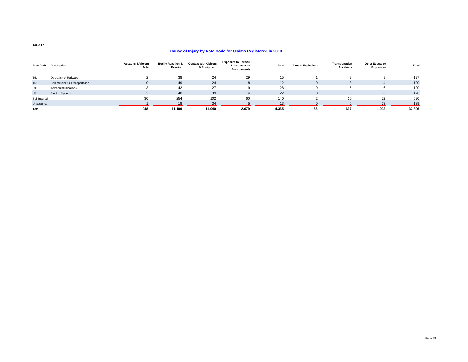#### **Cause of Injury by Rate Code for Claims Registered in 2010**

|              | Rate Code Description         | <b>Assaults &amp; Violent</b><br>Acts | <b>Bodily Reaction &amp;</b><br>Exertion | <b>Contact with Objects</b><br>& Equipment | <b>Exposure to Harmful</b><br>Substances or<br><b>Environments</b> | Falls | <b>Fires &amp; Explosions</b> | Transportation<br><b>Accidents</b> | <b>Other Events or</b><br><b>Exposures</b> | Total  |
|--------------|-------------------------------|---------------------------------------|------------------------------------------|--------------------------------------------|--------------------------------------------------------------------|-------|-------------------------------|------------------------------------|--------------------------------------------|--------|
| T51          | Operation of Railways         |                                       | 38                                       | 24                                         | 29                                                                 | 15    |                               |                                    |                                            | 127    |
| <b>T61</b>   | Commercial Air Transportation | $\mathbf{0}$                          | 49                                       | 24                                         | ŏ                                                                  | 12    | $\Omega$                      |                                    |                                            | 100    |
| U11          | Telecommunications            |                                       | 42                                       | 27                                         |                                                                    | 28    |                               |                                    | 6                                          | 120    |
| U31          | <b>Electric Systems</b>       |                                       | 40                                       | 39                                         | 14                                                                 | 22    | $\Omega$                      |                                    | 6                                          | 126    |
| Self Insured |                               | 30                                    | 254                                      | 102                                        | 60                                                                 | 140   |                               | 10                                 | 22                                         | 620    |
| Unassigned   |                               |                                       | 18                                       | 34                                         |                                                                    | 13    |                               |                                    | 63                                         | 139    |
| Total        |                               | 948                                   | 11,109                                   | 11.040                                     | 2,679                                                              | 4,365 | 66                            | 697                                | 1,992                                      | 32,896 |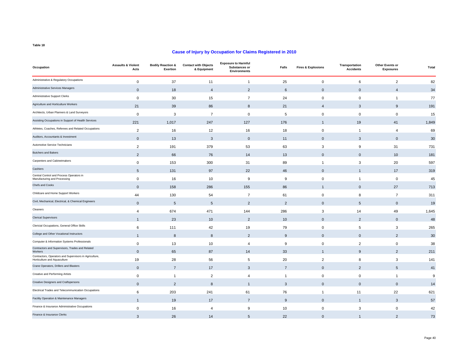| Occupation                                                                             | <b>Assaults &amp; Violent</b><br>Acts | <b>Bodily Reaction &amp;</b><br><b>Exertion</b> | <b>Contact with Objects</b><br>& Equipment | <b>Exposure to Harmful</b><br>Substances or<br><b>Environments</b> | Falls          | <b>Fires &amp; Explosions</b> | Transportation<br><b>Accidents</b> | Other Events or<br><b>Exposures</b> | Total |
|----------------------------------------------------------------------------------------|---------------------------------------|-------------------------------------------------|--------------------------------------------|--------------------------------------------------------------------|----------------|-------------------------------|------------------------------------|-------------------------------------|-------|
| Administrative & Regulatory Occupations                                                | $\mathsf 0$                           | 37                                              | 11                                         | $\mathbf{1}$                                                       | 25             | $\mathbf 0$                   | 6                                  | $\overline{2}$                      | 82    |
| Administrative Services Managers                                                       | $\mathbf 0$                           | 18                                              | $\overline{4}$                             | $\overline{2}$                                                     | 6              | $\Omega$                      | $\mathbf{0}$                       | $\overline{4}$                      | 34    |
| Administrative Support Clerks                                                          | 0                                     | 30                                              | 15                                         | $\overline{7}$                                                     | 24             | 0                             | $\mathbf 0$                        | $\overline{1}$                      | 77    |
| Agriculture and Horticulture Workers                                                   | 21                                    | 39                                              | 86                                         | 8                                                                  | 21             | $\Delta$                      | 3                                  | 9                                   | 191   |
| Architects, Urban Planners & Land Surveyors                                            | 0                                     | 3                                               | $\overline{7}$                             | $\mathbf 0$                                                        | 5              | $\pmb{0}$                     | $\mathbf 0$                        | $\mathbf 0$                         | 15    |
| Assisting Occupations in Support of Health Services                                    | 221                                   | 1,017                                           | 247                                        | 127                                                                | 176            | $\overline{1}$                | 19                                 | 41                                  | 1,849 |
| Athletes, Coaches, Referees and Related Occupations                                    | $\overline{2}$                        | 16                                              | 12                                         | 16                                                                 | 18             | 0                             | $\mathbf{1}$                       | $\overline{4}$                      | 69    |
| Auditors, Accountants & Investment                                                     | $\mathbf 0$                           | 13                                              | $\mathbf{3}$                               | $\mathbf 0$                                                        | 11             | $\Omega$                      | 3                                  | $\mathbf 0$                         | 30    |
| Automotive Service Technicians                                                         | $\overline{2}$                        | 191                                             | 379                                        | 53                                                                 | 63             | 3                             | 9                                  | 31                                  | 731   |
| <b>Butchers and Bakers</b>                                                             | $\overline{2}$                        | 66                                              | 76                                         | 14                                                                 | 13             | $\Omega$                      | $\mathbf{0}$                       | 10                                  | 181   |
| Carpenters and Cabinetmakers                                                           | 0                                     | 153                                             | 300                                        | 31                                                                 | 89             | $\overline{1}$                | 3                                  | 20                                  | 597   |
| Cashiers                                                                               | 5                                     | 131                                             | 97                                         | 22                                                                 | 46             | $\Omega$                      | $\mathbf{1}$                       | 17                                  | 319   |
| Central Control and Process Operators in<br>Manufacturing and Processing               | 0                                     | 16                                              | 10                                         | 9                                                                  | 9              | $\mathbf 0$                   | $\mathbf{1}$                       | $\mathbf 0$                         | 45    |
| Chefs and Cooks                                                                        | $\mathbf{0}$                          | 158                                             | 286                                        | 155                                                                | 86             |                               | $\mathbf{0}$                       | 27                                  | 713   |
| Childcare and Home Support Workers                                                     | 44                                    | 130                                             | 54                                         | $\overline{7}$                                                     | 61             | $\mathbf 0$                   | 8                                  | $\overline{7}$                      | 311   |
| Civil, Mechanical, Electrical, & Chemical Engineers                                    | $\mathbf{0}$                          | 5                                               | 5                                          | $\overline{2}$                                                     | 2              | $\Omega$                      | 5                                  | $\mathbf 0$                         | 19    |
| Cleaners                                                                               | 4                                     | 674                                             | 471                                        | 144                                                                | 286            | 3                             | 14                                 | 49                                  | 1,645 |
| <b>Clerical Supervisors</b>                                                            | $\overline{1}$                        | 23                                              | 10                                         | $\overline{2}$                                                     | 10             | $\Omega$                      | $\overline{2}$                     | $\mathbf 0$                         | 48    |
| Clericial Occupations, General Office Skills                                           | 6                                     | 111                                             | 42                                         | 19                                                                 | 79             | 0                             | 5                                  | 3                                   | 265   |
| College and Other Vocational Instructors                                               |                                       | 8                                               | 8                                          | 2                                                                  | 9              | $\Omega$                      | $\mathbf{0}$                       | 2                                   | 30    |
| Computer & Information Systems Professionals                                           | $\mathbf 0$                           | 13                                              | 10                                         | $\overline{4}$                                                     | 9              | 0                             | $\overline{2}$                     | 0                                   | 38    |
| Contractors and Supervisors, Trades and Related<br>Workers                             | $\mathbf 0$                           | 65                                              | 87                                         | 14                                                                 | 33             | $\overline{1}$                | 9                                  | $\overline{2}$                      | 211   |
| Contractors, Operators and Supervisors in Agriculture,<br>Horticulture and Aquaculture | 19                                    | 28                                              | 56                                         | 5                                                                  | 20             | 2                             | 8                                  | 3                                   | 141   |
| Crane Operators, Drillers and Blasters                                                 | $\mathbf{0}$                          | $\overline{7}$                                  | 17                                         | 3                                                                  | $\overline{7}$ | $\mathbf{0}$                  | 2                                  | 5                                   | 41    |
| Creative and Performing Artists                                                        | 0                                     | $\overline{1}$                                  | $\overline{c}$                             | $\overline{4}$                                                     | $\overline{1}$ | 0                             | $\mathbf 0$                        | $\overline{1}$                      | 9     |
| Creative Designers and Craftspersons                                                   | $\mathbf 0$                           | $\overline{2}$                                  | 8                                          | -1                                                                 | 3              | $\mathbf 0$                   | $\mathbf{0}$                       | $\mathbf 0$                         | 14    |
| Electrical Trades and Telecommunication Occupations                                    | 6                                     | 203                                             | 241                                        | 61                                                                 | 76             | $\overline{1}$                | 11                                 | 22                                  | 621   |
| Facility Operation & Maintenance Managers                                              | $\mathbf{1}$                          | 19                                              | 17                                         | $\overline{7}$                                                     | 9              | $\mathbf 0$                   | $\overline{1}$                     | $\mathbf{3}$                        | 57    |
| Finance & Insurance Administrative Occupations                                         | 0                                     | 16                                              | $\overline{4}$                             | 9                                                                  | 10             | $\mathbf 0$                   | 3                                  | $\mathbf 0$                         | 42    |
| Finance & Insurance Clerks                                                             | 3                                     | 26                                              | 14                                         | 5                                                                  | 22             | $\mathbf{0}$                  | $\overline{1}$                     | $\overline{2}$                      | 73    |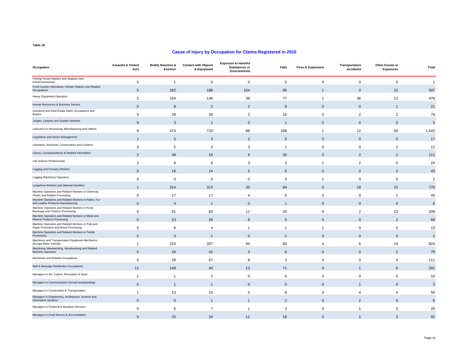| Occupation                                                                                 | <b>Assaults &amp; Violent</b><br>Acts | <b>Bodily Reaction &amp;</b><br>Exertion | <b>Contact with Objects</b><br>& Equipment | <b>Exposure to Harmful</b><br>Substances or<br><b>Environments</b> | Falls          | <b>Fires &amp; Explosions</b> | Transportation<br><b>Accidents</b> | Other Events or<br><b>Exposures</b> | Total          |
|--------------------------------------------------------------------------------------------|---------------------------------------|------------------------------------------|--------------------------------------------|--------------------------------------------------------------------|----------------|-------------------------------|------------------------------------|-------------------------------------|----------------|
| Fishing Vessel Masters and Skippers and<br>Fishermen/women                                 | $\mathsf 0$                           | $\mathbf{1}$                             | $\mathbf 0$                                | $\mathbf 0$                                                        | $\mathsf 0$    | $\mathbf 0$                   | $\mathbf 0$                        | $\mathsf 0$                         | $\overline{1}$ |
| Food Counter Attendants, Kitchen Helpers and Related<br>Occupations                        | 5                                     | 182                                      | 188                                        | 104                                                                | 95             |                               | $\mathbf 0$                        | 22                                  | 597            |
| <b>Heavy Equipment Operators</b>                                                           | $\overline{2}$                        | 164                                      | 148                                        | 38                                                                 | 77             | $\overline{1}$                | 36                                 | 12                                  | 478            |
| Human Resources & Business Service                                                         | $\mathbf 0$                           | 8                                        | $\overline{2}$                             | $\overline{2}$                                                     | 8              | $\mathbf{0}$                  | $\mathbf 0$                        | $\overline{1}$                      | 21             |
| Insurance and Real Estate Sales Occupations and<br><b>Buyers</b>                           | $\mathsf 0$                           | 29                                       | 28                                         | $\overline{2}$                                                     | 16             | $\mathbf 0$                   | $\overline{2}$                     | $\overline{2}$                      | 79             |
| Judges, Lawyers and Quebec Notaries                                                        | $\mathbf 0$                           | 3                                        | $\overline{1}$                             | $\mathbf 0$                                                        | 1              | $\mathbf 0$                   | $\mathbf 0$                        | $\mathbf 0$                         | $\sqrt{5}$     |
| Labourers in Processing, Manufacturing and Utilities                                       | 8                                     | 474                                      | 733                                        | 88                                                                 | 168            | $\mathbf 1$                   | 12                                 | 58                                  | 1,542          |
| Legislators and Senior Management                                                          | -1                                    | 5                                        | 3                                          | $\overline{2}$                                                     | 6              | $\Omega$                      | $\mathbf 0$                        | $\mathbf 0$                         | 17             |
| Librarians, Archivists, Conservators and Curators                                          | 0                                     | 5                                        | $\overline{2}$                             | 3                                                                  | $\overline{1}$ | 0                             | $\mathbf 0$                        | $\overline{1}$                      | 12             |
| Library, Correspondence & Related Information                                              | 2                                     | 49                                       | 18                                         | 9                                                                  | 30             | $\Omega$                      | $\overline{2}$                     | $\overline{1}$                      | 111            |
| Life Science Professionals                                                                 | 2                                     | 8                                        | 6                                          | 3                                                                  | $\overline{2}$ | $\overline{1}$                | $\overline{2}$                     | $\mathbf 0$                         | 24             |
| Logging and Forestry Workers                                                               | $\mathbf 0$                           | 16                                       | 14                                         | 5                                                                  | 6              | $\Omega$                      | $\mathbf 0$                        | $\overline{2}$                      | 43             |
| Logging Machinery Operators                                                                | $\mathsf 0$                           | $\mathbf 0$                              | 0                                          | $\mathbf 0$                                                        | $\mathbf 0$    | -1                            | $\mathbf 0$                        | $\mathbf 0$                         | $\overline{1}$ |
| Longshore Workers and Material Handlers                                                    | $\mathbf 1$                           | 314                                      | 313                                        | 30                                                                 | 84             | $\Omega$                      | 19                                 | 15                                  | 776            |
| Machine Operators and Related Workers in Chemical,<br>Plastic and Rubber Processing        | 0                                     | 17                                       | 17                                         | 4                                                                  | 6              | 0                             | $\mathbf 0$                        | $\overline{1}$                      | 45             |
| Machine Operators and Related Workers in Fabric, Fur<br>and Leather Products Manufacturing | $\mathsf 0$                           | $\overline{4}$                           | $\overline{1}$                             | $\mathbf 0$                                                        | $\mathbf 1$    | $\mathbf{0}$                  | $\mathbf 0$                        | $\mathbf 0$                         | 6              |
| Machine Operators and Related Workers in Food,<br>Beverage and Tobacco Processing          | 0                                     | 81                                       | 82                                         | 11                                                                 | 20             | 0                             | $\overline{2}$                     | 13                                  | 209            |
| Machine Operators and Related Workers in Metal and<br>Mineral Products Processing          | $\mathsf 0$                           | 23                                       | 28                                         | 8                                                                  | 5              | $\Omega$                      | $\mathbf 0$                        | $\overline{2}$                      | 66             |
| Machine Operators and Related Workers in Pulp and<br>Paper Production and Wood Processing  | $\mathsf 0$                           | 6                                        | 4                                          | 1                                                                  | -1             | $\mathbf{1}$                  | $\mathbf 0$                        | $\mathbf 0$                         | 13             |
| Machine Operators and Related Workers in Textile<br>Processing                             | $\mathbf 0$                           | $\mathbf 0$                              | $\mathbf{1}$                               | $\mathbf 0$                                                        | $\mathbf 1$    | $\Omega$                      | $\mathbf 0$                        | $\mathbf 0$                         | $\overline{2}$ |
| Machinery and Transportation Equipment Mechanics<br>(Except Motor Vehicle)                 | $\mathbf{1}$                          | 223                                      | 397                                        | 94                                                                 | 80             | 4                             | 6                                  | 19                                  | 824            |
| Machining, Metalworking, Woodworking and Related<br><b>Machine Operators</b>               | $\mathbf 0$                           | 26                                       | 42                                         | 3                                                                  | 6              | $\Omega$                      | $\mathbf 0$                        | $\overline{2}$                      | 79             |
| Machinists and Related Occupations                                                         | $\mathsf 0$                           | 29                                       | 67                                         | 8                                                                  | 3              | $\mathbf 0$                   | $\mathbf 0$                        | 4                                   | 111            |
| Mail & Message Distribution Occupations                                                    | 11                                    | 149                                      | 40                                         | 13                                                                 | 71             | $\Omega$                      | -1                                 | 6                                   | 291            |
| Managers in Art, Culture, Recreation & Sport                                               | $\overline{1}$                        | $\overline{1}$                           | $\overline{2}$                             | 0                                                                  | 6              | $\Omega$                      | $\mathbf 0$                        | $\mathbf 0$                         | 10             |
| Managers in Communication (except broadcasting)                                            | $\mathbf 0$                           | $\mathbf{1}$                             | $\mathbf{1}$                               | $\mathbf 0$                                                        | $\mathbf 0$    | $\mathbf{0}$                  | $\mathbf{1}$                       | $\mathbf 0$                         | $\mathbf{3}$   |
| Managers in Construction & Transportation                                                  | $\mathbf{1}$                          | 13                                       | 15                                         | 5                                                                  | 8              | 0                             | $\overline{4}$                     | $\overline{4}$                      | 50             |
| Managers in Engineering, Architecture, Science and<br><b>Information Systems</b>           | $\mathbf 0$                           | $\mathbf 0$                              | $\mathbf{1}$                               |                                                                    | $\overline{2}$ | $\mathbf 0$                   | $\overline{2}$                     | $\mathbf 0$                         | 6              |
| Managers in Financial & Business Services                                                  | $\mathsf 0$                           | 5                                        | $\overline{7}$                             | $\mathbf{1}$                                                       | 3              | $\mathbf 0$                   | $\mathbf{1}$                       | 3                                   | 20             |
| Managers in Food Service & Accomodation                                                    | $\mathbf{0}$                          | 25                                       | 34                                         | 11                                                                 | 18             | $\Omega$                      | $\mathbf{1}$                       | 3                                   | 92             |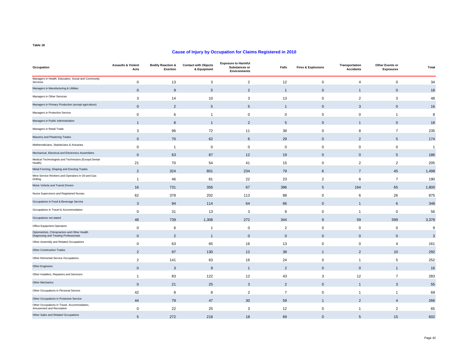| Occupation                                                                            | <b>Assaults &amp; Violent</b><br>Acts | <b>Bodily Reaction &amp;</b><br>Exertion | <b>Contact with Objects</b><br>& Equipment | <b>Exposure to Harmful</b><br><b>Substances or</b><br><b>Environments</b> | Falls          | <b>Fires &amp; Explosions</b> | Transportation<br><b>Accidents</b> | Other Events or<br><b>Exposures</b> | Total                     |
|---------------------------------------------------------------------------------------|---------------------------------------|------------------------------------------|--------------------------------------------|---------------------------------------------------------------------------|----------------|-------------------------------|------------------------------------|-------------------------------------|---------------------------|
| Managers in Health, Education, Social and Community<br>Services                       | $\mathbf 0$                           | 13                                       | 3                                          | $\overline{2}$                                                            | 12             | $\mathbf 0$                   | 4                                  | $\mathsf 0$                         | 34                        |
| Managers in Manufacturing & Utilities                                                 | $\mathbf{0}$                          | 9                                        | 5                                          | $\overline{2}$                                                            |                | $\mathbf{0}$                  | $\mathbf{1}$                       | $\mathbf 0$                         | 18                        |
| Managers in Other Services                                                            | 3                                     | 14                                       | 10                                         | 3                                                                         | 13             | $\mathbf 0$                   | $\overline{2}$                     | 3                                   | 48                        |
| Managers in Primary Production (except agriculture)                                   | $\Omega$                              | $\overline{2}$                           | 5                                          | 5                                                                         |                | $\mathbf{0}$                  | 3                                  | $\pmb{0}$                           | 16                        |
| Managers in Protective Service                                                        | $\mathbf 0$                           | 6                                        | 1                                          | $\bf 0$                                                                   | 0              | $\mathbf 0$                   | $\mathbf 0$                        | $\overline{1}$                      | 8                         |
| Managers in Public Administration                                                     | $\mathbf{1}$                          | 8                                        | $\overline{1}$                             | $\overline{2}$                                                            | 5              | $\mathbf 0$                   | $\overline{1}$                     | $\mathbf 0$                         | 18                        |
| Managers in Retail Trade                                                              | 3                                     | 96                                       | 72                                         | 11                                                                        | 38             | 0                             | 8                                  | $\overline{7}$                      | 235                       |
| Masonry and Plastering Trades                                                         | $\mathbf{0}$                          | 70                                       | 62                                         | 6                                                                         | 29             | $\mathbf 0$                   | $\overline{2}$                     | 5                                   | 174                       |
| Mathematicians, Statisticians & Actuaries                                             | $\mathbf 0$                           | $\overline{1}$                           | 0                                          | $\mathbf 0$                                                               | $\mathbf 0$    | $\mathbf 0$                   | $\mathbf 0$                        | $\mathbf 0$                         | $\overline{1}$            |
| Mechanical, Electrical and Electronics Assemblers                                     | $\mathbf{0}$                          | 63                                       | 87                                         | 12                                                                        | 19             | $\mathbf 0$                   | $\mathbf{0}$                       | 5                                   | 186                       |
| Medical Technologists and Technicians (Except Dental<br>Health)                       | 21                                    | 70                                       | 54                                         | 41                                                                        | 15             | $\mathbf 0$                   | $\overline{2}$                     | 2                                   | 205                       |
| Metal Forming, Shaping and Erecting Trades                                            | $\overline{2}$                        | 324                                      | 801                                        | 234                                                                       | 79             | 6                             | $\overline{7}$                     | 45                                  | 1,498                     |
| Mine Service Workers and Operators in Oil and Gas<br>Drilling                         | $\mathbf{1}$                          | 46                                       | 81                                         | 22                                                                        | 23             | $\overline{2}$                | 8                                  | $\overline{7}$                      | 190                       |
| Motor Vehicle and Transit Drivers                                                     | 16                                    | 731                                      | 356                                        | 67                                                                        | 396            | 5                             | 164                                | 65                                  | 1,800                     |
| Nurse Supervisors and Registered Nurses                                               | 62                                    | 378                                      | 202                                        | 113                                                                       | 88             | 0                             | 6                                  | 26                                  | 875                       |
| Occupations in Food & Beverage Service                                                | 3                                     | 94                                       | 114                                        | 64                                                                        | 66             | $\mathbf 0$                   | $\overline{1}$                     | 6                                   | 348                       |
| Occupations in Travel & Accommodation                                                 | $\mathbf 0$                           | 31                                       | 13                                         | 3                                                                         | 8              | 0                             | $\overline{1}$                     | $\mathbf 0$                         | 56                        |
| Occupations not stated                                                                | 48                                    | 739                                      | 1,308                                      | 272                                                                       | 344            | 9                             | 59                                 | 599                                 | 3,378                     |
| Office Equipment Operators                                                            | $\mathbf 0$                           | 6                                        | $\mathbf{1}$                               | 0                                                                         | $\overline{2}$ | $\mathbf 0$                   | $\mathbf 0$                        | $\mathbf 0$                         | $\boldsymbol{9}$          |
| Optometrists, Chiropractors and Other Health<br>Diagnosing and Treating Professionals | $\mathbf 0$                           | $\overline{2}$                           | $\overline{1}$                             | $\mathbf 0$                                                               | $\pmb{0}$      | $\mathbf 0$                   | $\mathbf 0$                        | $\mathbf 0$                         | $\ensuremath{\mathsf{3}}$ |
| Other Assembly and Related Occupations                                                | $\mathbf 0$                           | 63                                       | 65                                         | 16                                                                        | 13             | $\mathbf 0$                   | $\mathbf 0$                        | $\overline{4}$                      | 161                       |
| Other Construction Trades                                                             | $\overline{2}$                        | 97                                       | 130                                        | 12                                                                        | 38             | 1                             | $\overline{2}$                     | 10                                  | 292                       |
| Other Elemental Service Occupations                                                   | $\overline{2}$                        | 141                                      | 63                                         | 16                                                                        | 24             | 0                             | $\overline{1}$                     | 5                                   | 252                       |
| Other Engineers                                                                       | $\mathbf 0$                           | 3                                        | $\boldsymbol{9}$                           | $\mathbf{1}$                                                              | $\overline{2}$ | $\mathbf 0$                   | $\mathbf 0$                        | $\overline{1}$                      | 16                        |
| Other Installers, Repairers and Servicers                                             | $\overline{1}$                        | 83                                       | 122                                        | 12                                                                        | 43             | 3                             | 12                                 | $\overline{7}$                      | 283                       |
| Other Mechanics                                                                       | $\mathbf 0$                           | 21                                       | 25                                         | 3                                                                         | $\overline{2}$ | $\mathbf 0$                   | $\overline{1}$                     | $\mathbf{3}$                        | 55                        |
| Other Occupations in Personal Service                                                 | 42                                    | 8                                        | 8                                          | 2                                                                         | $\overline{7}$ | $\mathbf 0$                   | $\overline{1}$                     | $\overline{1}$                      | 69                        |
| Other Occupations in Protective Service                                               | 44                                    | 79                                       | 47                                         | 30                                                                        | 59             | 1                             | $\overline{2}$                     | $\overline{4}$                      | 266                       |
| Other Occupations in Travel, Accommodation,<br>Amusement and Recreation               | $\mathbf 0$                           | 22                                       | 25                                         | 3                                                                         | 12             | 0                             | $\overline{1}$                     | $\overline{2}$                      | 65                        |
| Other Sales and Related Occupations                                                   | 5                                     | 272                                      | 218                                        | 18                                                                        | 69             | $\mathbf{0}$                  | 5                                  | 15                                  | 602                       |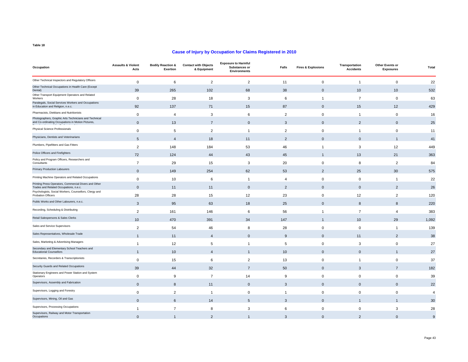| Occupation                                                                                                 | <b>Assaults &amp; Violent</b><br>Acts | <b>Bodily Reaction &amp;</b><br><b>Exertion</b> | <b>Contact with Objects</b><br>& Equipment | <b>Exposure to Harmful</b><br>Substances or<br><b>Environments</b> | Falls          | <b>Fires &amp; Explosions</b> | Transportation<br><b>Accidents</b> | Other Events or<br><b>Exposures</b> | Total            |
|------------------------------------------------------------------------------------------------------------|---------------------------------------|-------------------------------------------------|--------------------------------------------|--------------------------------------------------------------------|----------------|-------------------------------|------------------------------------|-------------------------------------|------------------|
| Other Technical Inspectors and Regulatory Officers                                                         | $\mathsf 0$                           | 6                                               | $\overline{2}$                             | $\overline{c}$                                                     | 11             | $\mathbf 0$                   | $\overline{1}$                     | $\mathbf 0$                         | 22               |
| Other Technical Occupations in Health Care (Except<br>Dental)                                              | 39                                    | 265                                             | 102                                        | 68                                                                 | 38             | $\mathbf{0}$                  | 10                                 | 10                                  | 532              |
| Other Transport Equipment Operators and Related<br>Workers                                                 | $\mathbf 0$                           | 28                                              | 18                                         | 3                                                                  | 6              | $\mathbf{1}$                  | $\overline{7}$                     | $\mathbf 0$                         | 63               |
| Paralegals, Social Services Workers and Occupations<br>in Education and Religion, n.e.c.                   | 92                                    | 137                                             | 71                                         | 15                                                                 | 87             | $\mathbf{0}$                  | 15                                 | 12                                  | 429              |
| Pharmacists, Dietitians and Nutritionists                                                                  | $\mathsf 0$                           | $\overline{4}$                                  | 3                                          | 6                                                                  | $\overline{2}$ | $\mathbf 0$                   | $\overline{1}$                     | $\mathbf 0$                         | 16               |
| Photographers, Graphic Arts Technicians and Technical<br>and Co-ordinating Occupations in Motion Pictures, | $\mathsf{O}\xspace$                   | 13                                              | $\overline{7}$                             | $\mathbf 0$                                                        | 3              | $\mathbf{0}$                  | $\overline{2}$                     | $\mathbf 0$                         | 25               |
| Physical Science Professionals                                                                             | 0                                     | 5                                               | $\overline{2}$                             | $\mathbf{1}$                                                       | $\overline{2}$ | 0                             | $\overline{1}$                     | 0                                   | 11               |
| Physicians, Dentists and Veterinarians                                                                     | 5                                     | $\overline{4}$                                  | 18                                         | 11                                                                 | $\overline{2}$ | $\mathbf{0}$                  | $\mathbf{0}$                       | $\mathbf{1}$                        | 41               |
| Plumbers, Pipefitters and Gas Fitters                                                                      | 2                                     | 148                                             | 184                                        | 53                                                                 | 46             | $\overline{1}$                | 3                                  | 12                                  | 449              |
| Police Officers and Firefighters                                                                           | 72                                    | 124                                             | 44                                         | 43                                                                 | 45             | 1                             | 13                                 | 21                                  | 363              |
| Policy and Program Officers, Researchers and<br>Consultants                                                | $\overline{7}$                        | 29                                              | 15                                         | 3                                                                  | 20             | $\mathbf 0$                   | 8                                  | $\overline{2}$                      | 84               |
| <b>Primary Production Labourers</b>                                                                        | $\mathsf{O}\xspace$                   | 149                                             | 254                                        | 62                                                                 | 53             | $\overline{2}$                | 25                                 | 30                                  | 575              |
| Printing Machine Operators and Related Occupations                                                         | $\mathsf 0$                           | 10                                              | 6                                          | -1                                                                 | 4              | $\mathbf 0$                   | $\mathbf 0$                        | $\overline{1}$                      | 22               |
| Printing Press Operators, Commercial Divers and Other<br>Trades and Related Occupations, n.e.c.            | $\mathbf{0}$                          | 11                                              | 11                                         | $\mathbf{0}$                                                       | 2              | $\mathbf{0}$                  | $\mathbf{0}$                       | $\overline{2}$                      | 26               |
| Psychologists, Social Workers, Counsellors, Clergy and<br>Probation Officers                               | 28                                    | 28                                              | 15                                         | 12                                                                 | 23             | $\Omega$                      | 12                                 | $\overline{2}$                      | 120              |
| Public Works and Other Labourers, n.e.c.                                                                   | 3                                     | 95                                              | 63                                         | 18                                                                 | 25             | $\mathbf{0}$                  | 8                                  | 8                                   | 220              |
| Recording, Scheduling & Distributing                                                                       | 2                                     | 161                                             | 146                                        | 6                                                                  | 56             | $\overline{1}$                | $\overline{7}$                     | 4                                   | 383              |
| Retail Salespersons & Sales Clerks                                                                         | 10                                    | 470                                             | 391                                        | 34                                                                 | 147            | -1                            | 10                                 | 29                                  | 1,092            |
| Sales and Service Supervisors                                                                              | 2                                     | 54                                              | 46                                         | 8                                                                  | 28             | $\Omega$                      | $\mathbf 0$                        | $\mathbf{1}$                        | 139              |
| Sales Representatives, Wholesale Trade                                                                     | 1                                     | 11                                              | $\overline{4}$                             | $\mathbf{0}$                                                       | 9              | $\Omega$                      | 11                                 | $\overline{2}$                      | 38               |
| Sales, Marketing & Advertising Managers                                                                    | $\mathbf{1}$                          | 12                                              | 5                                          | -1                                                                 | 5              | $\mathbf 0$                   | 3                                  | $\mathbf 0$                         | 27               |
| Secondary and Elementary School Teachers and<br><b>Educational Counsellors</b>                             | $\overline{1}$                        | 10                                              | $\boldsymbol{\Delta}$                      |                                                                    | 10             | $\mathbf{0}$                  | $\mathbf{0}$                       | $\overline{1}$                      | 27               |
| Secretaries, Recorders & Transcriptionists                                                                 | $\mathbf 0$                           | 15                                              | 6                                          | $\overline{2}$                                                     | 13             | $\mathbf 0$                   | $\overline{1}$                     | 0                                   | 37               |
| Security Guards and Related Occupations                                                                    | 39                                    | 44                                              | 32                                         | $\overline{7}$                                                     | 50             | $\mathbf{0}$                  | 3                                  | $\overline{7}$                      | 182              |
| Stationary Engineers and Power Station and System<br>Operators                                             | $\mathsf 0$                           | 9                                               | $\overline{7}$                             | 14                                                                 | 9              | 0                             | $\mathbf 0$                        | 0                                   | 39               |
| Supervisors, Assembly and Fabrication                                                                      | $\mathbf 0$                           | 8                                               | 11                                         | $\mathbf 0$                                                        | 3              | $\mathbf 0$                   | $\mathbf 0$                        | $\mathbf 0$                         | 22               |
| Supervisors, Logging and Forestry                                                                          | $\mathsf 0$                           | $\overline{2}$                                  | $\overline{1}$                             | $\mathbf 0$                                                        | -1             | 0                             | $\mathbf 0$                        | 0                                   | $\overline{4}$   |
| Supervisors, Mining, Oil and Gas                                                                           | $\mathbf 0$                           | 6                                               | 14                                         | 5                                                                  | 3              | $\mathbf 0$                   | $\overline{1}$                     | $\mathbf{1}$                        | 30               |
| Supervisors, Processing Occupations                                                                        | $\mathbf{1}$                          | $\overline{7}$                                  | 8                                          | 3                                                                  | 6              | $\mathbf 0$                   | $\mathbf 0$                        | 3                                   | 28               |
| Supervisors, Railway and Motor Transportation<br>Occupations                                               | $\mathbf{0}$                          | $\overline{1}$                                  | 2                                          | $\mathbf{1}$                                                       | 3              | $\Omega$                      | $\overline{2}$                     | $\mathbf{0}$                        | $\boldsymbol{9}$ |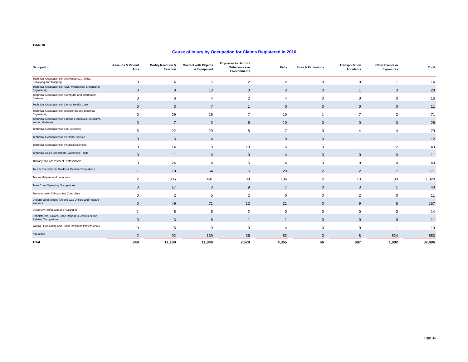| Occupation                                                                         | <b>Assaults &amp; Violent</b><br>Acts | <b>Bodily Reaction &amp;</b><br>Exertion | <b>Contact with Objects</b><br>& Equipment | <b>Exposure to Harmful</b><br>Substances or<br><b>Environments</b> | Falls          | <b>Fires &amp; Explosions</b> | Transportation<br><b>Accidents</b> | Other Events or<br><b>Exposures</b> | Total  |
|------------------------------------------------------------------------------------|---------------------------------------|------------------------------------------|--------------------------------------------|--------------------------------------------------------------------|----------------|-------------------------------|------------------------------------|-------------------------------------|--------|
| Technical Occupations in Architecture, Drafting,<br>Surveying and Mapping          | $\Omega$                              | 4                                        | 5                                          | $\overline{2}$                                                     | 2              | $\Omega$                      | $\Omega$                           |                                     | 14     |
| Technical Occupations in Civil, Mechanical & Industrial<br>Engineering             | $\mathbf{0}$                          | 8                                        | 13                                         | $\mathbf 0$                                                        | 3              | $\mathbf{0}$                  |                                    | 3                                   | 28     |
| Technical Occupations in Computer and Information<br>Systems                       | $\Omega$                              | 6                                        | 4                                          | $\overline{2}$                                                     | 4              | $\Omega$                      | $\Omega$                           | $\mathbf 0$                         | 16     |
| Technical Occupations in Dental Health Care                                        | $\mathbf{0}$                          | 3                                        | $\overline{7}$                             | $\mathbf{1}$                                                       | $\mathbf{0}$   | $\mathbf{0}$                  | $\mathbf{0}$                       | $\mathbf{0}$                        | 11     |
| Technical Occupations in Electronics and Electrical<br>Engineering                 | $\Omega$                              | 29                                       | 15                                         | $\overline{7}$                                                     | 10             |                               | $\overline{7}$                     | $\overline{2}$                      | 71     |
| Technical Occupations in Libraries, Archives, Museums<br>and Art Galleries         | $\mathbf{0}$                          | $\overline{7}$                           | 3                                          | 6                                                                  | 10             | $\Omega$                      | $\mathbf{0}$                       | $\mathbf{0}$                        | 26     |
| Technical Occupations in Life Sciences                                             | 5                                     | 22                                       | 29                                         | 8                                                                  | 7              | $\mathbf 0$                   |                                    | $\overline{4}$                      | 79     |
| Technical Occupations in Personal Service                                          | $\Omega$                              | 5                                        | $\overline{4}$                             |                                                                    | $\Omega$       | $\Omega$                      |                                    |                                     | 12     |
| Technical Occupations in Physical Sciences                                         | $\Omega$                              | 14                                       | 10                                         | 10                                                                 | 6              | $\mathbf 0$                   |                                    | 2                                   | 43     |
| Technical Sales Specialists, Wholesale Trade                                       | $\Omega$                              |                                          | 6                                          | $\mathbf 0$                                                        | Δ              | $\Omega$                      | $\Omega$                           | $\mathbf 0$                         | 11     |
| Therapy and Assessment Professionals                                               | 3                                     | 24                                       | 4                                          | 5                                                                  |                | $\Omega$                      | $\Omega$                           | $\mathbf 0$                         | 40     |
| Tour & Recreational Guides & Casino Occupations                                    | $\mathbf{1}$                          | 70                                       | 64                                         | 5                                                                  | 20             | 2                             | $\overline{2}$                     | $\overline{7}$                      | 171    |
| Trades Helpers and Labourers                                                       | 2                                     | 305                                      | 491                                        | 38                                                                 | 136            | 2                             | 13                                 | 33                                  | 1,020  |
| <b>Train Crew Operating Occupations</b>                                            | $\Omega$                              | 17                                       | 3                                          | 9                                                                  | $\overline{7}$ | $\Omega$                      | 3                                  | $\overline{1}$                      | 40     |
| Transportation Officers and Controllers                                            | $\Omega$                              | 2                                        | 5                                          | $\overline{2}$                                                     | $\Omega$       | $\Omega$                      | $\overline{2}$                     | $\mathbf 0$                         | 11     |
| Underground Miners, Oil and Gas Drillers and Related<br>Workers                    | $\mathbf{0}$                          | 49                                       | 71                                         | 12                                                                 | 21             | $\mathbf{0}$                  | 9                                  | 5                                   | 167    |
| University Professors and Assistants                                               |                                       | 5                                        | 6                                          | $\overline{2}$                                                     | $\mathbf 0$    | $\Omega$                      | $\mathbf 0$                        | $\mathbf 0$                         | 14     |
| Upholsterers, Tailors, Shoe Repairers, Jewellers and<br><b>Related Occupations</b> | $\Omega$                              | $\mathbf{3}$                             | 6                                          | $\mathbf{1}$                                                       |                | $\mathbf{0}$                  | $\overline{0}$                     | $\mathbf{0}$                        | 11     |
| Writing, Translating and Public Relations Professionals                            | $\Omega$                              | 5                                        | $\mathbf 0$                                | $\mathbf 0$                                                        | $\overline{4}$ | $\mathbf 0$                   | $\mathbf 0$                        |                                     | 10     |
| Not coded                                                                          |                                       | 92                                       | 139                                        | 36                                                                 | 52             |                               | 8                                  | 524                                 | 853    |
| Total                                                                              | 948                                   | 11,109                                   | 11,040                                     | 2,679                                                              | 4,365          | 66                            | 697                                | 1,992                               | 32,896 |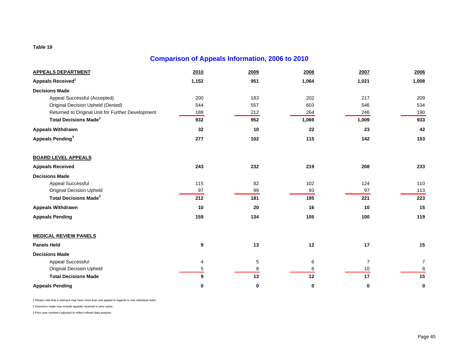### **Comparison of Appeals Information, 2006 to 2010**

| <b>APPEALS DEPARTMENT</b>                         | 2010  | 2009 | 2008  | 2007           | 2006  |
|---------------------------------------------------|-------|------|-------|----------------|-------|
| Appeals Received <sup>1</sup>                     | 1,152 | 951  | 1,064 | 1,021          | 1,008 |
| <b>Decisions Made</b>                             |       |      |       |                |       |
| Appeal Successful (Accepted)                      | 200   | 183  | 202   | 217            | 209   |
| <b>Original Decision Upheld (Denied)</b>          | 544   | 557  | 603   | 546            | 534   |
| Returned to Original Unit for Further Development | 188   | 212  | 264   | 246            | 190   |
| <b>Total Decisions Made<sup>2</sup></b>           | 932   | 952  | 1,069 | 1,009          | 933   |
| <b>Appeals Withdrawn</b>                          | 32    | 10   | 22    | 23             | 42    |
| Appeals Pending <sup>3</sup>                      | 277   | 102  | 115   | 142            | 153   |
| <b>BOARD LEVEL APPEALS</b>                        |       |      |       |                |       |
| <b>Appeals Received</b>                           | 243   | 232  | 219   | 208            | 233   |
| <b>Decisions Made</b>                             |       |      |       |                |       |
| Appeal Successful                                 | 115   | 82   | 102   | 124            | 110   |
| <b>Original Decision Upheld</b>                   | 97    | 99   | 93    | 97             | 113   |
| <b>Total Decisions Made<sup>2</sup></b>           | 212   | 181  | 195   | 221            | 223   |
| <b>Appeals Withdrawn</b>                          | 10    | 20   | 16    | 10             | 15    |
| <b>Appeals Pending</b>                            | 159   | 134  | 105   | 100            | 119   |
| <b>MEDICAL REVIEW PANELS</b>                      |       |      |       |                |       |
| <b>Panels Held</b>                                | 9     | 13   | 12    | 17             | 15    |
| <b>Decisions Made</b>                             |       |      |       |                |       |
| Appeal Successful                                 | 4     | 5    | 6     | $\overline{7}$ | 7     |
| <b>Original Decision Upheld</b>                   | 5     | 8    | 6     | 10             | 8     |
| <b>Total Decisions Made</b>                       | 9     | 13   | 12    | 17             | 15    |
| <b>Appeals Pending</b>                            | 0     | 0    | 0     | 0              | 0     |

1 Please note that a claimant may have more than one appeal in regards to one individual claim.

2 Decisions made may include appeals received in prior years.

3 Prior year numbers adjusted to reflect refined data analysis.